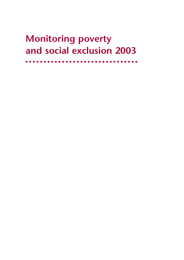# **Monitoring poverty and social exclusion 2003**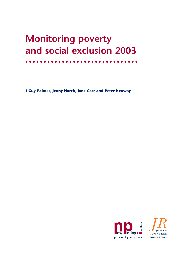# **Monitoring poverty and social exclusion 2003**

❚ **Guy Palmer, Jenny North, Jane Carr and Peter Kenway**

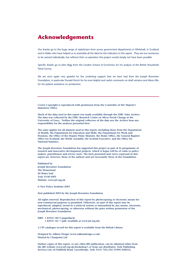### **Acknowledgements**

Our thanks go to the huge range of statisticians from across government departments in Whitehall, in Scotland and in Wales who have helped us to assemble all the data for the indicators in this report. They are too numerous to be named individually, but without their co-operation this project would simply not have been possible.

Specific thanks go to John Rigg from the London School of Economics for his analysis of the British Household Panel Survey.

We are once again very grateful for the unstinting support that we have had from the Joseph Rowntree Foundation, in particular Donald Hirsch for his ever-helpful and useful comments on draft versions and Alison Elks for her patient assistance on production.

**Crown Copyright is reproduced with permission from the Controller of Her Majesty's Stationery Office.**

**Much of the data used in this report was made available through the ESRC Data Archive. The data was collected by the ESRC Research Centre on Micro Social Change at the University of Essex. Neither the original collectors of the data nor the Archive bear any responsibility for the analyses presented here.**

**The same applies for all datasets used in this report, including those from the Department of Health, the Department for Education and Skills, the Department for Work and Pensions, the Office of the Deputy Prime Minister, the Home Office, the General Register Office for Scotland, the Welsh Assembly, the Scottish Executive, and the Office for National Statistics.**

**The Joseph Rowntree Foundation has supported this project as part of its programme of research and innovative development projects, which it hopes will be of value to policy makers, practitioners and service users. The facts presented and views expressed in this report are, however, those of the authors and not necessarily those of the Foundation.**

**Published by Joseph Rowntree Foundation The Homestead 40 Water End York YO30 6WP Website: www.jrf.org.uk**

**© New Policy Institute 2003**

**First published 2003 by the Joseph Rowntree Foundation**

**All rights reserved. Reproduction of this report by photocopying or electronic means for non-commercial purposes is permitted. Otherwise, no part of this report may be reproduced, adapted, stored in a retrieval system or transmitted by any means, electronic, mechanical, photocopying, or otherwise without the prior written permission of the Joseph Rowntree Foundation.**

**ISBN 1 85935 140 9 (paperback) 1 85935 141 7 (pdf: available at www.jrf.org.uk)**

**A CIP catalogue record for this report is available from the British Library.**

**Designed by Adkins Design (www.adkinsdesign.co.uk) Printed by Clearpoint Ltd**

**Further copies of this report, or any other JRF publication, can be obtained either from the JRF website (www.jrf.org.uk/bookshop/) or from our distributor, York Publishing Services Ltd, 64 Hallfield Road, Layerthorpe, York YO31 7ZQ (Tel: 01904 430033).**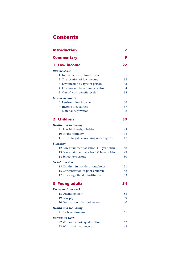### **Contents**

| <b>Introduction</b>                        | 7  |
|--------------------------------------------|----|
| <b>Commentary</b>                          |    |
| <b>Low income</b>                          | 22 |
| <b>Income levels</b>                       |    |
| Individuals with low income<br>1.          | 31 |
| 2 The location of low income               | 32 |
| 3 Low income by type of person             | 33 |
| 4 Low income by economic status            | 34 |
| 5 Out-of-work benefit levels               | 35 |
| Income dynamics                            |    |
| 6 Persistent low income                    | 36 |
| 7 Income inequalities                      | 37 |
| 8 Material deprivation                     | 38 |
| 2 Children                                 | 39 |
| <b>Health and well-being</b>               |    |
| Low birth-weight babies<br>9.              | 45 |
| 10 Infant mortality                        | 46 |
| 11 Births to girls conceiving under age 16 | 47 |
| <b>Education</b>                           |    |
| 12 Low attainment at school (16-year-olds) | 48 |
| 13 Low attainment at school (11-year-olds) | 49 |
| 14 School exclusions                       | 50 |
| Social cohesion                            |    |
| 15 Children in workless households         | 51 |
| 16 Concentration of poor children          | 52 |
| 17 In young offender institutions          | 53 |
| <b>3 Young adults</b>                      | 54 |
| <b>Exclusion from work</b>                 |    |
| 18 Unemployment                            | 58 |
| 19 Low pay                                 | 59 |
| 20 Destination of school leavers           | 60 |
| <b>Health and well-being</b>               |    |
| 21 Problem drug use                        | 61 |
| <b>Barriers to work</b>                    |    |
| 22 Without a basic qualification           | 62 |
| 23 With a criminal record                  | 63 |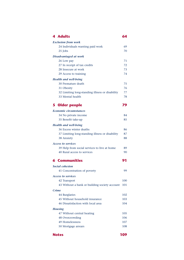| <b>4 Adults</b>                                 | 64  |
|-------------------------------------------------|-----|
| <b>Exclusion from work</b>                      |     |
| 24 Individuals wanting paid work                | 69  |
| 25 Jobs                                         | 70  |
| Disadvantaged at work                           |     |
| 26 Low pay                                      | 71  |
| 27 In receipt of tax credits                    | 72  |
| 28 Insecure at work                             | 73  |
| 29 Access to training                           | 74  |
| <b>Health and well-being</b>                    |     |
| 30 Premature death                              | 75  |
| 31 Obesity                                      | 76  |
| 32 Limiting long-standing illness or disability | 77  |
| 33 Mental health                                | 78  |
| 5 Older people                                  | 79  |
| <b>Economic circumstances</b>                   |     |
| 34 No private income                            | 84  |
| 35 Benefit take-up                              | 85  |
| <b>Health and well-being</b>                    |     |
| 36 Excess winter deaths                         | 86  |
| 37 Limiting long-standing illness or disability | 87  |
| 38 Anxiety                                      | 88  |
| <b>Access to services</b>                       |     |
| 39 Help from social services to live at home    | 89  |
| 40 Rural access to services                     | 90  |
| <b>6 Communities</b>                            | 91  |
| <b>Social cohesion</b>                          |     |
| 41 Concentration of poverty                     | 99  |
| <b>Access to services</b>                       |     |
| 42 Transport                                    | 100 |
| 43 Without a bank or building society account   | 101 |
| <b>Crime</b>                                    |     |
| 44 Burglaries                                   | 102 |
| 45 Without household insurance                  | 103 |
| 46 Dissatisfaction with local area              | 104 |
| <b>Housing</b>                                  |     |
| 47 Without central heating                      | 105 |
| 48 Overcrowding                                 | 106 |
| 49 Homelessness                                 | 107 |
| 50 Mortgage arrears                             | 108 |
| <b>Notes</b>                                    | 109 |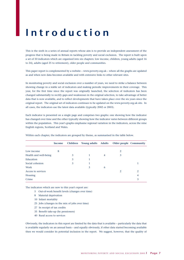# **Introduction**

This is the sixth in a series of annual reports whose aim is to provide an independent assessment of the progress that is being made in Britain in tackling poverty and social exclusion. The report is built upon a set of 50 indicators which are organised into six chapters: low income, children, young adults (aged 16 to 24), adults (aged 25 to retirement), older people and communities.

This paper report is complemented by a website – www.poverty.org.uk – where all the graphs are updated as and when new data becomes available and with extensive links to other relevant sites.

In monitoring poverty and social exclusion over a number of years, we need to strike a balance between showing change in a stable set of indicators and making periodic improvements in their coverage. This year, for the first time since the report was originally launched, the selection of indicators has been changed substantially to rectify gaps and weaknesses in the original selection, to take advantage of better data that is now available, and to reflect developments that have taken place over the six years since the original report. The original set of indicators continues to be updated on the www.poverty.org.uk site. In all cases, the indicators use the latest data available (typically 2002 or 2003).

Each indicator is presented on a single page and comprises two graphs: one showing how the indicator has changed over time and the other typically showing how the indicator varies between different groups within the population. This year's graphs emphasise regional variation in the indicators, across the nine English regions, Scotland and Wales.

|                       | Income | Children | Young adults Adults |   | Older people Community |   |
|-----------------------|--------|----------|---------------------|---|------------------------|---|
|                       |        |          |                     |   |                        |   |
| Low income            | 8      |          |                     |   | 2                      |   |
| Health and well-being |        | 3        |                     | 4 | 3                      |   |
| Education             |        | 3        |                     |   |                        |   |
| Social cohesion       |        | 3        |                     |   |                        |   |
| Work                  |        |          | 3                   | 6 |                        |   |
| Access to services    |        |          |                     |   | 2                      | 2 |
| Housing               |        |          |                     |   |                        | 4 |
| Crime                 |        |          |                     |   |                        | 3 |

Within each chapter, the indicators are grouped by theme, as summarised in the table below.

The indicators which are new to this year's report are:

- 5 Out-of-work benefit levels (changes over time)
- 8 Material deprivation
- 10 Infant mortality
- 25 Jobs (changes in the mix of jobs over time)
- 27 In receipt of tax credits
- 35 Benefit take-up (by pensioners)
- 40 Rural access to services

Obviously, the indicators in this report are limited by the data that is available – particularly the data that is available regularly on an annual basis – and equally obviously, if other data started becoming available then we would consider its potential inclusion in the report. We suggest, however, that the quality of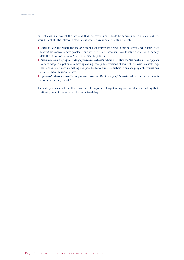current data is at present the key issue that the government should be addressing. In this context, we would highlight the following major areas where current data is badly deficient:

- *Data on low pay,* where the major current data sources (the New Earnings Survey and Labour Force Survey) are known to have problems<sup>1</sup> and where outside researchers have to rely on whatever summary data the Office for National Statistics decides to publish.
- *The small area geographic coding of national datasets,* where the Office for National Statistics appears to have adopted a policy of removing coding from public versions of some of the major datasets (e.g. the Labour Force Survey), making it impossible for outside researchers to analyse geographic variations at other than the regional level.
- *Up-to-date data on health inequalities and on the take-up of benefits,* where the latest data is currently for the year 2001.

The data problems in these three areas are all important, long-standing and well-known, making their continuing lack of resolution all the more troubling.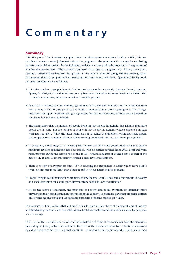# **Commentary**

#### **Summary**

With five years of data to measure progress since the Labour government came to office in 1997, it is now possible to come to some judgements about the progress of the government's strategy for combating poverty and social exclusion. In the following analysis, we have paid little attention to the question of whether the government is likely to reach any particular target in any given year. Rather, the analysis centres on whether there has been clear progress in the required direction along with reasonable grounds for believing that that progress will at least continue over the next few years. Against this background, our main conclusions are as follows:

- 1 With the number of people living in low income households on a steady downward trend, the latest figures, for 2001/02, show that income poverty has now fallen below its lowest level in the 1990s. This is a notable milestone, indicative of real and tangible progress.
- 2 Out-of-work benefits to both working age families with dependent children and to pensioners have risen sharply since 1999, not just in excess of price inflation but in excess of earnings too. This change, little remarked upon, must be having a significant impact on the severity of the poverty suffered by some very low income households.
- 3 The main reason that the number of people living in low income households has fallen is that more people are in work. But the number of people in low income households where someone is in paid work has not fallen. While the latest figures do not yet reflect the full effects of the tax credit system that supplements the money of low income working households, this is a matter of great concern.
- 4 In education, earlier progress in increasing the number of children and young adults with an adequate minimum level of qualification has now stalled, with no further advance since 2000, compared with rapid progress during the second half of the 1990s. Around a quarter of young people at each of the ages of 11, 16 and 19 are still failing to reach a basic level of attainment.
- 5 There is no sign of any progress since 1997 in reducing the inequalities in health which leave people with low incomes more likely than others to suffer serious health-related problems.
- 6 People living in social housing face problems of low income, worklessness and other aspects of poverty and social exclusion on a scale quite different from people in owner occupation.
- 7 Across the range of indicators, the problems of poverty and social exclusion are generally more prevalent in the North East than in other areas of the country. London has particular problems centred on low income and work and Scotland has particular problems centred on health.

In summary, the key problems that still need to be addressed include the continuing problems of low pay and disadvantage at work, lack of qualifications, health inequalities and the problems faced by people in social housing.

In the rest of this commentary, we offer our interpretation of some of the indicators, with the discussion proceeding subject-by-subject rather than in the order of the indicators themselves. This is then followed by a discussion of some of the regional variations. Throughout, the graph under discussion is identified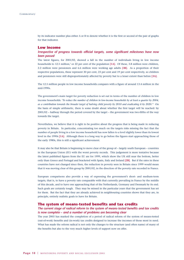by its indicator number plus either A or B to denote whether it is the first or second of the pair of graphs for that indicator.

#### **Low income**

#### *Irrespective of progress towards official targets, some significant milestones have now been passed*

The latest figures, for 2001/02, showed a fall in the number of individuals living in low income households to 12.5 million,<sup>2</sup> or 22 per cent of the population [1A]. Of these, 3.8 million were children, 2.2 million were pensioners and 6.6 million were working age adults **[3B]**. As a proportion of their respective populations, these represent 30 per cent, 23 per cent and 19 per cent respectively, so children and pensioners were still disproportionately affected by poverty but to a lesser extent than before **[3A]**.

The 12.5 million people in low income households compares with a figure of around 13.4 million in the mid-1990s.

The government's main target for poverty reduction is set out in terms of the number of children in low income households: *'To reduce the number of children in low-income households by at least a quarter by 2004, as a contribution towards the broader target of halving child poverty by 2010 and eradicating it by 2020.'*<sup>3</sup> On the basis of simple arithmetic, there is some doubt about whether the first target will be reached: by 2001/02 – halfway through the period covered by the target – the government was two-fifths of the way towards the target.

Nevertheless, we believe that it is right to be positive about the progress that is being made in reducing poverty in Britain. In particular, concentrating too much on the targets risks missing the fact that the number of people living in a low income household has now fallen to a level slightly lower than its lowest level in the 1990s **[1A]**. Although there is a long way to go before the figures start approaching those of the early 1980s, this is still a significant achievement.

It may also be that Britain is beginning to move clear of the group of – largely south European – countries in the European Union (EU) with the worst poverty records. This judgement is more tentative because the latest published figures from the EU are for 1999, which show the UK still near the bottom, better only than Greece and Portugal and bracketed with Spain, Italy and Ireland **[2B]**. But if the rates in these countries have not changed since then, the reduction in poverty seen in Britain since 1999 would mean that it was moving clear of this group by 2001/02, in the direction of the poverty rate recorded in France.

European comparisons also provide a way of expressing the government's short- and medium-term targets, that is, to have a poverty rate comparable with that currently prevailing in France by the middle of this decade, and to have one approaching that of the Netherlands, Germany and Denmark by its end. Such goals are certainly tough. They may be missed in the particular years that the government has set for them. But the fact that they are already achieved in neighbouring countries shows that they are, in principle, entirely realistic goals to have for Britain.

#### **The system of means-tested benefits and tax credits**

#### *The current stage of radical reform to the system of means-tested benefits and tax credits is now complete – and a number of problems are becoming clear*

The year 2003 has marked the completion of a period of radical reform of the system of means-tested (out-of-work) benefits and (in-work) tax credits designed to increase the incomes of those most in need. What has made the reform radical is not only the changes to the structure (and often name) of many of the benefits but also to the very much higher levels of support now on offer.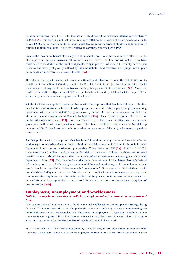For example, means-tested benefits for families with children and for pensioners started to grow sharply in 1999 **[5A]**. This growth is not just in excess of price inflation but in excess of earnings too. As a result, by April 2003, out-of-work benefits for families with two (or more) dependent children and for pensioner couples had risen by around 15 per cent, relative to earnings, compared with 1998.

Because the incomes of households solely reliant on benefits were so far below what is in effect the semiofficial poverty line, these increases will not have taken them over that line, and will not therefore have contributed to the decline in the number of people living in poverty. Yet they will, certainly, have helped to reduce the severity of poverty suffered by these households, as is reflected in the proportion of poor households lacking essential consumer durables **[8A]**.

The full effect of the reforms to the in-work benefits and credits has even now, at the end of 2003, yet to be felt: the introduction of Working Families Tax Credit in 1999 did not just lead to a steep increase in the numbers receiving that benefit but to a continuing, steady growth in those numbers **[27A]**. Moreover, it will not be until the figures for 2003/04 are published, in the spring of 2005, that the impact of the latest changes on the numbers in poverty will be known.

Yet the indicators also point to some problems with the approach that has been followed. The first problem is the non-take-up of benefits to which people are entitled. This is a particular problem among pensioners, with the latest (2000/01) figures showing around 30 per cent non-take-up of both the Minimum Income Guarantee and Council Tax Benefit **[35A]**. This equates to around £1.4 billion of unclaimed money each year **[35B]**. For a variety of reasons, both these benefits have become more generous since then, with more pensioners now entitled to an overall larger sum of money. Non-take-up rates at the 2001/01 level can only undermine what on paper are carefully designed systems targeted on those in need.

Another problem with the approach that has been followed is the way that out-of-work benefits for working-age households *without* dependent children have fallen way behind those for households with dependent children, or for pensioners, by more than 25 per cent since 1999 **[5A]**. At the end of 2002, there were some 2 million working age adults without dependent children receiving means-tested benefits – more, it should be noted, than the number of either pensioners or working age adults with dependent children **[5B]**. That benefits for working age adults without children have fallen so far behind reflects the priority accorded by the government to children and pensioners, but it is not clear why these people should be regarded as being so much 'less deserving'. Since around a third of these are in households headed by someone in their 50s,<sup>4</sup> there are also implications here for pensioner poverty in the coming decade. Any hope that this might be alleviated by private provision seems unlikely given that only a fifth of working age adults in the poorest fifth of the population are contributing to any kind of private pension **[34B]**.

#### **Employment, unemployment and worklessness**

#### *Falls in poverty have been due to falls in unemployment – but in-work poverty has not fallen*

Low pay and lack of work continue to be fundamental challenges to the anti-poverty strategy being followed. The reason for this is that the predominant factor in reducing poverty among working age households over the last few years has been the growth in employment – yet many households where someone is working are still on low income while what is called 'unemployment' does not capture anything like the full extent of the problem of people who would like to work.

The 'risk' of being in a low income household is, of course, very much lower among households with someone in paid work. Three-quarters of unemployed households and three-fifths of other working age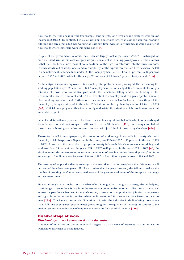households where no one is in work (for example, lone parents, long-term sick and disabled) were on low income in 2001/02. By contrast, 1 in 25 'all-working' households (where at least one adult was working full time and any other adult was working at least part-time) were on low income, as were a quarter of households where some paid work was being done **[4A]**.

In spite of the government's reforms, these risks are largely unchanged since 1996/97. Unchanged, or even increased, risks within each category are quite consistent with falling poverty overall: what it means is that there has been a movement of households out of the high risk categories into the lower risk ones, in other words, out of worklessness and into work. By far the biggest contribution here has been the fall in unemployment: among adults under 25, the unemployment rate fell from 13 per cent to 10 per cent between 1997 and 2003, while for those aged 25 and over, it fell from 6 per cent to 4 per cent. **[18A]**.

As these figures show, unemployment is a much greater problem among young adults than among the working population aged 25 and over. But 'unemployment', as officially defined, accounts for only a minority of those who would like paid work, the remainder falling under the heading of the 'economically inactive who want work'. This, in contrast to unemployment, is a greater problem among older working age adults and, furthermore, their numbers have fallen far less fast than those of the unemployed, being about equal in the mid-1990s but outnumbering them by a ratio of 2 to 1 in 2003 **[24A]**. Official unemployment therefore seriously understates the extent to which people want work but are unable to get it.

Lack of work is particularly prevalent for those in social housing: almost half of heads of households aged 25 to 54 have no paid work compared with just 1 in every 10 elsewhere **[41B]**. In consequence, half of those in social housing are on low income compared with just 1 in 6 of those living elsewhere **[41A]**.

Thanks to the fall in unemployment, the proportion of working age households in poverty who were unemployed fell sharply from 28 per cent in the three years 1994 to 1997 to 15 per cent in the years 1999 to 2002. In contrast, the proportion of people in poverty in households where someone was doing paid work rose from 33 per cent over the years 1994 to 1997 to 41 per cent in the years 1999 to 2002 **[4B]**. In absolute terms, this represents an increase in the number of people suffering 'in-work poverty', up from an average of 3 million a year between 1994 and 1997 to 31/2 million a year between 1999 and 2002.

The growing take-up and widening coverage of the in-work tax credits leaves hope that this increase will be reversed in subsequent years. Until and unless that happens, however, the failure to reduce the number of 'working poor' must be counted as one of the greatest weaknesses of the anti-poverty strategy at the current time.

Finally, although it is unclear exactly what effect it might be having on poverty, the underlying, continuing change in the *mix* of jobs in the economy is bound to be important. The steady pattern over at least the past decade has been for manufacturing, construction and production jobs (including energy and agriculture) to decline in number, while public sector and finance-related jobs have continued to grow **[25A]**. This has a strong gender dimension to it, with the industries in decline being those where male, full-time employment predominates (accounting for three-quarters of the jobs), in contrast to the growing sectors where this type of employment accounts for a third of the total **[25B].**

#### **Disadvantage at work**

#### *Disadvantage at work shows no signs of decreasing*

A number of indicators on conditions at work suggest that, on a range of measures, polarisation within work shows little sign of being reduced.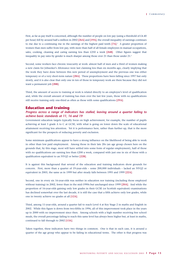First, as far as pay itself is concerned, although the number of people on low pay (using a threshold of £4.40 per hour) fell by around half a million in 2002 **[26A]** and **[19A]**, the overall inequality of earnings continues to rise due to a continuing rise in the earnings of the highest paid tenth **[7A]**. <sup>5</sup> A greater proportion of women than men suffer from low pay, with more than half of all female employees in manual occupations, sales, cooking, cleaning and caring earning less than £250 a week **[26B]**. Other figures suggest that inequality in pay rates by gender is much sharper among those over 21 than those under  $21<sup>6</sup>$ 

Second, some workers face chronic insecurity at work: almost half of men and a third of women making a new claim for Jobseeker's Allowance were last claiming less than six months ago, clearly implying that the work they have done between this new period of unemployment and the previous one was either temporary or of a very short-term nature **[28A]**. These proportions have been falling since 1997 but only slowly, and it is also clear that only one in ten of those in temporary work are there because they did not want a permanent job **[28B]**.

Third, the amount of access to training at work is related directly to an employee's level of qualification and, while the overall amount of training has risen over the last few years, those with no qualifications still receive training only one-third as often as those with some qualifications **[29A]**.

#### **Education and training**

#### *Progress across a range of indicators has stalled, leaving around a quarter failing to achieve basic standards at 11, 16 and 19*

Government education targets typically focus on high achievement, for example, the number of pupils achieving at least 5 grade A to C at GCSE, with what is going on lower down the scale of educational attainment receiving less attention. Yet it is performance here, rather than further up, that is the more significant for the prospects of reducing poverty and exclusion.

Some minimum qualifications appear to have a strong influence on the likelihood of being able to work in other than low paid employment. Among those in their late 20s (an age group chosen here on the grounds that, by this stage, most will have settled into some form of regular employment), half of those with no qualifications are earning less than £200 a week, compared with just one in six of those with a qualification equivalent to an NVQ2 or better **[22B]**.

It is against this background that several of the education and training indicators show grounds for concern. First, more than a quarter of 19-year-olds – some 200,000 individuals – lacked an NVQ2 or equivalent in 2003, the same as in 1999 but after steady falls between 1995 and 1999 **[22A]**.

Second, one in every six 16-year-olds was neither in education nor training (including those employed without training) in 2002, fewer than in the mid-1990s but unchanged since 1999 **[20A]**. And while the proportion of 16-year-olds gaining only low grades in their GCSE (or Scottish equivalent) examinations has declined somewhat over the last decade, it is still the case that a fifth achieve only low grades, while one in twenty achieve no grades at all **[12A]**.

Third, among 11-year-olds, around a quarter fail to reach Level 4 at Key Stage 2 in maths and English in 2002. While this figure is down from two-fifths in 1996, all of this improvement took place in the years up to 2000 with no improvement since then. Among schools with a high number receiving free school meals, the overall percentage failing to reach this same level has always been higher but, at least in maths, continued to fall through to 2002 **[13A]**.

Taken together, these indicators have two things in common. One is that in each case, it is around a quarter of the age group who appear to be failing in educational terms. The other is that progress was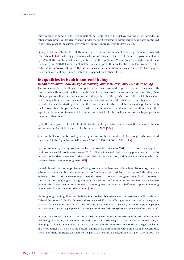much more pronounced in the second half of the 1990s than in the first years of the present decade. In other words, progress that clearly began under the last Conservative administration, and was continued in the early years of the current government, appears more recently to have stalled.

Finally, a disturbing footnote to all this is a renewed rise in the number of children permanently excluded from school **[14A]**. Reducing permanent exclusion was an early objective of the current government and, by 1999/00, the numbers had fallen by a third from their peak in 1996. Although the higher numbers in the latest year (2001/02) are still well below that earlier peak, they are far above the level recorded in the early 1990s. Moreover, although the fall in exclusion rates has been particularly sharp for black pupils, these pupils are still much more likely to be excluded than others **[14B]**.

#### **Inequalities in health and well-being**

#### *Health inequalities show no sign of reducing, and some cases may even be widening*

The connection between ill health and poverty that this report and its predecessors are concerned with centres on health inequalities, that is, on the extent to which people on low incomes are more likely than other people to suffer from various health-related problems. This year's report is the first to track some of the inequalities over time; where it does, the best that can be said is that there is no sign whatsoever of health inequalities starting to fall. In other cases, where it is the overall incidence of a problem that is tracked over time, the picture is mixed, with some improvement and some deterioration. One other aspect that is common to many of the indicators is that health inequality seems to be a bigger problem for women than men.

By far the most positive of the health indicators is that for premature death, where the rates for both men and women under 65 fell by a sixth in the decade to 2001 **[30A]**.

A second indicator that is moving in the right direction is the number of births to girls who conceived under age 16, the figure having fallen from 5,000 in 1996 to 4,000 in 2001 **[11A]**.

By contrast, obesity among women rose by a half over the decade to 2001, to the point where a quarter of all women aged 25 to 64 were affected **[31A]**. The incidence of obesity among poorer women is, at 30 per cent, twice that of women in the richest fifth of the population, a difference by income which is, however, largely absent among men **[31B]**.

Mental ill-health is another problem affecting women more than men although, unlike obesity, there are substantial differences by income for men as well as women, with adults in the poorest fifth being twice as likely to be at risk of developing a mental illness as those on average incomes **[33B]**. Anxiety – specifically a fear of going out at night among the over 60s – is four times more prevalent among women (where a third report feeling very unsafe) than among men, and one and a half times as prevalent among women with low incomes as other women **[38B]**.

Limiting long-standing illness or disability is a problem that affects men and women equally, with twofifths of the poorest fifth of both men and women aged 45 to 64 suffering from it compared with a quarter of those on average incomes **[32A]**. The differences by income do, however, largely disappear as people get older, the rate among people over 75 being around two-fifths irrespective of the level of income **[37A]**.

Perhaps the greatest concern in the area of health inequalities relates to two key indicators reflecting the well-being of children, namely infant mortality and low birth weight. In both cases, if the inequality is changing at all over time, it is rising. For infant mortality this is at least because things are getting better at the top rather than worse at the bottom: among those from families with a non-manual background, the rate of infant mortality declined from 5 per 1,000 live births a decade ago to 4 per 1,000 in 2001; by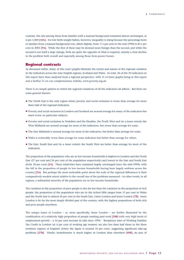contrast, the rate among those from families with a manual background remained almost unchanged, at 6 per 1,000 **[10A]**. For low birth-weight babies, however, inequality is rising because the percentage born to families from a manual background rose, albeit slightly, from 71/2 per cent in the mid-1990s to 81/2 per cent in 2001 **[9A]**. While the first of these may be deemed more benign than the second, and while the second is not itself a large change, both are quite the opposite of what is required, namely a clear decline in the problem both overall and especially among those from poorer homes.

#### **Regional contrasts**

As discussed earlier, many of this year's graphs illustrate the extent and nature of the regional variation in the indicators across the nine English regions, Scotland and Wales. In total, 26 of the 50 indicators in this report have been analysed from a regional perspective, with 15 of these graphs being in this report and a further 11 on our complementary website, www.poverty.org.uk.

There is no simple pattern to which the regional variations of all the indicators all adhere. But there are some general themes:

- The North East is the only region where poverty and social exclusion is worse than average for more than half of the regional indicators.
- Poverty and social exclusion in London and Scotland are around average for many of the indicators but *much* worse on particular subjects.
- Poverty and social exclusion in Yorkshire and the Humber, the North West and (to a lesser extent) the West Midlands are around average for most of the indicators, but worse than average for some.
- The East Midlands is around average for most of the indicators, but better than average for some.
- Wales is noticeably worse than average for some indicators but better than average for others.
- The East, South East and (to a lesser extent) the South West are better than average for most of the indicators.

The proportion of the population who are in low income households is highest in London and the North East (27 per cent and 26 per cent of the population respectively) and lowest in the East and South East (both 18 per cent) **[2A]**. These relativities have remained largely unchanged since the mid-1990s, with the fall in the proportion of people in low income households having been largely uniform across the country **[2A]**. But perhaps the most noticeable point about the scale of the regional differences is their comparatively modest extent relative to the overall size of the problems measured – in other words, in all regions, a substantial minority of the population are in low income households.

The variation in the proportion of poor people is also far less than the variation in the proportion of rich people: the proportion of the population who are in the richest fifth ranges from 13 per cent in Wales and the North East to almost 30 per cent in the South East, Outer London and Inner London **[7B]**. Inner London is by far the most deeply divided part of the country, with the highest proportions of both rich and poor people anywhere.

The unique issues in London – or, more specifically, Inner London – are further illustrated by the combination of a relatively high proportion of people wanting paid work **[24B]** with very high levels of employment growth – a 16 per cent increase in jobs since 1994.<sup>7</sup> Recipiency rates of Working Families Tax Credit in London (at 4 per cent of working age women) are also less than half those in the three northern regions of England (where the figure is around 10 per cent), suggesting significant take-up problems **[27B]**. Finally, homelessness is much higher in London than elsewhere **[49B]**, an area of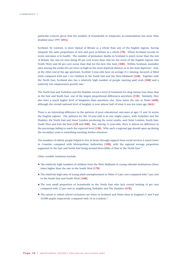particular concern given that the number of households in temporary accommodation has more than doubled since 1997 **[49A]**.

Scotland, by contrast, is more typical of Britain as a whole than any of the English regions, having uniquely the same proportions of rich and poor as Britain as a whole **[7B]**. Where Scotland records its worst outcomes is in health. The number of premature deaths in Scotland is much worse than the rest of Britain, the rate for men being 20 per cent worse than that for the worst of the English regions (the North West) and 60 per cent worse than that for the best (the East) **[30B]**. Within Scotland, mortality rates among the under-65s are twice as high in the most deprived districts as in the least deprived.<sup>8</sup> And, at the other end of the age spectrum, Scottish 5-year-olds have on average 21/2 missing, decayed or filled teeth compared with just 1 for children in the South East and the West Midlands **[16B]**. Together with the North East, Scotland also has a relatively high number of people wanting paid work **[24B]** and a relatively low employment growth rate.9

The North East and Yorkshire and the Humber record a level of treatment for drug misuse four times that in the East and South East, one of the largest proportional differences anywhere **[21B]**. Similarly, they also have a much higher level of burglaries than anywhere else, three times the rate in Wales **[44B]**, although the overall national level of burglary is now almost half of what it was ten years ago **[44A]**.

There is an interesting difference in the patterns of poor educational outcomes at ages 11 and 16 across the English regions. The patterns for the 16-year-olds is as one might expect, with Yorkshire and the Humber, the North East and Inner London producing the worst results, and Outer London, South East, South West and East the best **[12B** and **20B]**. But, among 11-year-olds, there is almost no difference in the percentage failing to reach the expected level **[13B]**. Why such a regional gap should open up during the secondary years is something meriting further attention.

The numbers of elderly people helped to live at home through support from social services is much lower in Counties compared with Metropolitan Authorities **[39B]**, with the regional average proportion supported in the East and South East being around three-fifths of that in the North East.<sup>10</sup>

Other notable variations include:

- The relatively high numbers of children from the West Midlands in young offender institutions (three times higher than the rate in the South West **[17B]**.
- The relatively high rates of young adult unemployment in Wales (13 per cent compared with 7 per cent in the South East and South West) **[18B]**.
- The very small proportion of households in the North East who lack central heating (4 per cent compared with 12 per cent in neighbouring Yorkshire and The Humber) **[47B]**.
- The extent to which school exclusions are lower in Scotland and Wales than in England (5 and 9 per 10,000 pupils respectively compared with  $14$  in London).<sup>11</sup>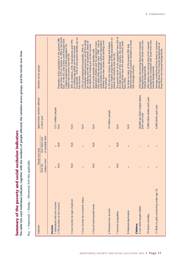The table lists each individual indicator, together with the numbers of people affected, the variation across groups, and the trends over time. Summary of the poverty and social exclusion indicators **Summary of the poverty and social exclusion indicators**

**The table lists each individual indicator, together with the numbers of people affected, the variation across groups, and the trends over time.**

Key: + Improved; = Steady; - Worsened; N/A Not applicable Key: + Improved; = Steady; – Worsened; N/A Not applicable

| Indicator                                  | Trends over time                |                                       | Approximate numbers affected                     | Variation across groups                                                                                                                                                                                                                                |
|--------------------------------------------|---------------------------------|---------------------------------------|--------------------------------------------------|--------------------------------------------------------------------------------------------------------------------------------------------------------------------------------------------------------------------------------------------------------|
|                                            | medium term<br>Over the         | of available data<br>Over latest year | in latest year                                   |                                                                                                                                                                                                                                                        |
| <b>Income</b>                              |                                 |                                       |                                                  |                                                                                                                                                                                                                                                        |
| 1 Individuals with low income              |                                 |                                       | 12 <sup>1</sup> /2 million people                |                                                                                                                                                                                                                                                        |
| 2 The location of low income               | $\frac{\mathsf{A}}{\mathsf{N}}$ | $+\frac{8}{2}$                        | $\frac{4}{2}$                                    | range from 27% in London to 18% in the South<br>Proportion of the population in the poorest fifth<br>East. In the EU, only Greece and Portugal have<br>a higher proportion of their population on                                                      |
| 3 Low income by type of person             | $\frac{4}{2}$                   | $\frac{4}{2}$                         | $\frac{4}{2}$                                    | of working age adults are in low income<br>households.   53% of lone parent families are on<br>30% of children, 23% of pensioners and 19%<br>relative low incomes than the UK.<br>low income.                                                          |
| 4 Low income by economic status            | $\mathbf{II}$                   | $\mathbf{II}$                         | $\frac{4}{2}$                                    | nouseholds where some but not all the adults<br>are working and 4% of households where all<br>the adults are working are on low income.<br>75% of unemployed households, 24% of                                                                        |
| 5 Out-of-work benefit levels               | $\frac{4}{2}$                   | $\frac{4}{2}$                         | $\frac{4}{2}$                                    | risen faster than earnings since 1999. Out-of-<br>children have risen slower than earnings over<br>work benefits for families without dependent<br>dependent children and for pensioners have<br>Out-of-work benefits for families with<br>the period. |
| 6 Persistent low income                    | II                              | II                                    | 10 million people                                | In the EU only Greece, Portugal and Ireland<br>have a higher proportion of their population on<br>relative low incomes than the UK                                                                                                                     |
| 7 Income inequalities                      | $\frac{4}{2}$                   | $\frac{4}{2}$                         | $\frac{4}{2}$                                    | The poorest tenth of the population have 2% of<br>the total income of the country, the second<br>poorest tenth have 4% and the richest tenth<br>have 29%.                                                                                              |
| 8 Material deprivation<br>Children         | $^{+}$                          | $^{+}$                                | $\frac{4}{2}$                                    | selected essential consumer durables as those<br>Six times as many of the poorest fifth lack<br>with average incomes.                                                                                                                                  |
| 9 Low birth-weight babies                  | Ī                               | Ï                                     | 40,000 low birth-weight babies<br>born each year | backgrounds compared with those from non-<br>25% higher rate among those from manual<br>manual backgrounds.                                                                                                                                            |
| 10 Infant mortality                        | II                              | $\mathbf{II}$                         | 3,000 infant deaths each year                    | 50% higher rate among those from manual<br>backgrounds compared with those from non-<br>manual backgrounds.                                                                                                                                            |
| 11 Births to girls conceiving under age 16 | $^{+}$                          | $^{+}$                                | 4,000 births each year                           | Teenage motherhood four times as common<br>among those from manual backgrounds as<br>those from non-manual backgrounds.                                                                                                                                |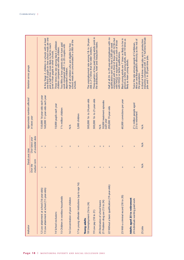| Indicator                                                                                | Trends over time<br>Over the    | Over latest year       | Approximate numbers affected<br>in latest year                   | Variation across groups                                                                                                                                                                                                                 |
|------------------------------------------------------------------------------------------|---------------------------------|------------------------|------------------------------------------------------------------|-----------------------------------------------------------------------------------------------------------------------------------------------------------------------------------------------------------------------------------------|
|                                                                                          | medium term                     | of available data      |                                                                  |                                                                                                                                                                                                                                         |
| 12 Low attainment at school (16-year-olds)<br>13 Low attainment at school (11-year-olds) | $\overline{+}$<br>$^{+}$        | $^{+}$<br>$\mathbf{I}$ | 160,000 11-year-olds each year<br>150,000 16-year-olds each year | one-third of pupils on free school meals are one<br>At Key Stage 2, children in schools with at least<br>and a half times more likely to fail to reach<br>Level 4 than pupils in other schools.                                         |
| 14 School exclusions                                                                     | $\overline{+}$                  | ī                      | 10,000 pupils each year                                          | Three times the rate among black Caribbean<br>children compared with white children.                                                                                                                                                    |
| 15 Children in workless households                                                       | $^{+}$                          | $^{+}$                 | 13/4 million children                                            | Two-fifths of lone parents do not have paid<br>work compared with 1 in 20 couples with<br>dependent children.                                                                                                                           |
| 16 Concentration of poor children                                                        | II                              | H.                     | $\frac{4}{2}$                                                    | Half of all children who are eligible for free<br>school meals are concentrated in a fifth of the<br>schools.                                                                                                                           |
| 17 In young offender institutions (up to age 16)                                         | Ī                               | II                     | 3,000 children                                                   |                                                                                                                                                                                                                                         |
| 18 Unemployment (16 to 24)<br><b>Young adults</b>                                        | $^{+}$                          | Ï                      | 500,000 16- to 24-year-olds                                      | The unemployment rate among 18- to 24-year-<br>olds is 2 <sup>1</sup> /2 times that for older workers.                                                                                                                                  |
| 19 Low pay (18 to 21)                                                                    | $^{+}$                          | $^{+}$                 | 500,000 16- to 21-year-olds                                      | Three-quarters of low paid young adults work in<br>the distribution, hotel and restaurant trades.                                                                                                                                       |
| 20 Destination of school leavers                                                         | $\ddot{}$                       | H.                     | $\frac{4}{2}$                                                    |                                                                                                                                                                                                                                         |
| 21 Problem drug use (15 to 24)                                                           | $\overline{\phantom{a}}$        | $\mathbf{I}$           | 30,000 treatment episodes<br>each year                           |                                                                                                                                                                                                                                         |
| 22 Without a basic qualification (19-year-olds)                                          | Ш                               | $\mathbf{II}$          | 200,000 19-year-olds                                             | Half of all 24- to 29-year-old employees with no<br>compared with a third of those with GCSEs but<br>with NVQ2 or equivalent and a sixth of those<br>qualifications earn less than £200 per week<br>with NVQ2 or better qualifications. |
| 23 With a criminal record (18 to 20)                                                     | II                              | $\mathbf{II}$          | 60,000 convictions per year                                      | Black young adults are 7 times as likely to be in<br>prison's as white young adults, and 10 times as<br>ikely as Asian young adults.                                                                                                    |
| Adults aged 25 to retirement<br>24 Individuals wanting paid work                         | $^{+}$                          | $^{+}$                 | 2 <sup>1</sup> /2 million people aged<br>25 to retirement        | Twice the rate among people of Caribbean,<br>African and Bangladeshi ethnicity as the rest of<br>the population.                                                                                                                        |
| 25 lobs                                                                                  | $\frac{\mathsf{A}}{\mathsf{N}}$ | $\frac{4}{\sqrt{2}}$   | $\frac{4}{\sqrt{2}}$                                             | industries compared with 1 in 7 full-time female<br>A third of full-time male jobs are in production<br>jobs and 1 in 20 part-time jobs.                                                                                                |
|                                                                                          |                                 |                        |                                                                  |                                                                                                                                                                                                                                         |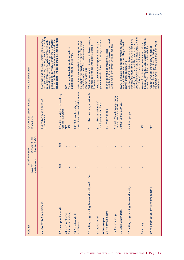| Indicator                                                  | Trends over time           |                                       | Approximate numbers affected                                                      | Variation across groups                                                                                                                                                                                                                                                                                                                                 |
|------------------------------------------------------------|----------------------------|---------------------------------------|-----------------------------------------------------------------------------------|---------------------------------------------------------------------------------------------------------------------------------------------------------------------------------------------------------------------------------------------------------------------------------------------------------------------------------------------------------|
|                                                            | medium term<br>Over the    | of available data<br>Over latest year | in latest year                                                                    |                                                                                                                                                                                                                                                                                                                                                         |
| 26 Low pay (22 to retirement)                              | $^{+}$                     | $^{+}$                                | 1 <sup>1</sup> /2 million people aged 22<br>to retirement                         | occupations, sales, cooking, cleaning and caring<br>service sector industries than in other industries.<br>occupations. Low pay is much more prevalent<br>in the distribution, hotels, restaurant and other<br>More than half of female employees in manual<br>eam less than £250 per week compared with<br>around a quarter of male employees in these |
| 27 In receipt of tax credits                               | $\frac{4}{2}$              | $\frac{4}{2}$                         | 1.3 million recipients of Working<br>Families Tax Credit                          |                                                                                                                                                                                                                                                                                                                                                         |
| 28 Insecure at work                                        | $\overline{+}$             | Ш                                     | $\frac{4}{2}$                                                                     | $\frac{4}{2}$                                                                                                                                                                                                                                                                                                                                           |
| 29 Access to training                                      | $^{+}$                     | $\mathbf{II}$                         | $\frac{4}{2}$                                                                     | Three times less likely for those without<br>qualifications than for those with.                                                                                                                                                                                                                                                                        |
| 30 Premature death                                         | $\ddot{}$                  | Ш                                     | 100,000 people each year                                                          |                                                                                                                                                                                                                                                                                                                                                         |
| 31 Obesity                                                 | -1                         | $\mathbf{I}$                          | 25% of women classified as obese                                                  | 30% of women from below-average income<br>households are classified as obese compared<br>with 20% of women from above-average<br>income households.                                                                                                                                                                                                     |
| 32 Limiting long-standing illness or disability (45 to 64) | Ш                          | $\mathbf{II}$                         | 3 <sup>1</sup> /2 million people aged 46 to 64                                    | Twice as prevalent for those with below-average<br>incomes as for those with above average<br>incomes.                                                                                                                                                                                                                                                  |
| 33 Mental health<br>Older people                           | $^{+}$                     | $^{+}$                                | 3 <sup>1</sup> /2 million at high risk of<br>developing mental illness            | population as for those with average incomes.<br>Twice as prevalent in the poorest fifth of the                                                                                                                                                                                                                                                         |
| 34 No private income                                       | $\mathbf{II}$              | $\mathbf{II}$                         | 11/4 million people                                                               | contributing to a non-state pension compared<br>with a half of those with average incomes.<br>Four-fifths of the poorest fifth are not                                                                                                                                                                                                                  |
| 35 Benefit take-up                                         | $\mathbf{I}$               | $\mathbf{II}$                         | do not take up entitled benefits<br>At least 1 <sup>1</sup> /4 million pensioners |                                                                                                                                                                                                                                                                                                                                                         |
| 36 Excess winter deaths                                    | $\label{eq:1} \mathbf{II}$ | $\mathbf{II}$                         | 20,000-50,000 each year                                                           | Owner occupiers and private renters on below-<br>average incomes are the most likely to live in<br>energy-inefficient housing                                                                                                                                                                                                                           |
| 37 Limiting long-standing illness or disability            | Ш                          | $\mathbf{II}$                         | 4 million people                                                                  | For those aged 75 and<br>incomes are more likely to have a limiting long-<br>standing illness or disability than those on<br>Adults aged 65 to 74 on below average<br>above average incomes. For those a<br>over, this has ceased to be the case.                                                                                                       |
| 38 Anxiety                                                 | $\mathbf{II}$              | $\mathbf{II}$                         | $\frac{4}{2}$                                                                     | Women from lower income households are 1 <sup>1/2</sup><br>times as likely to feel very unsafe out at night as<br>women from higher income households.                                                                                                                                                                                                  |
| 39 Help from social services to live at home               | $\overline{\phantom{a}}$   |                                       | $\frac{4}{\sqrt{2}}$                                                              | independently at home than urban or Welsh<br>County Councils and Unitary Authorities<br>support far fewer pensioners in living<br>authorities.                                                                                                                                                                                                          |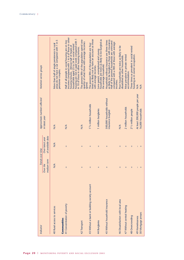| Indicator                                         | Trends over time        |                                                                                                                                                                                                                                                                                                                                                                                                                                                        | Approximate numbers affected                          | Variation across groups                                                                                                                                                                                                                                                                |
|---------------------------------------------------|-------------------------|--------------------------------------------------------------------------------------------------------------------------------------------------------------------------------------------------------------------------------------------------------------------------------------------------------------------------------------------------------------------------------------------------------------------------------------------------------|-------------------------------------------------------|----------------------------------------------------------------------------------------------------------------------------------------------------------------------------------------------------------------------------------------------------------------------------------------|
|                                                   | medium term<br>Over the | of available data<br>Over latest year                                                                                                                                                                                                                                                                                                                                                                                                                  | in latest year                                        |                                                                                                                                                                                                                                                                                        |
| 40 Rural access to services<br><b>Communities</b> | $\frac{4}{2}$           | $\frac{4}{2}$                                                                                                                                                                                                                                                                                                                                                                                                                                          | $\frac{4}{2}$                                         | areas do not have a car compared with 1 in 5<br>More than half of single pensioners in rural<br>pensioner couples.                                                                                                                                                                     |
| 41 Concentration of poverty                       | $\mathbf{II}$           | $\mathbf{II}$                                                                                                                                                                                                                                                                                                                                                                                                                                          | $\frac{4}{2}$                                         | incomes compared with 1 in 6 of those in other<br>nousing are not in paid work compared with 1<br>Half of all people in social housing are on low<br>nouseholds aged 25 to 54 in social rented<br>nousing tenures. Almost half of heads of<br>in 10 of those in other housing tenures. |
| 42 Transport                                      | $^{+}$                  | $\ddot{}$                                                                                                                                                                                                                                                                                                                                                                                                                                              | $\frac{4}{\sqrt{2}}$                                  | The poorest fifth of the population spend one-<br>quarter of what those with average incomes<br>spend.                                                                                                                                                                                 |
| 43 Without a bank or building society account     | Ш                       | $\ddot{}$                                                                                                                                                                                                                                                                                                                                                                                                                                              | 1 <sup>3</sup> /4 million households                  | times as likely not to have an account as those<br>The poorest fifth of the population are four<br>with average incomes.                                                                                                                                                               |
| 44 Burglaries                                     | $^{+}$                  | $\mathbf{H}% =\mathbf{H}(\mathbf{Q}^{T}\times\mathbf{R}^{T}\times\mathbf{R}^{T}\times\mathbf{R}^{T}\times\mathbf{R}^{T}\times\mathbf{R}^{T}\times\mathbf{R}^{T}\times\mathbf{R}^{T}\times\mathbf{R}^{T}\times\mathbf{R}^{T}\times\mathbf{R}^{T}\times\mathbf{R}^{T}\times\mathbf{R}^{T}\times\mathbf{R}^{T}\times\mathbf{R}^{T}\times\mathbf{R}^{T}\times\mathbf{R}^{T}\times\mathbf{R}^{T}\times\mathbf{R}^{T}\times\mathbf{R}^{T}\times\mathbf{R}^{$ | 1 million burglaries                                  | Lone parent, unemployed and young<br>households are twice as likely to be burgled as<br>the average household.                                                                                                                                                                         |
| 45 Without household insurance                    | $^{+}$                  | $^{+}$                                                                                                                                                                                                                                                                                                                                                                                                                                                 | 500,000 households without<br>insurance burgled       | as likely to be burgled as those with insurance.<br>Households without insurance are three times<br>Half of the poorest households are uninsured<br>compared with a fifth of those with average<br>incomes.                                                                            |
| 46 Dissatisfaction with local area                | Ш                       | Ш                                                                                                                                                                                                                                                                                                                                                                                                                                                      | $\frac{4}{\sqrt{2}}$                                  | Poor households are twice as likely to be<br>dissatisfied as other households.                                                                                                                                                                                                         |
| 47 Without central heating                        | $^{+}$                  | $^{+}$                                                                                                                                                                                                                                                                                                                                                                                                                                                 | 2 million households                                  | Most prevalent in private rented<br>accommodation.                                                                                                                                                                                                                                     |
| 48 Overcrowding                                   | Ш                       | Ш                                                                                                                                                                                                                                                                                                                                                                                                                                                      | 21/2 million people                                   | Three times as prevalent in social rented<br>nousing as in owner occupation.                                                                                                                                                                                                           |
| 50 Mortgage arrears<br>49 Homelessness            | $^{+}$<br>T             | $^{+}$<br>L                                                                                                                                                                                                                                                                                                                                                                                                                                            | At least 200,000 people per year<br>16,000 households | $\frac{4}{2}$<br>$\frac{4}{2}$                                                                                                                                                                                                                                                         |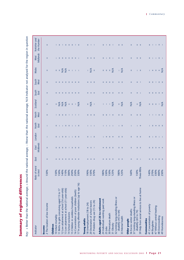Summary of regional differences **Summary of regional differences**

Key: + Better than the national average; = Around the national average; - Worse than the national average; N/A Indicator not analysed for the region in question Key: + Better than the national average; = Around the national average; – Worse than the national average; N/A Indicator not analysed for the region in question

| Indicator                                                     | worst<br>to best<br>Ratio of         | East             | East<br>Midlands          | London                                                                                                                    | North<br>East                 | North<br>West             | Scotland                                                                        | South<br>East                                       | South<br>West               | <b>Wales</b>                                      | <b>Midlands</b><br>West                                                                                                   | Yorkshire and<br>the Humber                                               |
|---------------------------------------------------------------|--------------------------------------|------------------|---------------------------|---------------------------------------------------------------------------------------------------------------------------|-------------------------------|---------------------------|---------------------------------------------------------------------------------|-----------------------------------------------------|-----------------------------|---------------------------------------------------|---------------------------------------------------------------------------------------------------------------------------|---------------------------------------------------------------------------|
| 2 The location of low income<br>Income                        | 150%                                 | $^{+}$           | $\rm H$                   | T                                                                                                                         | T                             | $\mathbf{II}$             | $\label{eq:1} \text{II}$                                                        | $^{+}$                                              | $\mathbf{II}$               | $\mathbf{II}$                                     | Ш                                                                                                                         | Ш                                                                         |
| 10 Infant mortality<br>Children                               |                                      | $^{+}$           |                           |                                                                                                                           |                               |                           |                                                                                 |                                                     | $^{+}$                      |                                                   |                                                                                                                           |                                                                           |
| 11 Births to girls conceiving aged 15 to 17                   |                                      |                  |                           | $II = I$                                                                                                                  | $II = I$                      | $1 - 11$                  |                                                                                 |                                                     | $+$                         |                                                   |                                                                                                                           | $\mathbb{I}$ $\mathbb{I}$                                                 |
| 12 Low attainment at school (16-year-olds)                    |                                      |                  |                           |                                                                                                                           |                               |                           |                                                                                 | $^{+}$                                              | $+$                         |                                                   |                                                                                                                           |                                                                           |
| 13 Low attainment at school (11-year-olds)                    |                                      | Ш                |                           |                                                                                                                           |                               | $\mathbf{H} = \mathbf{H}$ |                                                                                 | $\rm H$                                             | Ш.                          |                                                   |                                                                                                                           |                                                                           |
| 14 School exclusions                                          |                                      | $\mathbf{H}$     |                           |                                                                                                                           |                               |                           |                                                                                 |                                                     | $\mathbf{H}$ +              |                                                   |                                                                                                                           |                                                                           |
| 15 Children in workless households                            | 150%<br>150%<br>140%<br>110%<br>300% | $+$              |                           | $\begin{array}{cccccccccc} \text{II} & \text{II} & \text{II} & \text{I} & \text{I} & \text{I} \end{array}$                |                               | $-1$                      |                                                                                 | $   +$                                              |                             |                                                   |                                                                                                                           |                                                                           |
| 16 Concentration of poor children (teeth)                     | 250%<br>330%                         | $+$              |                           | $\parallel$ $\parallel$ $\parallel$                                                                                       | $-1$ $-1$                     | $\perp$                   | $\frac{1}{2}$ = 5 $\frac{1}{2}$ = $\frac{1}{2}$ = $\frac{1}{2}$ = $\frac{1}{2}$ | $+$                                                 | $+$                         | ≶ ≶ + + + + +                                     |                                                                                                                           | $-1$ $-1$                                                                 |
| 17 In young offender institutions (up to age 16)              |                                      | $^{+}$           |                           |                                                                                                                           |                               | - 1                       |                                                                                 | $+$                                                 | $+$                         |                                                   |                                                                                                                           |                                                                           |
| <b>Young adults</b>                                           |                                      |                  |                           |                                                                                                                           |                               |                           | $\parallel \parallel \leq$                                                      |                                                     |                             |                                                   |                                                                                                                           |                                                                           |
| 18 Unemployment (18 to 24)                                    |                                      |                  | $+$                       | Ш.                                                                                                                        |                               |                           |                                                                                 | $\overline{+}$                                      | $^{+}$                      |                                                   |                                                                                                                           |                                                                           |
| 20 Destination of school leavers                              | 190%<br>150%<br>370%                 |                  | $\mathbf{H} = \mathbf{I}$ | $-1$ $-1$                                                                                                                 | $1 - 1 - 1$                   | $\Pi = \Pi = \Pi$         |                                                                                 |                                                     | $+$ $  $                    | $\frac{1}{2}$ =                                   | $\mathbf{H} = \mathbf{H} = \mathbf{H}$                                                                                    | $\Pi = \Pi = \Pi$                                                         |
| 21 Problem drug use (15 to 24)                                |                                      |                  |                           |                                                                                                                           |                               |                           |                                                                                 | $+$                                                 |                             |                                                   |                                                                                                                           |                                                                           |
| <b>Adults aged 25 to retirement</b>                           |                                      |                  |                           |                                                                                                                           |                               |                           |                                                                                 |                                                     |                             |                                                   |                                                                                                                           |                                                                           |
| 24 Individuals wanting paid work                              | 180%                                 |                  |                           |                                                                                                                           |                               |                           |                                                                                 |                                                     |                             |                                                   |                                                                                                                           |                                                                           |
| 25 Jobs                                                       | 330%                                 |                  | $+$ $  $                  | $1 +$                                                                                                                     |                               | $   \cdot   $             |                                                                                 | $+$                                                 | $+$                         |                                                   |                                                                                                                           |                                                                           |
| 30 Premature death                                            | 150%                                 | $\boldsymbol{+}$ | $\mathbf{H} = \mathbf{H}$ | $\mathbf{H}$ +                                                                                                            | $1 - 1 - 1 - 1$               |                           |                                                                                 | $^{+}$                                              | $^{+}$                      |                                                   | $  \cdot  $ $  \cdot  $                                                                                                   | $  \cdot  $ $  \cdot  $                                                   |
| 31 Obesity                                                    | 125%                                 | Ш                |                           |                                                                                                                           |                               | $+$                       | $1 + 1 = \frac{5}{2}$                                                           | - II                                                | - II                        | $\parallel$ $\parallel$ $\parallel$ $\frac{4}{2}$ |                                                                                                                           |                                                                           |
| 32 Limiting long-standing illness or<br>disability (45 to 64) |                                      | $+$              |                           |                                                                                                                           |                               |                           |                                                                                 |                                                     |                             |                                                   |                                                                                                                           |                                                                           |
| 33 Mental health                                              | 180%<br>125%                         | - 11             | $   \cdot   $             | $   -   $                                                                                                                 | $\mathbf{I} = \mathbf{II}$    | $   -   $                 | $\frac{1}{2}$                                                                   | $+$ $  $                                            | $+$ $  $                    | $\frac{1}{2}$                                     | $II = II$                                                                                                                 | $   \cdot   $                                                             |
| Older people                                                  |                                      |                  |                           |                                                                                                                           |                               |                           |                                                                                 |                                                     |                             |                                                   |                                                                                                                           |                                                                           |
| 36 Excess winter deaths                                       | 160%                                 | $^{+}$           | $\mathbf{II}$             | $\mathbf{II}$                                                                                                             | ī                             | $\mathbf{II}$             | $\frac{4}{2}$                                                                   | $^{+}$                                              | $\pm$                       | $\rm H$                                           | $\mathbf{II}$                                                                                                             | $\mathbf{II}$                                                             |
| 37 Limiting long-standing illness or<br>disability (65 to 74) | 150%<br>Three-fitths                 | $+$              |                           |                                                                                                                           |                               |                           |                                                                                 | $+$ 1                                               | $+$ 1                       |                                                   |                                                                                                                           | $   \cdot   $                                                             |
| 39 Help from social services to live at home                  |                                      | $\mathbf{I}$     | $   \cdot   $             | $   -   $                                                                                                                 | $1 +$                         | $   -   $                 | $\frac{d}{dz}$                                                                  |                                                     |                             | $\ \cdot\ $                                       | $   -   $                                                                                                                 |                                                                           |
| <b>Communities</b>                                            |                                      |                  |                           |                                                                                                                           |                               |                           |                                                                                 |                                                     |                             |                                                   |                                                                                                                           |                                                                           |
| 41 Concentration of poverty                                   | 140%<br>270%<br>330%<br>400%<br>230% | $^{+}$           |                           |                                                                                                                           | $1 - 11$                      | $1 - 1$                   |                                                                                 | $+$                                                 |                             |                                                   |                                                                                                                           |                                                                           |
| 44 Burglaries                                                 |                                      | Ш                |                           |                                                                                                                           |                               |                           |                                                                                 |                                                     |                             |                                                   |                                                                                                                           |                                                                           |
| 47 Without central heating                                    |                                      | $^{+}$           |                           |                                                                                                                           | $+$                           | $\mathbf{L}$              |                                                                                 |                                                     |                             |                                                   |                                                                                                                           |                                                                           |
| 48 Overcrowding                                               |                                      | $  $ +           | $              + +$       | $\begin{array}{cccccccccccccc} \text{II} & \text{I} & \text{II} & \text{II} & \text{I} & \text{I} & \text{I} \end{array}$ | $\mathbf{H}$ and $\mathbf{H}$ | $-11 - 11$                | $                  \leq$                                                        | $\mathbf{H}$ $\mathbf{H}$ $\mathbf{H}$ $\mathbf{+}$ | $+$ $+$ $ +$ $ +$ $ +$ $ +$ | $1 + 1 + \frac{4}{2}$                             | $\begin{array}{cccccccccccccc} \text{II} & \text{I} & \text{I} & \text{I} & \text{II} & \text{II} & \text{I} \end{array}$ | $\ \mathbf{I} - \mathbf{I}\  = \ \mathbf{I} - \mathbf{II}\  = \mathbf{I}$ |
| 49 Homelessness                                               |                                      |                  |                           |                                                                                                                           |                               |                           |                                                                                 |                                                     |                             |                                                   |                                                                                                                           |                                                                           |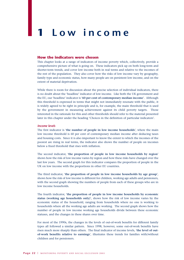# **1 Low income**

#### **How the indicators were chosen**

This chapter looks at a range of indicators of income poverty which, collectively, provide a comprehensive picture of what is going on. These indicators pick up on both long-term and shorter-term trends, and cover low income both in real terms and relative to the incomes of the rest of the population. They also cover how the risks of low income vary by geography, family type and economic status, how many people are on persistent low income, and on the extent of material deprivation.

While there is room for discussion about the precise selection of individual indicators, there is no doubt about the 'headline' indicator of low income. Like both the UK government and the EU, our 'headline' indicator is '**60 per cent of contemporary median income**'. Although this threshold is expressed in terms that might not immediately resonate with the public, it is widely agreed to be right in principle and is, for example, the main threshold that is used by the government in measuring achievement against its child poverty targets. Those interested in the rationale for this and other thresholds should refer to the material presented later in this chapter under the heading 'Choices in the definition of particular indicators'.

#### *Income levels*

The first indicator is '**the number of people in low income households**', where the main low income threshold is 60 per cent of contemporary median income after deducing taxes and housing costs. Since it is also important to know the extent to which the incomes of the poorest are rising in real terms, the indicator also shows the number of people on incomes below a fixed threshold that rises with inflation.

The second indicator, '**the proportion of people in low income households by region**' shows how the risk of low income varies by region and how these risks have changed over the last few years. The second graph for this indicator compares the proportion of people in the UK on low income with the proportions in other EU countries.

The third indicator, '**the proportion of people in low income households by age group**', shows how the risk of low income is different for children, working age adults and pensioners, with the second graph showing the numbers of people from each of these groups who are in low income households.

The fourth indicator, '**the proportion of people in low income households by economic status (working age households only)**', shows how the risk of low income varies by the economic status of the household, ranging from households where no one is working to households where all the working age adults are working. The second graph shows how the number of people in low income working age households divide between these economic statuses, and the changes in these shares over time.

For most of the 1990s, the changes in the levels of out-of-work benefits for different family types all followed a similar pattern. Since 1998, however, some out-of-work benefits have risen much more sharply than others. The final indicator of income levels, '**the level of outof-work benefits relative to earnings**', illustrates these trends for families with/without children and for pensioners.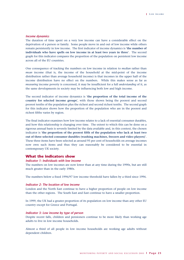#### *Income dynamics*

The duration of time spent on a very low income can have a considerable effect on the deprivation of a person or family. Some people move in and out of low income while others remain persistently in low income. The first indicator of income dynamics is '**the number of individuals who have spells on low income in at least two years in three**'. The second graph for this indicator compares the proportion of the population on persistent low income across all of the EU countries.

One consequence of tracking the numbers on low income in relation to *median* rather than *mean* income (that is, the income of the household at the mid-point of the income distribution rather than average household income) is that incomes in the upper half of the income distribution have no effect on the numbers. While this makes sense as far as *measuring* income poverty is concerned, it may be insufficient for a full *understanding* of it, as the same developments in society may be influencing both low and high income.

The second indicator of income dynamics is '**the proportion of the total income of the country for selected income groups**', with those shown being the poorest and second poorest tenths of the population plus the richest and second richest tenths. The second graph for this indicator shows how the proportion of the population who are in the poorest and richest fifths varies by region.

The final indicator examines how low income relates to a lack of essential consumer durables, and how this relationship is changing over time. The extent to which this can be done on a rigorous annual basis is severely limited by the data available and, in this context, the chosen indicator is '**the proportion of the poorest fifth of the population who lack at least two out of three selected consumer durables (washing machines, freezers and video players)**'. These three items have been selected as around 95 per cent of households on average incomes now own such items and thus they can reasonably be considered to be essential in contemporary UK society.

#### **What the indicators show**

#### *Indicator 1: Individuals with low income*

The numbers on low incomes are now lower than at any time during the 1990s, but are still much greater than in the early 1980s.

The numbers below a fixed 1996/97 low income threshold have fallen by a third since 1996.

#### *Indicator 2: The location of low income*

London and the North East continue to have a higher proportion of people on low income than the other regions. The South East and East continue to have a smaller proportion.

In 1999, the UK had a greater proportion of its population on low income than any other EU country except for Greece and Portugal.

#### *Indicator 3: Low income by type of person*

Despite recent falls, children and pensioners continue to be more likely than working age adults to live in low income households.

Almost a third of all people in low income households are working age adults without dependent children.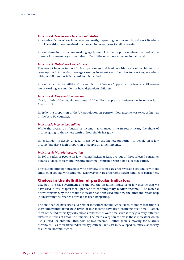#### *Indicator 4: Low income by economic status*

A household's risk of low income varies greatly, depending on how much paid work its adults do. These risks have remained unchanged in recent years for all categories.

Among those in low income working age households, the proportion where the head of the household is unemployed has halved. Two-fifths now have someone in paid work.

#### *Indicator 5: Out-of-work benefit levels*

The level of Income Support for both pensioners and families with two or more children has gone up much faster than average earnings in recent years, but that for working age adults without children has fallen considerably behind.

Among all adults, two-fifths of the recipients of Income Support and Jobseeker's Allowance are of working age and do not have dependent children.

#### *Indicator 6: Persistent low income*

Nearly a fifth of the population – around 10 million people – experience low income at least 2 years in 3.

In 1999, the proportion of the UK population on persistent low income was twice as high as in the best EU countries.

#### *Indicator7: Income inequalities*

While the overall distribution of income has changed little in recent years, the share of income going to the richest tenth of households has grown.

Inner London is deeply divided: it has by far the highest proportion of people on a low income but also a high proportion of people on a high income.

#### *Indicator 8: Material deprivation*

In 2001, a fifth of people on low incomes lacked at least two out of three selected consumer durables (video, freezer and washing machine) compared with a half a decade earlier.

The vast majority of households with very low incomes are either working age adults without children or couples with children. Relatively few are either lone parent families or pensioners.

#### **Choices in the definition of particular indicators**

Like both the UK government and the EU, the 'headline' indicator of low income that we have used in this chapter is '**60 per cent of contemporary median income**'. The material below explains why the headline indicator has been used and how the other indicators help in illustrating the essence of what has been happening.

The fact that we have used a variety of indicators should *not* be taken to imply that there is gross uncertainty about how levels of low income have been changing over time. Rather, most of the indicators typically show similar trends over time, even if they give very different answers in terms of absolute numbers. The main exception to this is those indicators which use a fixed (or absolute) threshold of low income – rather than a moving (or relative) thresholds – as these fixed indicators typically fall (at least in developed countries) as society as a whole becomes richer.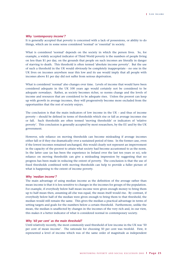#### *Why 'contemporary income'?*

It is generally accepted that poverty is concerned with a lack of possessions, or ability to do things, which are in some sense considered 'normal' or 'essential' in society.

What is considered 'normal' depends on the society in which the person lives. So, for example, a widely accepted indicator of Third World poverty is the numbers of people living on less than \$1 per day, on the grounds that people on such incomes are literally in danger of starving to death. This threshold is often termed 'absolute income poverty'. But the use of such a threshold in the UK would obviously be completely inappropriate - no one in the UK lives on incomes anywhere near this low and its use would imply that all people with incomes above \$1 per day did not suffer from serious deprivation.

What is considered 'normal' also changes over time. Levels of income that would have been considered adequate in the UK 100 years ago would certainly not be considered to be adequate nowadays. Rather, as society becomes richer, so norms change and the levels of income and resources that are considered to be adequate rises. Unless the poorest can keep up with growth in average incomes, they will progressively become more excluded from the opportunities that the rest of society enjoys.

The conclusion is that the main indicators of low income in the UK – and thus of income poverty – should be defined in terms of thresholds which rise or fall as average incomes rise or fall. Such thresholds are often termed 'moving thresholds' or indicators of 'relative poverty'. This conclusion is generally accepted by most researchers, by the EU and by the UK government.

However, sole reliance on moving thresholds can become misleading if average incomes either fall or if they rise dramatically over a sustained period of time. In the former case, even if the lowest incomes remained unchanged, this would clearly not represent an improvement in the capacity of the poorest to attain what society had become accustomed to as the norm. In the latter case (as has been the experience in Ireland over the last ten years or so), sole reliance on moving thresholds can give a misleading impression by suggesting that no progress has been made in reducing the extent of poverty. The conclusion is that the use of fixed thresholds combined with moving thresholds can help to provide a fuller picture of what is happening to the extent of income poverty.

#### *Why 'median income'?*

The main advantage of using median income as the definition of the average rather than mean income is that it is less sensitive to changes in the incomes for groups of the population. For example, if everybody below half mean income were given enough money to bring them up to half mean then, assuming all else was equal, the mean itself would rise. By contrast, if everybody below half of the median were given enough to bring them to that threshold, the median would still remain the same. This gives the median a practical advantage in terms of setting targets and goals for the numbers below a certain threshold. Furthermore, unlike the mean, the median is unaffected by changes in the incomes of the very rich and, in our view, this makes it a better indicator of what is considered normal in contemporary society.

#### *Why '60 per cent' as the main threshold?*

Until relatively recently, the most commonly used threshold of low income in the UK was '50 per cent of mean income'. The rationale for choosing 50 per cent was twofold. First, it represented a level of income which was of the same order of magnitude as independent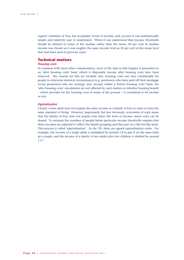experts' estimates of 'low, but acceptable' levels of income; and, second, it was arithmetically simple and relatively easy to understand. When it was understood that income thresholds should be defined in terms of the median rather than the mean, 60 per cent of median income was chosen as it was roughly the same income level as 50 per cent of the mean level that had been used in previous years.

#### **Technical matters**

#### *Housing costs*

In common with most other commentators, most of the data in this chapter is presented on an 'after housing costs' basis, which is disposable income after housing costs have been removed. The reasons for this are twofold: first, housing costs can vary considerably for people in otherwise identical circumstances (e.g. pensioners who have paid off their mortgage versus pensioners who are renting); and, second, unlike a 'before housing costs' basis, the 'after housing costs' calculations are not affected by such matters as whether housing benefit – which provides for the housing costs of many of the poorest – is considered to be income or not.

#### *Equivalisation*

Clearly, a lone adult does not require the same income as a family of four in order to have the same standard of living. However, importantly but less obviously, economies of scale mean that the family of four does not require four times the level of income: many costs can be shared. To estimate the numbers of people below particular income thresholds requires that these incomes are adjusted to reflect the family grouping and thus put on a like-for-like basis. This process is called 'equivalisation'. In the UK, there are agreed equivalisation scales. For example, the income of a single adult is multiplied by around 1.8 to put it on the same basis as a couple, and the income of a family of two adults plus two children is divided by around 1.5.12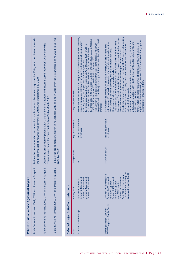|                                                                | Public Service Agreement 2002, DWP and Treasury, Target 1                                                                                                                                                                                                        |                             |                                                              | Reduce the number of children in low income households by at least a quarter by 2004, as a contribution towards<br>the broader target of halving child poverty by 2010 and eradicating it by 2020.                                                                                                                                                                                                                                                                                                                                                                                                                                                                                                                                                                                                                                                                                                                                                                                                                                                                                |
|----------------------------------------------------------------|------------------------------------------------------------------------------------------------------------------------------------------------------------------------------------------------------------------------------------------------------------------|-----------------------------|--------------------------------------------------------------|-----------------------------------------------------------------------------------------------------------------------------------------------------------------------------------------------------------------------------------------------------------------------------------------------------------------------------------------------------------------------------------------------------------------------------------------------------------------------------------------------------------------------------------------------------------------------------------------------------------------------------------------------------------------------------------------------------------------------------------------------------------------------------------------------------------------------------------------------------------------------------------------------------------------------------------------------------------------------------------------------------------------------------------------------------------------------------------|
|                                                                | Public Service Agreement 2002, DWP and Treasury, Target 2                                                                                                                                                                                                        |                             | receive maintenance for their children to 60% by March 2006. | Double the proportion of parents with Care on Income Support and income-based Jobseeker's Allowance who                                                                                                                                                                                                                                                                                                                                                                                                                                                                                                                                                                                                                                                                                                                                                                                                                                                                                                                                                                           |
|                                                                | Public Service Agreement 2002, DWP and Treasury, Target 5                                                                                                                                                                                                        | 2006 by 6 <sup>1</sup> /2%. |                                                              | Reduce the proportion of children in households with no one in work over the 3 years from Spring 2003 to Spring                                                                                                                                                                                                                                                                                                                                                                                                                                                                                                                                                                                                                                                                                                                                                                                                                                                                                                                                                                   |
|                                                                |                                                                                                                                                                                                                                                                  |                             |                                                              |                                                                                                                                                                                                                                                                                                                                                                                                                                                                                                                                                                                                                                                                                                                                                                                                                                                                                                                                                                                                                                                                                   |
| Selected major initiatives under way                           |                                                                                                                                                                                                                                                                  |                             |                                                              |                                                                                                                                                                                                                                                                                                                                                                                                                                                                                                                                                                                                                                                                                                                                                                                                                                                                                                                                                                                                                                                                                   |
| Policy                                                         | Starting dates                                                                                                                                                                                                                                                   | Key department              | Key delivery agency                                          | Budget/target/comment                                                                                                                                                                                                                                                                                                                                                                                                                                                                                                                                                                                                                                                                                                                                                                                                                                                                                                                                                                                                                                                             |
| National Minimum Wage                                          | October 2002: uprated<br>October 2000: uprated<br>October 2001: uprated<br>October 2003: uprated<br>April 1999: introduced                                                                                                                                       | Б                           | Inland Revenue and<br>employers                              | When first introduced, set at £3.60 per hour for those aged 22 years and over,<br>Wage affected 1.3 million jobs, rising to 1.5 million after the 2001 and 2002<br>For those aged 18 to 21, raised to £3.20 in October 2000, £3.50 in October<br>unless in an exempt category or on a registered training scheme (in which<br>The Low Pay Commission estimated that the original National Minimum<br>For those aged 22 and over, raised to £3.70 in October 2000, £4.10 in<br>October 2001, £4.20 in October 2002 and £4.50 in October 2003.<br>2001, £3.60 in October 2002 and £3.80 in October 2003.<br>case only £3.20). £3.00 per hour for those aged 18-21.<br>increases.                                                                                                                                                                                                                                                                                                                                                                                                    |
| (WFTC) (replaced Family Credit)<br>Working Families Tax Credit | combination of Working Tax<br>Credit and Child Tax Credit<br>October 1999: introduced<br>April 2003: replaced by a<br>October 2000: uprated<br>October 2001: uprated<br>October 2002: uprated<br>April 2001: uprated<br>April 2002: uprated<br>une 2002: uprated | Treasury and DWP            | Inland Revenue and<br>employers                              | hours worked (the minimum is 16 hours), childcare costs and levels of savings.<br>for a family with one full-time worker. No tax until £235 per week for families<br>eligibility for those with savings between £3,000 and £8,000, implying total<br>Minimum income quarantee raised to £208 in October 2000, £214 in April<br>The level of the credit is dependent on the number of children, how many<br>2001, £225 in October 2001, £227 in April 2002, £230 in June 2002 and<br>minimum of 16 hrs/week. It consisted of a basic element, an element for<br>For families/lone parents with one child or more, who are working for a<br>Only available to those with savings of less than £8,000, with decreased<br>with one full-timer (55p taper, down from 70p under the Family Credit<br>those working 30+ hours per week, and an element for each child.<br>When first introduced, guaranteed a weekly gross income of £200<br>Help towards childcare costs was also available.<br>expenditure of around £6 billion.<br>scheme that it replaced).<br>£237 in October 2002. |

*Relevant Public Service Agreement targets* 

Relevant Public Service Agreement targets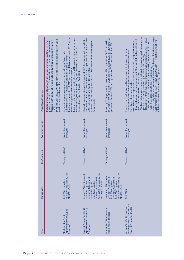| <b>Budget/target/comment</b> | In its final year (2002), Working Families Tax Credit paid an average of £86 a<br>October 1999) and £135 for one child and £200 for 2+ children (from April<br>ncluded a childcare allowance of up to 70% of childcare costs for working<br>parents, up to a limit of £100 for one child and £150 for 2+ children (from<br>week to 1.4 million households.<br>2001). | Maximum tax reduction of £529 per annum. This compares with £197 for the<br>Maximum amount for the family element will be given to those on an annual<br>income of £32,750 or less. For every £15 above this, £1 is deducted.<br>Payable to anyone paying tax who has a child aged 16 or under<br>(implemented as a reduction in the tax bill of the claimant).<br>Married Couples' Allowance which it replaced.<br>Replaced by Child Tax Credit in April 2003. | Originally guaranteed a weekly income of £231 for a couple with one child.<br>Minimum income guarantee raised to £246 in April 2001, £260 in April 2002,<br>Operated like the Working Families Tax Credit, except no children required<br>£263 in June 2002 and £264 in October 2002.<br>to be eligible. | Raised by £2.50 per week in November 1998, by a further £4.70 per week<br>in October 1999, by a further £1.10 per week in April 2000, by a further £4.35<br>per week in October 2000, and by a further £3.50 per week in April 2002. | . Workers with a disability who work at least 16 hours per week (maximum as<br>Subject to eligibility, the maximum is available for households with an average<br>· Households without dependent children where at least one partner is aged<br>least 16 hours per week (maximum of £70 per week if working at least 30<br>weekly income of up to £97 (about £5,000 a year). For each pound above<br>· Households with dependent children where at least one partner works at<br>25 or over and works at least 30 hours per week (maximum of £70 per<br>Increased the level of tax credits for people with dependent children<br>and extended them to some people without dependent children.<br>per the other family types plus up to £39 for the disability).<br>week if a couple and £41 per week if single).<br>this level, the amount of reduces by 37 pence.<br>hours and £58 if working 16-29 hours.).<br>Three types of family are eligible: |
|------------------------------|----------------------------------------------------------------------------------------------------------------------------------------------------------------------------------------------------------------------------------------------------------------------------------------------------------------------------------------------------------------------|-----------------------------------------------------------------------------------------------------------------------------------------------------------------------------------------------------------------------------------------------------------------------------------------------------------------------------------------------------------------------------------------------------------------------------------------------------------------|----------------------------------------------------------------------------------------------------------------------------------------------------------------------------------------------------------------------------------------------------------------------------------------------------------|--------------------------------------------------------------------------------------------------------------------------------------------------------------------------------------------------------------------------------------|------------------------------------------------------------------------------------------------------------------------------------------------------------------------------------------------------------------------------------------------------------------------------------------------------------------------------------------------------------------------------------------------------------------------------------------------------------------------------------------------------------------------------------------------------------------------------------------------------------------------------------------------------------------------------------------------------------------------------------------------------------------------------------------------------------------------------------------------------------------------------------------------------------------------------------------------------|
| Key delivery agency          |                                                                                                                                                                                                                                                                                                                                                                      | <b>Inland Revenue and</b><br>employers                                                                                                                                                                                                                                                                                                                                                                                                                          | Inland Revenue and<br>employers                                                                                                                                                                                                                                                                          | Inland Revenue and<br>employers                                                                                                                                                                                                      | <b>Inland Revenue and</b><br>employers                                                                                                                                                                                                                                                                                                                                                                                                                                                                                                                                                                                                                                                                                                                                                                                                                                                                                                               |
|                              |                                                                                                                                                                                                                                                                                                                                                                      | Treasury and DWP                                                                                                                                                                                                                                                                                                                                                                                                                                                | Treasury and DWP                                                                                                                                                                                                                                                                                         | Treasury and DWP                                                                                                                                                                                                                     | Treasury and DWP                                                                                                                                                                                                                                                                                                                                                                                                                                                                                                                                                                                                                                                                                                                                                                                                                                                                                                                                     |
| Starting dates               |                                                                                                                                                                                                                                                                                                                                                                      | April 2003: replaced by the<br>April 2001: introduced<br>Child Tax Credit                                                                                                                                                                                                                                                                                                                                                                                       | April 2003: replaced by the<br>October 1999: introduced<br>October 2002: uprated<br>October 2001: uprated<br>April 2002: uprated<br>April 2001: uprated<br>Working Tax Credit<br>une 2002: uprated                                                                                                       | April 2003: replaced by the<br>November 1998: uprated<br>October 1999: uprated<br>October 2000: uprated<br>April 2000: uprated<br>April 2002: uprated<br>Child Tax Credit                                                            | April 2003                                                                                                                                                                                                                                                                                                                                                                                                                                                                                                                                                                                                                                                                                                                                                                                                                                                                                                                                           |
| Policy                       |                                                                                                                                                                                                                                                                                                                                                                      | (replaced Married Couples'<br>Children's Tax Credit<br>Allowance)                                                                                                                                                                                                                                                                                                                                                                                               | (replaced Disability Working<br>Disabled Persons Tax Credit<br>Allowance)                                                                                                                                                                                                                                | Increase in Child Allowance<br>within Income Support                                                                                                                                                                                 | Working Families Tax Credit and<br>Disabled Persons Tax Credit)<br>Working Tax Credit (replaced                                                                                                                                                                                                                                                                                                                                                                                                                                                                                                                                                                                                                                                                                                                                                                                                                                                      |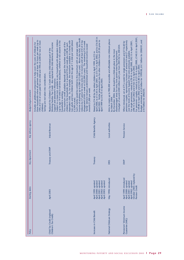|                       | those households where all partners work at least 16 hours per week (up to<br>70% of £135 of costs paid for one child and 70% of £200 for two or more<br>ncludes an additional component to help cover the costs of childcare for | income of anything up to £284 (£15,000 a year). Above this level, the credit<br>Subject to a mean-test, available to any household with dependent children<br>reduces by 37 pence for every extra £1 in income until all but £10 of it has<br>two adults and two children both over the age of 1 is £66 per week (about<br>(up to age 19 if child in full-time education), whether or not anyone in the<br>dependent child. So, for example, the maximum available to a family with<br>disappeared (£430 a week or £22,000 a year). The remaining £10 a week<br>Such a family would be entitled to this maximum with an average weekly<br>The maximum credit available depends upon the number and age of the<br>Working Families Tax Credit. Also replaced the child elements of Income<br>children in the household, but is around £10 per week plus £28 for each<br>family' element remains undiminished until household incomes exceed<br>Replaced the Children's Tax Credit and the child-related part of the | April 2000, to £15.50 in April 2001, to £15.75 in April 2002, and to £16.05 in<br>April 2003. Similar proportional rises for other children from £9.30 prior to<br>Raised to £14.40 for the eldest children in April 1999, to £15 in | Aims to create up to 900,000 accessible and affordable new childcare places<br>disadvantaged areas for every lone parent entering employment.<br>A budget of around £400 million each year from 2001/02 to 2003/04.<br>By December 2004, there should be a childcare place in the most | For pensioner couples, raised to £121.95 in April 2000, £140.55 in April 2001,<br>Budget estimated at £3.8 billion for 1999/00, £4.1 billion for 2000/01, and<br>pensioner couples, representing increases of around £4 and £7 respectively<br>For single pensioners, raised to £78.45 in April 2000, £92.15 in April 2001,<br>When introduced, set at £75 a week for single pensioners and £116.60 for<br>over the levels of Income Support that were previously available.<br>£149.80 in April 2002 and £155.80 in April 2003.<br>£98.15 in April 2002 and £102.10 in April 2003. |
|-----------------------|-----------------------------------------------------------------------------------------------------------------------------------------------------------------------------------------------------------------------------------|--------------------------------------------------------------------------------------------------------------------------------------------------------------------------------------------------------------------------------------------------------------------------------------------------------------------------------------------------------------------------------------------------------------------------------------------------------------------------------------------------------------------------------------------------------------------------------------------------------------------------------------------------------------------------------------------------------------------------------------------------------------------------------------------------------------------------------------------------------------------------------------------------------------------------------------------------------------------------------------------------------------------|--------------------------------------------------------------------------------------------------------------------------------------------------------------------------------------------------------------------------------------|----------------------------------------------------------------------------------------------------------------------------------------------------------------------------------------------------------------------------------------------------------------------------------------|-------------------------------------------------------------------------------------------------------------------------------------------------------------------------------------------------------------------------------------------------------------------------------------------------------------------------------------------------------------------------------------------------------------------------------------------------------------------------------------------------------------------------------------------------------------------------------------|
| Budget/target/comment | Savings are not taken into consideration.<br>children).                                                                                                                                                                           | Support and Jobseeker's Allowance.<br>around £1,000 per week.<br>household is working.<br>£3,500 a year).                                                                                                                                                                                                                                                                                                                                                                                                                                                                                                                                                                                                                                                                                                                                                                                                                                                                                                          | April 1999 to £10.75 in April 2003.                                                                                                                                                                                                  | by March 2004.                                                                                                                                                                                                                                                                         | £4.4 billion for 2002/03.                                                                                                                                                                                                                                                                                                                                                                                                                                                                                                                                                           |
| Key delivery agency   |                                                                                                                                                                                                                                   | <b>Inland Revenue</b>                                                                                                                                                                                                                                                                                                                                                                                                                                                                                                                                                                                                                                                                                                                                                                                                                                                                                                                                                                                              | Child Benefits Agency                                                                                                                                                                                                                | Local authorities                                                                                                                                                                                                                                                                      | Pension Service                                                                                                                                                                                                                                                                                                                                                                                                                                                                                                                                                                     |
| Key department        |                                                                                                                                                                                                                                   | Treasury and DWP                                                                                                                                                                                                                                                                                                                                                                                                                                                                                                                                                                                                                                                                                                                                                                                                                                                                                                                                                                                                   | Treasury                                                                                                                                                                                                                             | <b>DfES</b>                                                                                                                                                                                                                                                                            | DWP                                                                                                                                                                                                                                                                                                                                                                                                                                                                                                                                                                                 |
| <b>Starting dates</b> |                                                                                                                                                                                                                                   | April 2003                                                                                                                                                                                                                                                                                                                                                                                                                                                                                                                                                                                                                                                                                                                                                                                                                                                                                                                                                                                                         | April 1999: uprated<br>April 2000: uprated<br>April 2001: uprated<br>April 2002: uprated<br>April 2003: uprated                                                                                                                      | May 1998: introduced                                                                                                                                                                                                                                                                   | October 2003: replaced by<br>April 1999: introduced<br>April 2000: uprated<br>April 2001: uprated<br>April 2002: uprated<br>Pension Credit                                                                                                                                                                                                                                                                                                                                                                                                                                          |
| Policy                |                                                                                                                                                                                                                                   | Child Tax Credit (replaced<br>Children's Tax Credit)                                                                                                                                                                                                                                                                                                                                                                                                                                                                                                                                                                                                                                                                                                                                                                                                                                                                                                                                                               | Increases in Child Benefit                                                                                                                                                                                                           | National Childcare Strategy                                                                                                                                                                                                                                                            | Pensioners' Minimum Income<br><b>Cuarantee (MIC)</b>                                                                                                                                                                                                                                                                                                                                                                                                                                                                                                                                |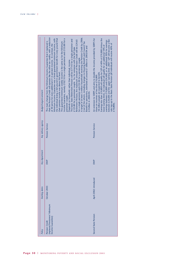|                       | A target of at least 3 million households receiving the Pension Credit by 2006.<br>that the Pension Credit will operate like the other tax credits, with a reduction<br>the individual losing a full pound in government benefit for every pound that<br>Income Guarantee, namely £102.10 for a single pensioner and £155.80 for a<br>Minimum Income Guarantee was a fixed guaranteed minimum income, with<br>The basic State Retirement Pension will be £77.45 for a single pensioner and<br>Retirement Pension, the maximum amount of Pension Credit will be £24.65<br>The main change from the Minimum Income Guarantee that it replaced is<br>The guaranteed minimum weekly income is the same as for the Minimum<br>Cost of the reform, including changes to Housing Benefit and Council Tax<br>of 40 pence for every additional £1 in pension income. In contrast, the<br>Benefit for pensioners, estimated at around £1 billion in 2003/04 and<br>£123.80 for a pensioner couple. So, for someone with the full State<br>for a single pensioner and £32.00 for a pensioner couple.<br>Depends on household, rather than individual, income.<br>their pension income was above this level. | Earnings less than £10,800 will qualify for S2P of 40% of £10,800 (minus the<br>An extension to SERPS and aims to double the income provided by SERPS for<br>between £24,600 and the upper earning limit. 2007: S2P will become a flat-<br>earnings between £10,800 and £24,600, or an additional 20% for earnings<br>rate top-up to the Basic State Pension (all individuals will receive 40% of<br>lower earning limit). An individual will qualify for an additional 10% of<br>18 million people are expected to benefit.<br>those on incomes of less than £10,800. |
|-----------------------|--------------------------------------------------------------------------------------------------------------------------------------------------------------------------------------------------------------------------------------------------------------------------------------------------------------------------------------------------------------------------------------------------------------------------------------------------------------------------------------------------------------------------------------------------------------------------------------------------------------------------------------------------------------------------------------------------------------------------------------------------------------------------------------------------------------------------------------------------------------------------------------------------------------------------------------------------------------------------------------------------------------------------------------------------------------------------------------------------------------------------------------------------------------------------------------------------|------------------------------------------------------------------------------------------------------------------------------------------------------------------------------------------------------------------------------------------------------------------------------------------------------------------------------------------------------------------------------------------------------------------------------------------------------------------------------------------------------------------------------------------------------------------------|
| Budget/target/comment | £2 billion in 2004/05.<br>pensioner couple.                                                                                                                                                                                                                                                                                                                                                                                                                                                                                                                                                                                                                                                                                                                                                                                                                                                                                                                                                                                                                                                                                                                                                      | £10,800                                                                                                                                                                                                                                                                                                                                                                                                                                                                                                                                                                |
| Key delivery agency   | Pension Service                                                                                                                                                                                                                                                                                                                                                                                                                                                                                                                                                                                                                                                                                                                                                                                                                                                                                                                                                                                                                                                                                                                                                                                  | Pension Service                                                                                                                                                                                                                                                                                                                                                                                                                                                                                                                                                        |
| Key department        | <b>DWP</b>                                                                                                                                                                                                                                                                                                                                                                                                                                                                                                                                                                                                                                                                                                                                                                                                                                                                                                                                                                                                                                                                                                                                                                                       | <b>DWP</b>                                                                                                                                                                                                                                                                                                                                                                                                                                                                                                                                                             |
| Starting dates        | October 2003                                                                                                                                                                                                                                                                                                                                                                                                                                                                                                                                                                                                                                                                                                                                                                                                                                                                                                                                                                                                                                                                                                                                                                                     | April 2002: introduced                                                                                                                                                                                                                                                                                                                                                                                                                                                                                                                                                 |
| Policy                | (replaced Pensioners' Minimum<br>ncome Guarantee)<br>Pension Credit                                                                                                                                                                                                                                                                                                                                                                                                                                                                                                                                                                                                                                                                                                                                                                                                                                                                                                                                                                                                                                                                                                                              | Second State Pension                                                                                                                                                                                                                                                                                                                                                                                                                                                                                                                                                   |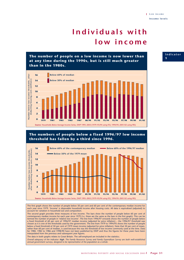## **Individuals with low income**

**The number of people on a low income is now lower than at any time during the 1990s, but is still much greater than in the 1980s.**



#### **The numbers of people below a fixed 1996/97 low income threshold has fallen by a third since 1996.**



The first graph shows the number of people below 50 per cent and 60 per cent of the contemporary median income for each year since 1979. 'Income' is disposable household income after housing costs. All data is equivalised (adjusted) to account for variation in household size and composition.

The second graph provides three measures of low income. The bars show the number of people below 60 per cent of contemporary median income for each year since 1979 (i.e. these are the same as the bars in the first graph). This can be termed the number of people in 'relative low income'. The line from 1996/97 onwards shows the number of people below a fixed threshold of 60 per cent of 1996/97 median income (adjusted for price inflation) – the 1996/97 threshold was chosen as it is one of the thresholds used by the government. The line from 1979 to 1994/95 shows the number of people below a fixed threshold of 50 per cent of 1979 mean income (adjusted for price inflation). Note that 50 per cent of mean, rather than 60 per cent of median, is used because this was the threshold of low income commonly used at the time. Data for 1980, 1982 to 1986 and 1998/90 have not been published by DWP and thus the figures for these years have been interpolated from the previous and subsequent year figures.

The data in both graphs relates to Great Britain. The self-employed are included in the statistics.

*Overall adequacy of the indicator: high. The Family Resources Survey and Family Expenditure Survey are both well-established annual government surveys, designed to be representative of the population as a whole.*

**Indicator 1**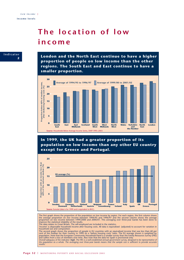## **The location of low income**



**London and the North East continue to have a higher proportion of people on low income than the other regions. The South East and East continue to have a smaller proportion.**



**In 1999, the UK had a greater proportion of its population on low income than any other EU country except for Greece and Portugal.**



The first graph shows the proportion of the population on low income by region. For each region, the first column shows<br>the average proportion on low income between 1994/95 and 1996/97 and the second column shows the avera

'Income' is disposable household income after housing costs. All data is equivalised (adjusted) to account for variation in household size and composition.

The second graph shows the proportion of people in EU countries with an equivalised income that was less than 60 per<br>cent of the median for their country in 1999 on a 'before housing costs' basis. The EU average shown is w

*results.*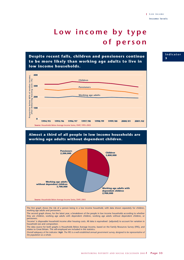## **Low income by type of person**

**Despite recent falls, children and pensioners continue to be more likely than working age adults to live in low income households.**



#### **Almost a third of all people in low income households are working age adults without dependent children.**



The first graph shows the risk of a person being in a low income household, with data shown separately for children, working age adults and pensioners.

The second graph shows, for the latest year, a breakdown of the people in low income households according to whether they are children, working age adults with dependent children, working age adults without dependent children, or pensioners.

'Income' is disposable household income after housing costs. All data is equivalised (adjusted) to account for variation in household size and composition.

The data source for both graphs is Households Below Average Income, based on the Family Resources Survey (FRS), and relates to Great Britain. The self-employed are included in the statistics.

*Overall adequacy of the indicator: high. The FRS is a well-established annual government survey, designed to be representative of the population as a whole.*

#### **Indicator 3**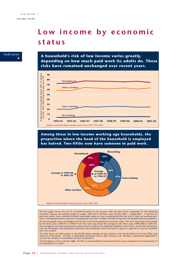### **Low income by economic status**



**A household's risk of low income varies greatly, depending on how much paid work its adults do. These risks have remained unchanged over recent years.**



**Among those in low income working age households, the proportion where the head of the household is employed has halved. Two-fifths now have someone in paid work.**



The first graph shows the risk of a household being on low income, with the data shown separately for the following<br>economic statuses: all working (single or couple, with one in full-time work and the other – if applicable part-time work); some working (includes households where no one is working full-time but one or more are working parttime); unemployed (head or spouse is unemployed) and other workless (includes long-term sick/disabled and lone parents). The second graph shows a breakdown of the low income households by economic status. The inner ring shows the average<br>for the three years 1994/95 to 1996/97 and the outer ring shows the average for the three years 1999/2000 with the first graph, self-employed households and households where the head or spouse is aged 60 or over are excluded from this analysis.

The data source for both graphs is Households Below Average Income, based on the Family Resources Survey (FRS), and<br>relates to Great Britain. 'Income' is disposable household income after housing costs. All data is equival account for variation in household size and composition.

*Overall adequacy of the indicator: high. The FRS is a well-established annual government survey, designed to be representative of the population as a whole.*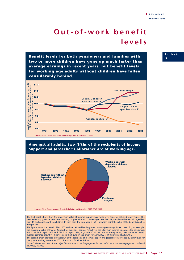## **Out-of-work benefit levels**

**Benefit levels for both pensioners and families with two or more children have gone up much faster than average earnings in recent years, but benefit levels for working age adults without children have fallen considerably behind.**



#### **Amongst all adults, two-fifths of the recipients of Income Support and Jobseeker's Allowance are of working age.**



The first graph shows how the maximum value of Income Support has varied over time for selected family types. The selected family types are pensioner couples, couples with two children aged less than 11, couples with one child aged less than 11 and couples with no children. In each case, the base year is 1994, at which point the value of the benefits is set to 100 per cent.

The figures cover the period 1994/2003 and are deflated by the growth in average earnings in each year. So, for example, the maximum value of Income Support for pensioner couples (effectively the Minimum Income Guarantee for pensioners) was £149.80 in April 2002 and £99.25 in April 1994, a growth of 51 per cent in money terms; over the same period, average earnings grew by 40 per cent, so the figure on the graph for April 2002 is 108 per cent (1.51/1.40).

The second graph provides a breakdown of the recipients of Income Support and Jobseeker's Allowance by family type for the quarter ending November 2002. The data is for Great Britain.

*Overall adequacy of the indicator: high. The statistics in the first graph are factual and those in the second graph are considered to be very reliable.*

**Indicator**

**5**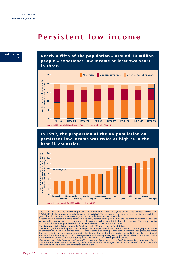### **Persistent low income**



**Nearly a fifth of the population – around 10 million people – experience low income at least two years in three.**



**In 1999, the proportion of the UK population on persistent low income was twice as high as in the best EU countries.**



The first graph shows the number of people on low income in at least two years out of three between 1991/93 and<br>1998/2000 (the latest years for which the analysis is available). The bars are split to show those on low inco years, those in two consecutive years only, and those in the first and third year only.

'Income' is net disposable income before housing costs, deflated and equivalised for the size of the household. Persons are<br>considered to have low income in a given year if they are among the poorest fifth of people in tha The data source is the British Household Panel Survey (BHPS) and relates to Great Britain.

The second graph shows the proportions of the population in persistent low income across the EU. In this graph, individuals<br>in persistent low income are defined as those whose income is below 60 per cent of the national me

*Overall adequacy of the indicator: medium. BHPS is a much smaller survey than the Family Resources Survey and suffers from a loss of members over time. Care is also required in interpreting the percentages since all that is recorded is the income of the individual at a point in each year, rather than continuously.*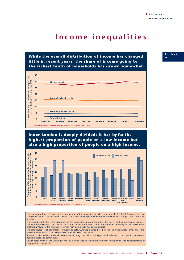## **Income inequalities**

**While the overall distribution of income has changed little in recent years, the share of income going to the richest tenth of households has grown somewhat.**



### **Inner London is deeply divided: it has by far the highest proportion of people on a low income but also a high proportion of people on a high income.**



The first graph shows the share of the total income of the population for selected income deciles (tenths), namely the two poorest deciles and the two richest deciles. The shares added up for all ten deciles therefore total 100 per cent of the total income.

The second graph shows the proportion of the population whose income is in the lowest and highest income quintiles (fifths) in each region in Great Britain in 2000/01. Inner and Outer London are presented separately as the results are so different  $(2000/01)$  is the first year for which such a separation has been possible).

The data source for all the graphs is Households Below Average Income, based on the Family Resources Survey (FRS), and relates to Great Britain. The self-employed are included in the statistics.

'Income' is disposable household income after housing costs. All data is equivalised (adjusted) to account for variation in household size and composition.

*Overall adequacy of the indicator: high. The FRS is a well-established annual government survey, designed to be representative of the population as a whole.*

**Indicator 7**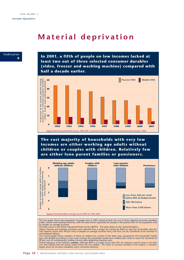## **Material deprivation**



**In 2001, a fifth of people on low incomes lacked at least two out of three selected consumer durables (video, freezer and washing machine) compared with half a decade earlier.**



**The vast majority of households with very low incomes are either working age adults without children or couples with children. Relatively few are either lone parent families or pensioners.**



The first graph shows the proportion of people who in 2001 lacked at least two out of three selected consumer durables<br>(video, freezer and washing machine), with the data shown separately for people in the poorest fifth of for people on average incomes.

The data source is the British Household Panel Survey (BHPS). The data relates to the United Kingdom.<br>Videos, freezers and washing machines were selected from a longer list tracked by BHPS as they are all durables that th contemporary Britain.

The second graph shows numbers of those on relative low income in the latest year, grouped by the household's family<br>type and divided according to how much money the household would have needed each week to reach the thres

*over time indicate that the specific results shown are very reliable. The choice of consumer durables in the analysis is, however, largely driven by the data availability and is somewhat arbitrary.*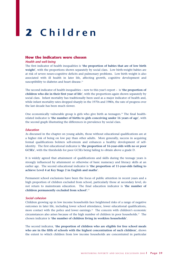# **2 Children**

### **How the indicators were chosen**

#### *Health and well-being*

The first indicator of health inequalities is '**the proportion of babies that are of low birth weight**', with the proportions shown separately by social class. Low birth-weight babies are at risk of severe neuro-cognitive deficits and pulmonary problems. Low birth weight is also associated with ill health in later life, affecting growth, cognitive development and susceptibility to diabetes and heart disease.<sup>13</sup>

The second indicator of health inequalities – new to this year's report – is '**the proportion of children who die in their first year of life**', with the proportions again shown separately by social class. Infant mortality has traditionally been used as a major indicator of health and, while infant mortality rates dropped sharply in the 1970s and 1980s, the rate of progress over the last decade has been much slower.

One economically vulnerable group is girls who give birth as teenagers.14 The final healthrelated indicator is '**the number of births to girls conceiving under 16 years of age**', with the second graph illustrating the differences in prevalence by social class.

#### *Education*

As discussed in the chapter on young adults, those without educational qualifications are at a higher risk of being on low pay than other adults. More generally, success in acquiring formal qualifications bolsters self-esteem and enhances a healthy development of selfidentity. The first educational indicator is '**the proportion of 16-year-olds with no or poor GCSEs**', with the thresholds for poor GCSEs being failing to obtain above a grade D.

It is widely agreed that attainment of qualifications and skills during the teenage years is strongly influenced by attainment or otherwise of basic numeracy and literacy skills at an earlier age. The second educational indicator is '**the proportion of 11-year-olds failing to achieve Level 4 at Key Stage 2 in English and maths**'.

Permanent school exclusions have been the focus of public attention in recent years and a high proportion of children excluded from school, particularly those at secondary level, do not return to mainstream education. The final education indicator is '**the number of children permanently excluded from school**'.15

#### *Social cohesion*

Children growing up in low income households face heightened risks of a range of negative outcomes in later life, including lower school attendance, lower educational qualifications, more contact with the police and lower earnings.16 The concern with children's economic circumstances also arises because of the high number of children in poor households.17 The chosen indicator is '**the number of children living in workless households**'.

The second indicator, '**the proportion of children who are eligible for free school meals who are in the fifth of schools with the highest concentration of such children**', shows the extent to which children from low income households are concentrated in particular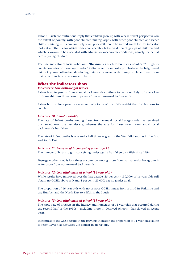schools. Such concentrations imply that children grow up with very different perspectives on the extent of poverty, with poor children mixing largely with other poor children and richer children mixing with comparatively fewer poor children. The second graph for this indicator looks at another factor which varies considerably between different groups of children and which is known to be associated with adverse socio-economic conditions, namely the dental care of young children.

The final indicator of social cohesion is '**the number of children in custodial care**'. High reconviction rates of those aged under 17 discharged from custody<sup>18</sup> illustrate the heightened risks of young offenders developing criminal careers which may exclude them from mainstream society on a long-term basis.

#### **What the indicators show**

#### *Indicator 9: Low birth-weight babies*

Babies born to parents from manual backgrounds continue to be more likely to have a low birth weight than those born to parents from non-manual backgrounds.

Babies born to lone parents are more likely to be of low birth weight than babies born to couples.

#### *Indicator 10: Infant mortality*

The rate of infant deaths among those from manual social backgrounds has remained unchanged over the last decade, whereas the rate for those from non-manual social backgrounds has fallen.

The rate of infant deaths is one and a half times as great in the West Midlands as in the East and South East.

#### *Indicator 11: Births to girls conceiving under age 16*

The number of births to girls conceiving under age 16 has fallen by a fifth since 1996.

Teenage motherhood is four times as common among those from manual social backgrounds as for those from non-manual backgrounds.

#### *Indicator 12: Low attainment at school (16-year-olds)*

While results have improved over the last decade, 25 per cent (150,000) of 16-year-olds still obtain no GCSEs above a D and 4 per cent (25,000) get no grades at all.

The proportion of 16-year-olds with no or poor GCSEs ranges from a third in Yorkshire and the Humber and the North East to a fifth in the South.

#### *Indicator 13: Low attainment at school (11-year-olds)*

The rapid rate of progress in the literacy and numeracy of 11-year-olds that occurred during the second half of the 1990s – including those in deprived schools – has slowed in recent years.

In contrast to the GCSE results in the previous indicator, the proportion of 11-year-olds failing to reach Level 4 at Key Stage 2 is similar in all regions.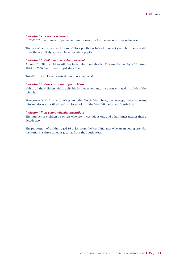#### *Indicator 14: School exclusions*

In 2001/02, the number of permanent exclusions rose for the second consecutive year.

The rate of permanent exclusions of black pupils has halved in recent years, but they are still three times as likely to be excluded as white pupils.

#### *Indicator 15: Children in workless households*

Around 2 million children still live in workless households. This number fell by a fifth from 1994 to 2000, but is unchanged since then.

Two-fifths of all lone parents do not have paid work.

#### *Indicator 16: Concentration of poor children*

Half of all the children who are eligible for free school meals are concentrated in a fifth of the schools.

Five-year-olds in Scotland, Wales and the North West have, on average, twice as many missing, decayed or filled teeth as 5-year-olds in the West Midlands and South East.

#### *Indicator 17: In young offender institutions*

The number of children 16 or less who are in custody is one and a half times greater than a decade ago.

The proportion of children aged 16 or less from the West Midlands who are in young offender institutions is three times as great as from the South West.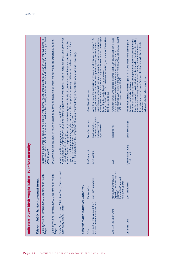| 10 Infant mortality<br>Indicators 9 Low birth-weight babies; | access to crisis and CAMHS services, and reduce the mortality rate from suicide and undetermined injury by at least<br>mprove life outcomes of adults and children with mental health problems through year on year improvements in<br>Public Service Agreement 2002, Department of Health,<br>Target 7<br>Relevant Public Service Agreement targets | By 2010 reduce inequalities in health outcomes by 10% as measured by infant mortality and life expectancy at birth.<br>20% by 2010.<br>Public Service Agreement 2002, Department of Health,<br>Target 11 | $\bullet$ an increase in the proportion of young children aged 0 to 5 with normal levels of personal, social and emotional<br>an increase in the proportion of children having normal levels of communication, language and literacy at the<br>end of the Foundation Stage and an increase in the proportion of young children with satisfactory speech and<br>language development at age 2 years; and<br>a 12% reduction in the proportion of young children living in households where no one is working.<br>In fully operational programmes, achieve by 2005-06:<br>development for their age;<br>Public Service Agreement 2002, Sure Start, Childcare and<br>Early Years, Target 1 (part) | Selected major initiatives under way | Budget/target/comment<br>Key delivery agency<br>Key department<br>Starting dates<br>Policy | By May 2003, around 500 Sure Start programmes were in action, reaching up<br>Budget of £450 million for 1999/2000 to 2001/02, and a further £580 million<br>support parents in their role and in developing their employment aspirations.<br>Aims: to increase the availability of childcare for all children; to improve NHS,<br>health, education and emotional development for young children; and to<br>to one-third of under fours living in poverty.<br>for the period to 2004.<br>voluntary sector, NHS<br>Local authorities,<br>and government<br>regional offices<br>Sure Start Unit<br>June 1999: introduced<br>Sure Start for children aged 0 to 4<br>and their families in selected areas | Initial rate was £200, increased to £300 in Autumn 2000, and to £500 in April<br>Grants for parents who provide evidence that health advice has been received<br>from a professional and who are in receipt of qualifying benefits.<br>2002. Not uprated since April 2002.<br>Jobcentre Plus<br><b>DWP</b><br>(replacing maternity payment<br>March 2000 : introduced<br>Autumn 2000: uprated<br>April 2002: uprated<br>scheme)<br>Sure Start Maternity Grant | together preventative services that recognise the value of partnership working<br>Focused on developing services that support multi-agency working, bringing<br>Works with children, primarily aged 5 to 13, who are showing early signs of<br>beneficiaries of such services. Particular objectives and activities are locally<br>between the voluntary, community and statutory sectors as well as the<br>A budget of £450 million over 3 years.<br>being at risk of social exclusion.<br>determined.<br>Local partnerships<br>Children and Young<br>People's Unit<br>2001: announced<br>Children's Fund |
|--------------------------------------------------------------|------------------------------------------------------------------------------------------------------------------------------------------------------------------------------------------------------------------------------------------------------------------------------------------------------------------------------------------------------|----------------------------------------------------------------------------------------------------------------------------------------------------------------------------------------------------------|------------------------------------------------------------------------------------------------------------------------------------------------------------------------------------------------------------------------------------------------------------------------------------------------------------------------------------------------------------------------------------------------------------------------------------------------------------------------------------------------------------------------------------------------------------------------------------------------------------------------------------------------------------------------------------------------|--------------------------------------|--------------------------------------------------------------------------------------------|-------------------------------------------------------------------------------------------------------------------------------------------------------------------------------------------------------------------------------------------------------------------------------------------------------------------------------------------------------------------------------------------------------------------------------------------------------------------------------------------------------------------------------------------------------------------------------------------------------------------------------------------------------------------------------------------------------|---------------------------------------------------------------------------------------------------------------------------------------------------------------------------------------------------------------------------------------------------------------------------------------------------------------------------------------------------------------------------------------------------------------------------------------------------------------|------------------------------------------------------------------------------------------------------------------------------------------------------------------------------------------------------------------------------------------------------------------------------------------------------------------------------------------------------------------------------------------------------------------------------------------------------------------------------------------------------------------------------------------------------------------------------------------------------------|
|                                                              |                                                                                                                                                                                                                                                                                                                                                      |                                                                                                                                                                                                          |                                                                                                                                                                                                                                                                                                                                                                                                                                                                                                                                                                                                                                                                                                |                                      |                                                                                            |                                                                                                                                                                                                                                                                                                                                                                                                                                                                                                                                                                                                                                                                                                       |                                                                                                                                                                                                                                                                                                                                                                                                                                                               |                                                                                                                                                                                                                                                                                                                                                                                                                                                                                                                                                                                                            |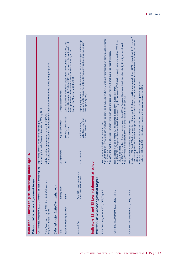| Indicators 12 and 13 Low attainment at school<br>(part)<br>April 2001: pilot programme<br>Public Service Agreement 2002, Department of Health, Target 9<br>Indicator 11 Births to girls conceiving<br>2002: extended to 2006<br>Relevant Public Service Agreement targets<br>Relevant Public Service Agreement targets<br>Public Service Agreement 2002, Sure Start, Childcare and<br>Selected major initiatives under way<br>Starting dates<br>Public Service Agreement 2002, DfES, Target 5<br>Public Service Agreement 2002, DfES, Target 2<br>Public Service Agreement 2002, DfES, Target 1<br>1999<br>Teenage Pregnancy Strategy<br>Early Years, Target 1 (part)<br>Sure Start Plus<br>Policy | Improve life chances for children, including by:<br>Raise standards in schools and colleges so that:<br>Raise standards in English and maths so that:<br>(80% in science);<br>to 2006; and<br>Key department<br>Sure Start Unit<br>under age 16<br>舌 | Raise standards in English, maths, ICT and science in secondary education so that:<br>• reducing the under-18 conception rate by 50% by 2010.<br>In fully operational programmes, achieve by 2005-06:<br>Schools, clinics, social<br>voluntary sector and<br><b>Health Action Zones</b><br>Key delivery agency<br>Local authorities,<br>services, etc | $\overline{\mathbf{c}}$<br>$\bullet$ by 2004 85% of 11-year-olds achieve level 4 or above and 35% achieve Level 5 or above with this level of performance sustained<br>. between 2002 and 2006 the proportion of those aged 16 who get qualifications equivalent to 5 GCSEs at grades A* to C rises by<br>A pilot programme to provide support for pregnant teenagers and teenage<br>percentage points each year on average and in all schools at least 20% of pupils achieve this standard by 2004 rising to 25% by<br>$\bullet$ by 2004 75% of 14-year-olds achieve Level 5 or above in English, maths and ICT (70% in science) nationally, and by 2007 85%<br>parents and to reduce risk of long term poverty and social exclusion from<br>reduce the number by 15% by 2004; and to increase the participation of<br>Aims: to halve the number of pregnancies in the under-18s by 2010, and<br>● by 2007, the number of schools where fewer than 60% of 14-year-olds achieve Level 5 or above is significantly reduced; and<br>● by 2007 90% of pupils reach Level 4 in English and maths by age 12.<br>teenage mothers in education, training or work to 60% by 2010.<br>● by 2006, the number of schools in which fewer than 65% of pupils achieve Level 4 or above is significantly reduced.<br>$\bullet$ a 6 percentage point reduction in the proportion of mothers who continue to smoke during pregnancy.<br>Budget of £24 million in 2003/2004.<br>Budget/target/comment<br>teenage pregnancy. |
|----------------------------------------------------------------------------------------------------------------------------------------------------------------------------------------------------------------------------------------------------------------------------------------------------------------------------------------------------------------------------------------------------------------------------------------------------------------------------------------------------------------------------------------------------------------------------------------------------------------------------------------------------------------------------------------------------|------------------------------------------------------------------------------------------------------------------------------------------------------------------------------------------------------------------------------------------------------|-------------------------------------------------------------------------------------------------------------------------------------------------------------------------------------------------------------------------------------------------------------------------------------------------------------------------------------------------------|-----------------------------------------------------------------------------------------------------------------------------------------------------------------------------------------------------------------------------------------------------------------------------------------------------------------------------------------------------------------------------------------------------------------------------------------------------------------------------------------------------------------------------------------------------------------------------------------------------------------------------------------------------------------------------------------------------------------------------------------------------------------------------------------------------------------------------------------------------------------------------------------------------------------------------------------------------------------------------------------------------------------------------------------------------------------------------------------------------------------------------------------------------------------------------------------------------------------------------------------------------------------------------------------------------------------------------------------------------------------------------------------------------------------------------------------------------------------------------------------------------------|
|                                                                                                                                                                                                                                                                                                                                                                                                                                                                                                                                                                                                                                                                                                    | 2006; and                                                                                                                                                                                                                                            |                                                                                                                                                                                                                                                                                                                                                       | · the proportion of 19-year-olds who achieve this standard rises by 3 percentage points<br>between 2002 and 2004, with a further increase of 3 percentage points by 2006.                                                                                                                                                                                                                                                                                                                                                                                                                                                                                                                                                                                                                                                                                                                                                                                                                                                                                                                                                                                                                                                                                                                                                                                                                                                                                                                                 |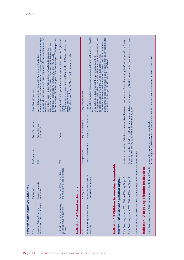| Reduce the number of children in low income households by at least a quarter by 2004, as a contribution towards the broader target<br>Reduce the proportion of children in households with no one in work over the 3 years from Spring 2003 to Spring 2006 by 6 1/2%.<br>Aim of Education Action Zones (EAZs) is to raise standards in<br>to produce a strategy with the LEA to reduce absence levels.<br>2. By 2002, to reduce time lost through truancy by a third.<br>. narrowing the gap between the proportions of children in care and their peers who are cautioned or convicted.<br>excluded pupils. Budget of £470 million for 2003-2006.<br>Budget/target/comment<br>literacy and numeracy.<br>community.<br>Targets:<br>maths.<br>level.<br>of halving child poverty by 2010 and eradicating it by 2020.<br>Schools, LEAs and Police<br>Improve life chances for children, including by:<br>Key delivery agency<br>School-led local<br>partnerships<br>Schools<br>DfES and Home Office<br>Key department<br>For details of relevant major initiatives, see those listed in the income and adult chapters.<br>Key department<br><b>DfES</b><br><b>DfES</b><br>Indicator 15 Children in workless households<br>ions<br>(part)<br>and numeracy period introduced<br>September 1998: literacy hour<br>Indicator 17 In young offender instituti<br>Public Service Agreement 2002, Department of Health, Target 9<br>September 1999: LEAs set<br>Public Service Agreement 2002, DWP and Treasury, Target 5<br>new targets for schools<br>Public Service Agreement 2002, DWP and Treasury, Target 1<br>Relevant Public Service Agreement targets<br>Successive rounds<br>Starting dates<br>Indicator 14 School exclusions<br>from 1998<br>Excellence in Cities Action Zones<br>National Literacy and Numeracy<br>Tackling truancy and exclusion<br>Strategies including Summer<br>Education Action Zones and<br>in schools<br><b>Schools</b><br>Policy | Selected major initiatives under way |                |                     |                                                                                                                                                                                                                                                                                                                                                                                                                                                                   |
|------------------------------------------------------------------------------------------------------------------------------------------------------------------------------------------------------------------------------------------------------------------------------------------------------------------------------------------------------------------------------------------------------------------------------------------------------------------------------------------------------------------------------------------------------------------------------------------------------------------------------------------------------------------------------------------------------------------------------------------------------------------------------------------------------------------------------------------------------------------------------------------------------------------------------------------------------------------------------------------------------------------------------------------------------------------------------------------------------------------------------------------------------------------------------------------------------------------------------------------------------------------------------------------------------------------------------------------------------------------------------------------------------------------------------------------------------------------------------------------------------------------------------------------------------------------------------------------------------------------------------------------------------------------------------------------------------------------------------------------------------------------------------------------------------------------------------------------------------------------------------------------------------------------------------------------------------------|--------------------------------------|----------------|---------------------|-------------------------------------------------------------------------------------------------------------------------------------------------------------------------------------------------------------------------------------------------------------------------------------------------------------------------------------------------------------------------------------------------------------------------------------------------------------------|
|                                                                                                                                                                                                                                                                                                                                                                                                                                                                                                                                                                                                                                                                                                                                                                                                                                                                                                                                                                                                                                                                                                                                                                                                                                                                                                                                                                                                                                                                                                                                                                                                                                                                                                                                                                                                                                                                                                                                                            | Policy                               | Starting dates | Key delivery agency | Budget/target/comment                                                                                                                                                                                                                                                                                                                                                                                                                                             |
|                                                                                                                                                                                                                                                                                                                                                                                                                                                                                                                                                                                                                                                                                                                                                                                                                                                                                                                                                                                                                                                                                                                                                                                                                                                                                                                                                                                                                                                                                                                                                                                                                                                                                                                                                                                                                                                                                                                                                            |                                      |                |                     | EAZs receive up to £1 million per year. EiC AZs receive up to £350,000 per year.<br>achievers, effective learners and major contributors to the regeneration of the<br>disadvantaged urban and rural areas, so that young people can become high<br>educational problems of the major cities where standards have been low.<br>Aim of Excellence in Cities Action Zones (EiC AZs) is to address the<br>By mid-2003, there were 72 statutory EAZs and 102 EiC AZs. |
|                                                                                                                                                                                                                                                                                                                                                                                                                                                                                                                                                                                                                                                                                                                                                                                                                                                                                                                                                                                                                                                                                                                                                                                                                                                                                                                                                                                                                                                                                                                                                                                                                                                                                                                                                                                                                                                                                                                                                            |                                      |                |                     | By 2004: 85% of 11-year-olds to be at Level 4 at Key Stage 2 in English and<br>2,300 summer schools operative by 2000, of which 1,800 were devoted to<br>£240 million over 3 years (+ £16 million for summer schools).                                                                                                                                                                                                                                            |
|                                                                                                                                                                                                                                                                                                                                                                                                                                                                                                                                                                                                                                                                                                                                                                                                                                                                                                                                                                                                                                                                                                                                                                                                                                                                                                                                                                                                                                                                                                                                                                                                                                                                                                                                                                                                                                                                                                                                                            |                                      |                |                     |                                                                                                                                                                                                                                                                                                                                                                                                                                                                   |
|                                                                                                                                                                                                                                                                                                                                                                                                                                                                                                                                                                                                                                                                                                                                                                                                                                                                                                                                                                                                                                                                                                                                                                                                                                                                                                                                                                                                                                                                                                                                                                                                                                                                                                                                                                                                                                                                                                                                                            |                                      |                |                     | 1. By 2002, to reduce the number of exclusions by a third from their 1997/98<br>permanent and fixed term exclusions and to ensure high quality provision for<br>By September 2002, schools most affected by unaccounted absenteeism had<br>The National Behaviour and Attendance Strategy aims include: to reduce                                                                                                                                                 |
|                                                                                                                                                                                                                                                                                                                                                                                                                                                                                                                                                                                                                                                                                                                                                                                                                                                                                                                                                                                                                                                                                                                                                                                                                                                                                                                                                                                                                                                                                                                                                                                                                                                                                                                                                                                                                                                                                                                                                            |                                      |                |                     |                                                                                                                                                                                                                                                                                                                                                                                                                                                                   |
|                                                                                                                                                                                                                                                                                                                                                                                                                                                                                                                                                                                                                                                                                                                                                                                                                                                                                                                                                                                                                                                                                                                                                                                                                                                                                                                                                                                                                                                                                                                                                                                                                                                                                                                                                                                                                                                                                                                                                            |                                      |                |                     |                                                                                                                                                                                                                                                                                                                                                                                                                                                                   |
|                                                                                                                                                                                                                                                                                                                                                                                                                                                                                                                                                                                                                                                                                                                                                                                                                                                                                                                                                                                                                                                                                                                                                                                                                                                                                                                                                                                                                                                                                                                                                                                                                                                                                                                                                                                                                                                                                                                                                            |                                      |                |                     |                                                                                                                                                                                                                                                                                                                                                                                                                                                                   |
|                                                                                                                                                                                                                                                                                                                                                                                                                                                                                                                                                                                                                                                                                                                                                                                                                                                                                                                                                                                                                                                                                                                                                                                                                                                                                                                                                                                                                                                                                                                                                                                                                                                                                                                                                                                                                                                                                                                                                            |                                      |                |                     |                                                                                                                                                                                                                                                                                                                                                                                                                                                                   |
|                                                                                                                                                                                                                                                                                                                                                                                                                                                                                                                                                                                                                                                                                                                                                                                                                                                                                                                                                                                                                                                                                                                                                                                                                                                                                                                                                                                                                                                                                                                                                                                                                                                                                                                                                                                                                                                                                                                                                            |                                      |                |                     |                                                                                                                                                                                                                                                                                                                                                                                                                                                                   |
|                                                                                                                                                                                                                                                                                                                                                                                                                                                                                                                                                                                                                                                                                                                                                                                                                                                                                                                                                                                                                                                                                                                                                                                                                                                                                                                                                                                                                                                                                                                                                                                                                                                                                                                                                                                                                                                                                                                                                            |                                      |                |                     |                                                                                                                                                                                                                                                                                                                                                                                                                                                                   |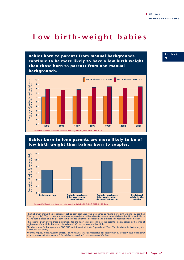## **Low birth-weight babies**

**Babies born to parents from manual backgrounds continue to be more likely to have a low birth weight than those born to parents from non-manual backgrounds.**





The first graph shows the proportion of babies born each year who are defined as having a low birth weight, i.e. less than  $2^{1/2}$  kg ( $\overline{5}^{1/2}$  lbs). The proportions are shown separately for babies whose fathers are in social classes I to IIINM and IIIM to V. The data is based on a 10 per cent sample coded to father's occupation and excludes sole registrations by mothers. The second graph shows these proportions for the latest year according to the parents' marital status at the time of registration of the birth. The data is based on a 100 per cent count of live births.

The data source for both graphs is ONS DH3 statistics and relates to England and Wales. The data is for live births only (i.e. it excludes still-births).

*Overall adequacy of the indicator: limited. The data itself is large and reputable, but classification by the social class of the father may be problematic since no data is included where no details are known about the father.*

#### **Indicator 9**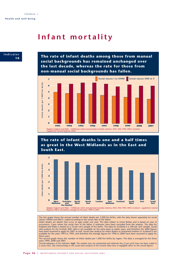## **Infant mortality**



**The rate of infant deaths among those from manual social backgrounds has remained unchanged over the last decade, whereas the rate for those from non-manual social backgrounds has fallen.**



### **The rate of infant deaths is one and a half times as great in the West Midlands as in the East and South East.**



The first graph shows the annual number of infant deaths per 1,000 live births, with the data shown separately for social classes I-IIINM and IIIM-V, coded according to the social class of the father.

Infant deaths are deaths that occur at ages under one year. The data relates to Great Britain and is based on year of<br>occurrence. Cases where the social class of the father is unknown have been excluded from the analysis. England and Wales is based on a 10 per cent sample of live births. The data for Scotland is a 100 per cent sample. Social<br>class analysis for the Scottish 2001 data is not available on the same basis as earlier years, and t available for the years 1993 to 1995, and therefore the average figures for 1996 to 2000 have been assumed to apply for these years.

The second graph shows the number of infant deaths per 1,000 live births by region. The data is averaged for the three years 1999, 2000 and 2001.

*Overall adequacy of the indicator: high. The sample sizes are substantial and relatively few (5 per cent) have not been coded to a social class. Any shortcomings in the social class analysis of the Scottish data have a negligible effect on the overall figures.*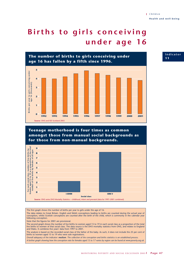**Indicator**

**1 1**

# **Births to girls conceiving under age 16**



**Teenage motherhood is four times as common amongst those from manual social backgrounds as for those from non-manual backgrounds.**



The first graph shows the number of births per year to girls under the age of 16.

The data relates to Great Britain. English and Welsh conceptions leading to births are counted during the actual year of conception, whilst Scottish conceptions are counted after the birth of the child, which is commonly in the calendar year following conception.

Note that the figures for 2001 are provisional.

The second graph shows the number of live births to women aged 15 to 19 in each social class as a proportion of the total live births to women of that social class. The data source is the DH3 mortality statistics from ONS, and relates to England and Wales. It combines five years' data from 1997 to 2001.

The analysis is based on the recorded social class of the father of the baby. As such, it does not include the 25 per cent of births to women aged 15 to 19 who were sole registrations.

*Overall adequacy of the indicator: medium. The collection of the conception and births statistics is an established process. A further graph showing how the conception rate for females aged 15 to 17 varies by region can be found at www.poverty.org.uk.*

MONITORING POVERTY AND SOCIAL EXCLUSION 2003 **Page 47**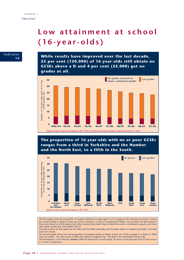## **Low attainment at school (16-year-olds)**



**While results have improved over the last decade, 25 per cent (150,000) of 16-year-olds still obtain no GCSEs above a D and 4 per cent (25,000) get no grades at all.**



**The proportion of 16-year-olds with no or poor GCSEs ranges from a third in Yorkshire and the Humber and the North East, to a fifth in the South.**



The first graph shows the proportion of students (defined as pupils aged 15 at 31 August in the calendar year prior to sitting the exams) failing to obtain at least one GCSE at grade C or above in England and Wales. The numbers are split between those who obtain no GCSE grade at all, either because they hadn't been entered for exams or achieved no passes, and those who obtain grades but none higher than D.

The data sources for this graph are the DfES and the Welsh Assembly, and the data relates to England and Wales. The data covers all schools.

The second graph shows how the proportions of students failing to obtain at least one GCSE at grade C or above in 2002 varies by region. The data source is DfES and relates to England only. The data is for maintained schools only. *Overall adequacy of the indicator: medium. While the data itself is sound enough, the choice of the particular level of exam success is a matter of judgement.*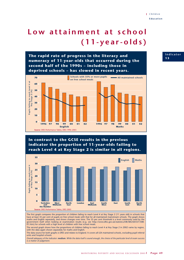# **Low attainment at school (11-year-olds)**

**The rapid rate of progress in the literacy and numeracy of 11-year-olds that occurred during the second half of the 1990s – including those in deprived schools – has slowed in recent years.**



### **In contrast to the GCSE results in the previous indicator the proportion of 11-year-olds failing to reach Level 4 at Key Stage 2 is similar in all regions.**



The first graph compares the proportion of children failing to reach Level 4 at Key Stage 2 (11 years old) in schools that have at least 35 per cent of pupils on free school meals with that for all maintained mainstream schools. The graph shows maths and English separately, and shows changes over time. The 35 per cent threshold is a level commonly used by the government itself when looking at examination results (e.g. see http://www.dfes.gov.uk/statistics/DB/SBU/b0337/308- 01.htm) for schools with a high level of children with free school meals.

The second graph shows how the proportions of children failing to reach Level 4 at Key Stage 2 in 2002 varies by region, with the data again shown separately for maths and English.

The data source for both graphs is DfES and relates to England. It covers all LEA maintained schools, excluding pupil referral units and hospital schools.

*Overall adequacy of the indicator: medium. While the data itself is sound enough, the choice of the particular level of exam success is a matter of judgement.*

#### **Indicator 1 3**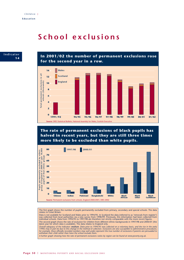## **School exclusions**

**Indicator 1 4**

**In 2001/02 the number of permanent exclusions rose for the second year in a row.**



**The rate of permanent exclusions of black pupils has halved in recent years, but they are still three times more likely to be excluded than white pupils.**



The first graph shows the number of pupils permanently excluded from primary, secondary and special schools. The data relates to Great Britain.

Data is not available for Scotland and Wales prior to 1994/95. In Scotland the data (referred to as 'removals from register') was collected from local authorities via a new survey from 1998/99. Previously, this information had been collected from<br>individual schools. Data from 1994/95 to 1997/98 are therefore not strictly comparable with the more The second graph shows the rate of exclusion for children from different ethnic backgrounds in 1997/98 and 2000/01 (the latest year for which data is available). The data relates to England only.

Overall adequacy of the indicator: **medium**. Data prior to 1994/95 was collected on a voluntary basis, and the rise in the early<br>1990s may in part be due to this change in the method of collection. Exclusions are also susc

*A further graph showing how the rate of permanent exclusions varies by region can be found at www.poverty.org.uk.*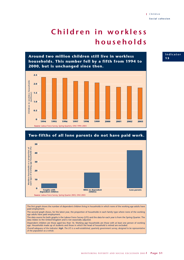# **Children in workless households**





The first graph shows the number of dependent children living in households in which none of the working age adults have paid employment.

The second graph shows, for the latest year, the proportion of households in each family type where none of the working age adults have paid employment.

The data source for both graphs is the Labour Force Survey (LFS) and the data for each year is from the Spring Quarter. The data relates to the United Kingdom and is not seasonally adjusted.

Dependent children are those aged less than 16. Working age households are those with at least one person of working age. Households made up of students and those in which the head of household is retired are excluded.

*Overall adequacy of the indicator: high. The LFS is a well-established, quarterly government survey, designed to be representative of the population as a whole.* 

#### **Indicator 1 5**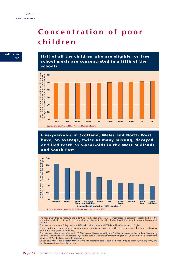# **Concentration of poor children**



**Half of all the children who are eligible for free school meals are concentrated in a fifth of the schools.**



**Five-year-olds in Scotland, Wales and North West have, on average, twice as many missing, decayed or filled teeth as 5-year-olds in the West Midlands and South East.**



The first graph tries to measure the extent to which poor children are concentrated in particular schools. It shows the proportion of children eligible for free school meals who are in the fifth of schools with the highest concentrations of such children.

The data source is New Policy Institute (NPI) calculations based on DfES data. The data relates to England.

The second graph shows how the average number of missing, decayed or filled teeth for 5-year-olds varies by Regional Health Authority (2001 boundaries).

The data source is a survey of around 160,000 5-year-olds conducted by the British Association for the Study of Community Dentistry. The data relates to Great Britain, with the data for England and Wales being for 2001/02 and the data for Scotland being for 1999 (the latest currently available).

*Overall adequacy of the indicator: limited. While the underlying data is sound, its relationship to other aspects of poverty and social exclusion is not immediately clear.*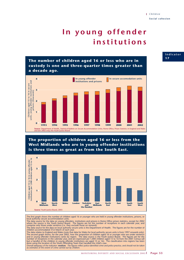# **In young offender institutions**

**The number of children aged 16 or less who are in custody is one and three-quarter times greater than a decade ago.**



### **The proportion of children aged 16 or less from the West Midlands who are in young offender institutions is three times as great as from the South East.**



The first graph shows the number of children aged 16 or younger who are held in young offender institutions, prisons, or

local authority secure accommodation units.<br>The data source for the data on young offenders, institutions and prisons is Home Office prison statistics, except for 2002<br>where the source is the Youth Justice Board. The figur

The data source for the data on local authority secure units is the Department of Health. The figures are for the number of children accommodated 31st March of each year.

The data relates to England and Wales (note that data for Wales for local authority secure units is from 1997 onwards only). The second graph shows, for the year 2002, how the proportion of children aged 16 or younger who are under sentence<br>and in young offender institutions varies by region. The data source is the Youth Justice Board. The figu

#### **Indicator 1 7**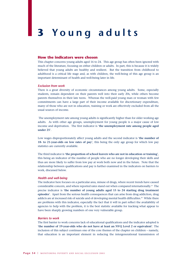# **3 Y oung adults**

#### **How the indicators were chosen**

This chapter concerns young adults aged 16 to 24. This age group has often been ignored with much of the literature, focusing on either children or adults. In part, this is because it is widely believed that young adults are healthy and resilient. But the transition from childhood to adulthood is a critical life stage and, as with children, the well-being of this age group is an important determinant of health and well-being later in life.

#### *Exclusion from work*

There is a great diversity of economic circumstances among young adults. Some, especially students, remain dependent on their parents well into their early 20s, while others become parents themselves in their late teens. Whereas the well-paid young man or woman with few commitments can have a large part of their income available for discretionary expenditure, many of those who are not in education, training or work are effectively excluded from all the usual sources of income.

The unemployment rate among young adults is significantly higher than for older working age adults. As with other age groups, unemployment for young people is a major cause of low income and deprivation. The first indicator is '**the unemployment rate among people aged under 25**'.

Low wages disproportionately affect young adults and the second indicator is '**the number of 18- to 21-year-olds on low rates of pay**', this being the only age group for which low pay statistics are currently available.

The third indicator is '**the proportion of school leavers who are not in education or training**', this being an indicator of the number of people who are no longer developing their skills and thus are more likely to suffer from low pay at work both now and in the future. Note that the relationship between qualifications and pay is further examined in the indicators on barriers to work, discussed below.

#### *Health and well-being*

The indicator here focuses on a particular area, misuse of drugs, where recent trends have caused considerable concern, and where reported rates stand out when compared internationally.19 The precise indicator is '**the number of young adults aged 15 to 24 starting drug treatment episodes**'. Apart from the serious health consequences that can arise from drug addiction, drug addicts are at increased risk of suicide and of developing mental health difficulties.<sup>20</sup> While there are problems with this indicator, especially the fact that it will in part reflect the availability of agencies to help with the problem, it is the best statistic available for tracking what appear to have been sharply growing numbers of one very vulnerable group.

#### *Barriers to work*

The first barrier to work concerns lack of educational qualifications and the indicator adopted is '**the number of 19-year-olds who do not have at least an NVQ Level 2 or equivalent**'. The inclusion of this subject continues one of the core themes of the chapter on children – namely, that education is an important element in reducing the intergenerational transmission of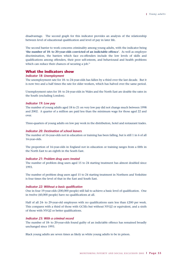disadvantage. The second graph for this indicator provides an analysis of the relationship between level of educational qualification and level of pay in later life.

The second barrier to work concerns criminality among young adults, with the indicator being '**the number of 18- to 20-year-olds convicted of an indictable offence**'. As well as employer discrimination, the barriers which face ex-offenders include the low levels of skills and qualifications among offenders, their poor self-esteem, and behavioural and health problems which can reduce their chances of securing a job.<sup>21</sup>

#### **What the indicators show**

#### *Indicator 18: Unemployment*

The unemployment rate for 18- to 24-year-olds has fallen by a third over the last decade. But it is now two and a half times the rate for older workers, which has halved over the same period.

Unemployment rates for 18- to 24-year-olds in Wales and the North East are double the rates in the South (excluding London).

#### *Indicator 19: Low pay*

The number of young adults aged 18 to 21 on very low pay did not change much between 1998 and 2002. A quarter of a million are paid less than the minimum wage for those aged 22 and over.

Three-quarters of young adults on low pay work in the distribution, hotel and restaurant trades.

#### *Indicator 20: Destination of school leavers*

The number of 16-year-olds not in education or training has been falling, but is still 1 in 6 of all 16-year-olds.

The proportion of 16-year-olds in England not in education or training ranges from a fifth in the North East to an eighth in the South East.

#### *Indicator 21: Problem drug users treated*

The number of problem drug users aged 15 to 24 starting treatment has almost doubled since 1993.

The number of problem drug users aged 15 to 24 starting treatment in Northern and Yorkshire is four times the level of that in the East and South East.

#### *Indicator 22: Without a basic qualification*

One in four 19-year-olds (200,000 people) still fail to achieve a basic level of qualification. One in twelve (60,000 people) have no qualifications at all.

Half of all 24- to 29-year-old employees with no qualifications earn less than £200 per week. This compares with a third of those with GCSEs but without NVQ2 or equivalent, and a sixth of those with NVQ2 or better qualifications.

#### *Indicator 23: With a criminal record*

The number of 18- to 20-year-olds found guilty of an indictable offence has remained broadly unchanged since 1993.

Black young adults are seven times as likely as white young adults to be in prison.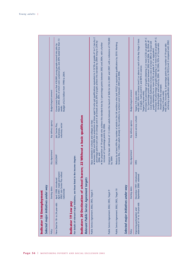| Selected major initiatives under way                             | Indicator 18 Unemployment                                                                           |                                                                                                           |                                                     |                                                                                                                                                                                                                                                                                                                                                                                                                                                                                                                                                                                                                                                                                                                                                                                                                                                                                        |
|------------------------------------------------------------------|-----------------------------------------------------------------------------------------------------|-----------------------------------------------------------------------------------------------------------|-----------------------------------------------------|----------------------------------------------------------------------------------------------------------------------------------------------------------------------------------------------------------------------------------------------------------------------------------------------------------------------------------------------------------------------------------------------------------------------------------------------------------------------------------------------------------------------------------------------------------------------------------------------------------------------------------------------------------------------------------------------------------------------------------------------------------------------------------------------------------------------------------------------------------------------------------------|
| Policy                                                           | Starting dates                                                                                      | Key department                                                                                            | Key delivery agency                                 | Budget/target/comment                                                                                                                                                                                                                                                                                                                                                                                                                                                                                                                                                                                                                                                                                                                                                                                                                                                                  |
| New Deal for 18- to 24-year-olds                                 | April 2001: made permanent<br>2002: Job Centre Plus rollout<br>April 1998: introduced<br>nationwide | DfES/DWP                                                                                                  | voluntary sector<br>Job Centre Plus,<br>businesses, | Government figures are that 430,000 young people moved into jobs by<br>March 2003, 80% of which were sustained jobs and 20% lasted less than 13<br>Budget of £2.6 billion from 1998 to 2004.<br>weeks.                                                                                                                                                                                                                                                                                                                                                                                                                                                                                                                                                                                                                                                                                 |
| Indicator 19 Low pay                                             | For details of relevant major initiatives, see those listed in the income chapter.                  |                                                                                                           |                                                     |                                                                                                                                                                                                                                                                                                                                                                                                                                                                                                                                                                                                                                                                                                                                                                                                                                                                                        |
| Relevant Public Service Agreement targets                        | <b>Indicators 20 Destination of school leavers;</b>                                                 |                                                                                                           | 22 Without a basic qualification                    |                                                                                                                                                                                                                                                                                                                                                                                                                                                                                                                                                                                                                                                                                                                                                                                                                                                                                        |
| Public Service Agreement 2002, DfES, Target 5                    |                                                                                                     | Raise standards in schools and colleges so that:<br>increase of 3 percentage points by 2006.<br>2006; and |                                                     | $\bullet$ between 2002 and 2006 the proportion of those aged 16 who get qualifications equivalent to 5 GCSEs at grades A* to C rises by<br>percentage points each year on average and in all schools at least 20% of pupils achieve this standard by 2004 rising to 25% by<br>$\bullet$ the proportion of 19-year-olds who achieve this standard rises by 3 percentage points between 2002 and 2004, with a further                                                                                                                                                                                                                                                                                                                                                                                                                                                                    |
| Public Service Agreement 2002, DfES, Target 9                    |                                                                                                     | by 2004.                                                                                                  |                                                     | Improve the basic skill levels of 1.5 million adults between the launch of Skills for Life in 2001 and 2007, with a milestone of 750,000                                                                                                                                                                                                                                                                                                                                                                                                                                                                                                                                                                                                                                                                                                                                               |
| Public Service Agreement 2002, DfES, Target 10                   |                                                                                                     |                                                                                                           |                                                     | Reduce by at least 40% the number of adults in the UK workforce who lack NVQ2 or equivalent qualifications by 2010. Working<br>towards this, 1 million adults already in the workforce to achieve Level 2 between 2003 and 2006.                                                                                                                                                                                                                                                                                                                                                                                                                                                                                                                                                                                                                                                       |
| Selected major initiatives under way                             |                                                                                                     |                                                                                                           |                                                     |                                                                                                                                                                                                                                                                                                                                                                                                                                                                                                                                                                                                                                                                                                                                                                                                                                                                                        |
| Policy                                                           | Starting dates                                                                                      | Key department                                                                                            | Key delivery agency                                 | Budget/target/comment                                                                                                                                                                                                                                                                                                                                                                                                                                                                                                                                                                                                                                                                                                                                                                                                                                                                  |
| attainment of 14- to 19-year-olds<br>Improving participation and | December 1997: introduced<br>September 2000: widened                                                | <b>DfES</b>                                                                                               | Careers service; schools                            | • Increase the percentage of pupils obtaining 5 or more CCSEs at grade $A^{\ast}-C$<br>(including English and maths by 2004. By 2004, 92% of 16-year-olds<br>$\bullet$ Increase the percentage of pupils obtaining 5 or more GCSEs at grade A*-C<br>· By 2007, 85% to achieve Level 5 or above in each of the Key Stage 3 tests<br>$\bullet$ By 2004, increase by 3 percentage points the number of 19-year-olds<br>achieving a qualification equivalent to NVQ Level 2 compared with 2002.<br>by 2 percentage points each year between 2002 and 2006. By 2004, all<br>Local Education Authorities to have a rate of at least 38% of 16-year-old<br>pupils obtaining five or more GCSEs at grade A*-C or equivalent.<br>in English, maths and ICT, and 80% in science.<br>should reach this standard.<br>Targets (19-year-olds):<br>Targets (16-year-olds):<br>Targets (14-year-olds): |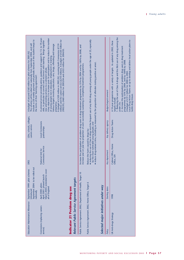| include a £30 weekly payment and periodic bonuses if the student keeps to<br>The scheme will be rolled out nationally from September 2004, and will<br>A budget of around £160 million for pilot schemes for 2001/02.<br>the terms of their 'learning agreement'. | A universal service providing advice, guidance and support for 13- to 19-year-<br>A key objective is to increase post-16 participation and to reduce the number<br>million) and the careers service (£210 million). A budget of £420 million for<br>olds, in particular to connect and reconnect with learning. Brings together<br>A budget of £320 million in 2001/02, covering both Connexions (£110<br>Various targets involving education, care, drugs, offending and teenage<br>2002/03, £460 million for 2003/04 and £455 million for 2004/05.<br>of young people not in education, employment or training.<br>new and existing services to a coherent whole. |                                                                            |                                                                                                                                                                                                                                    |                                                                                                                                                                                                                                                      |                                      |                       | 1. Reducing the use of Class A drugs and the illicit use of any drug among the<br>Local Drug Action Teams set up to develop and deliver local action plans to<br>A 10-year programme with a variety of targets. As updated in 2002, these<br>2. Increase the participation of problem drug users in drug treatment<br>programmes by 55% by 2004, and by 100% by 2008.<br>A budget of £31/2 billion for 2000 to 2004. |
|-------------------------------------------------------------------------------------------------------------------------------------------------------------------------------------------------------------------------------------------------------------------|---------------------------------------------------------------------------------------------------------------------------------------------------------------------------------------------------------------------------------------------------------------------------------------------------------------------------------------------------------------------------------------------------------------------------------------------------------------------------------------------------------------------------------------------------------------------------------------------------------------------------------------------------------------------|----------------------------------------------------------------------------|------------------------------------------------------------------------------------------------------------------------------------------------------------------------------------------------------------------------------------|------------------------------------------------------------------------------------------------------------------------------------------------------------------------------------------------------------------------------------------------------|--------------------------------------|-----------------------|----------------------------------------------------------------------------------------------------------------------------------------------------------------------------------------------------------------------------------------------------------------------------------------------------------------------------------------------------------------------------------------------------------------------|
|                                                                                                                                                                                                                                                                   |                                                                                                                                                                                                                                                                                                                                                                                                                                                                                                                                                                                                                                                                     |                                                                            |                                                                                                                                                                                                                                    |                                                                                                                                                                                                                                                      |                                      | Budget/target/comment |                                                                                                                                                                                                                                                                                                                                                                                                                      |
|                                                                                                                                                                                                                                                                   | pregnancy.                                                                                                                                                                                                                                                                                                                                                                                                                                                                                                                                                                                                                                                          |                                                                            |                                                                                                                                                                                                                                    |                                                                                                                                                                                                                                                      |                                      |                       | tackle drug misuse.<br>targets include:<br>under 25s.                                                                                                                                                                                                                                                                                                                                                                |
|                                                                                                                                                                                                                                                                   |                                                                                                                                                                                                                                                                                                                                                                                                                                                                                                                                                                                                                                                                     |                                                                            | Increase the participation of problem drug users in drug treatment programmes by 55% by 2004 and by 100% by 2008, and<br>increase year on year the proportion of users successfully sustaining or completing treatment programmes. | • reducing the use of Class A drugs and the frequent use of any illicit drug among all young people under the age of 25, especially<br>• reduce drug-related crime, including as measured by the proportion of offenders testing positive at arrest. |                                      |                       |                                                                                                                                                                                                                                                                                                                                                                                                                      |
| LEAs, schools, colleges,                                                                                                                                                                                                                                          |                                                                                                                                                                                                                                                                                                                                                                                                                                                                                                                                                                                                                                                                     |                                                                            |                                                                                                                                                                                                                                    |                                                                                                                                                                                                                                                      |                                      |                       |                                                                                                                                                                                                                                                                                                                                                                                                                      |
| careers service                                                                                                                                                                                                                                                   | <b>Local Connexions</b><br>partnerships                                                                                                                                                                                                                                                                                                                                                                                                                                                                                                                                                                                                                             |                                                                            |                                                                                                                                                                                                                                    |                                                                                                                                                                                                                                                      |                                      | Key delivery agency   | Drug Action Teams                                                                                                                                                                                                                                                                                                                                                                                                    |
|                                                                                                                                                                                                                                                                   |                                                                                                                                                                                                                                                                                                                                                                                                                                                                                                                                                                                                                                                                     |                                                                            |                                                                                                                                                                                                                                    | by the most vulnerable young people; and<br>Reduce the harm caused by drugs by:                                                                                                                                                                      |                                      |                       |                                                                                                                                                                                                                                                                                                                                                                                                                      |
|                                                                                                                                                                                                                                                                   | Connexions Service                                                                                                                                                                                                                                                                                                                                                                                                                                                                                                                                                                                                                                                  |                                                                            |                                                                                                                                                                                                                                    |                                                                                                                                                                                                                                                      |                                      |                       | Cabinet Office, Home                                                                                                                                                                                                                                                                                                                                                                                                 |
| <b>DfES</b>                                                                                                                                                                                                                                                       | National Unit for                                                                                                                                                                                                                                                                                                                                                                                                                                                                                                                                                                                                                                                   |                                                                            |                                                                                                                                                                                                                                    |                                                                                                                                                                                                                                                      |                                      | Key department        | Office, DH                                                                                                                                                                                                                                                                                                                                                                                                           |
|                                                                                                                                                                                                                                                                   |                                                                                                                                                                                                                                                                                                                                                                                                                                                                                                                                                                                                                                                                     |                                                                            | $\circ$                                                                                                                                                                                                                            |                                                                                                                                                                                                                                                      |                                      |                       |                                                                                                                                                                                                                                                                                                                                                                                                                      |
| September 2004: to be rolled out<br>September 1999: pilot schemes                                                                                                                                                                                                 | March 2003: extended to cover<br>April 2000: pilots<br>April 2001: phased launch                                                                                                                                                                                                                                                                                                                                                                                                                                                                                                                                                                                    |                                                                            |                                                                                                                                                                                                                                    |                                                                                                                                                                                                                                                      |                                      |                       |                                                                                                                                                                                                                                                                                                                                                                                                                      |
|                                                                                                                                                                                                                                                                   | all of England                                                                                                                                                                                                                                                                                                                                                                                                                                                                                                                                                                                                                                                      |                                                                            |                                                                                                                                                                                                                                    |                                                                                                                                                                                                                                                      |                                      | Starting dates        |                                                                                                                                                                                                                                                                                                                                                                                                                      |
| introduced<br>nationally                                                                                                                                                                                                                                          |                                                                                                                                                                                                                                                                                                                                                                                                                                                                                                                                                                                                                                                                     |                                                                            |                                                                                                                                                                                                                                    |                                                                                                                                                                                                                                                      |                                      |                       | 1998                                                                                                                                                                                                                                                                                                                                                                                                                 |
|                                                                                                                                                                                                                                                                   |                                                                                                                                                                                                                                                                                                                                                                                                                                                                                                                                                                                                                                                                     |                                                                            |                                                                                                                                                                                                                                    |                                                                                                                                                                                                                                                      |                                      |                       |                                                                                                                                                                                                                                                                                                                                                                                                                      |
|                                                                                                                                                                                                                                                                   |                                                                                                                                                                                                                                                                                                                                                                                                                                                                                                                                                                                                                                                                     |                                                                            |                                                                                                                                                                                                                                    |                                                                                                                                                                                                                                                      |                                      |                       |                                                                                                                                                                                                                                                                                                                                                                                                                      |
| Education Maintenance Allowance                                                                                                                                                                                                                                   | Connexions (replacing careers                                                                                                                                                                                                                                                                                                                                                                                                                                                                                                                                                                                                                                       | Relevant Public Service Agreement targets<br>Indicator 21 Problem drug use | Public Service Agreement 2002, Department of Health, Target                                                                                                                                                                        | Public Service Agreement 2002, Home Office, Target 6                                                                                                                                                                                                 | Selected major initiatives under way |                       | UK Anti-drugs Strategy                                                                                                                                                                                                                                                                                                                                                                                               |
|                                                                                                                                                                                                                                                                   | service)                                                                                                                                                                                                                                                                                                                                                                                                                                                                                                                                                                                                                                                            |                                                                            |                                                                                                                                                                                                                                    |                                                                                                                                                                                                                                                      |                                      | Policy                |                                                                                                                                                                                                                                                                                                                                                                                                                      |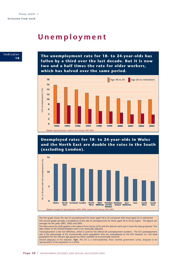## **Unemployment**



**The unemployment rate for 18- to 24-year-olds has fallen by a third over the last decade. But it is now two and a half times the rate for older workers, which has halved over the same period.**



**Unemployed rates for 18- to 24-year-olds in Wales and the North East are double the rates in the South (excluding London).**



The first graph shows the rate of unemployment for those aged 18 to 24 compared with those aged 25 to retirement. The second graph provides a breakdown of the rate of unemployment for those aged 18 to 24 by region. The figures are averages for the years 2001, 2002 and 2003.

The data source for both graphs is the Labour Force Survey (LFS) and the data for each year is from the Spring Quarter. The data relates to the United Kingdom and is not seasonally adjusted.

'Unemployment' is the ILO definition, which is used for the official UK unemployment numbers. The ILO unemployment rate is the percentage of the economically active population who are unemployed on the ILO measure (i.e. the total population for the relevant age group less those classified as economically inactive).

*Overall adequacy of the indicator: high. The LFS is a well-established, three monthly government survey, designed to be representative of the population as a whole.*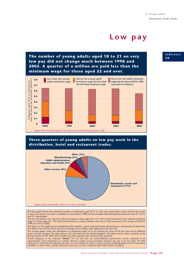### **Low pay**

**The number of young adults aged 18 to 21 on very low pay did not change much between 1998 and 2002. A quarter of a million are paid less than the minimum wage for those aged 22 and over.**



### **Three-quarters of young adults on low pay work in the distribution, hotel and restaurant trades.**



The first graph shows the estimated number of employees aged 18 to 21 who were paid below various hourly rate of pay<br>in each year shown. No data is available for years before 1998 and the available data distinguishes betwe and 22+ age groups.

The first threshold is the national minimum wage for those aged 18 to 21. The second threshold is the national minimum<br>wage for those aged 22+. The third threshold aims to reflect inflation and rises in 10p increments from 1998 to £4.40 in 2002.

The second graph shows the distribution of employees aged 16 to 24 earning less than £4.40 per hour across different sectors of the economy. The data source is LFS and relates to the United Kingdom. The data is from a direct question in the Spring Quarter of LFS 2002 and includes only those people who answered this question.

Overall adequacy of the indicator: **limited**. The LFS and NES are well-established government surveys, designed to be<br>representative of the population as a whole. However, neither survey accurately measures low pay in its methods for combining and adjusting the data are not available for public scrutiny, and the underlying dataset itself is not publicly<br>available. In other words, outside researchers now have to rely on whatever data ONS dec **Indicator 1 9**

The figures in the graph are from published ONS statistics, which were themselves derived from a combination of data from the Labour Force Survey (LFS) and New Earnings Survey (NES), with adjustments by the ONS.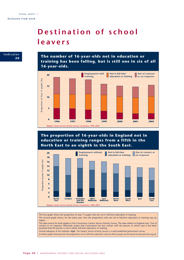# **Destination of school leavers**



**The proportion of 16-year-olds in England not in education or training ranges from a fifth in the North East to an eighth in the South East.**



The first graph shows the proportion of year 11 pupils who are not in full-time education or training. The second graph shows, for the latest year, how the proportions who are not in full-time education or training vary by region.

The data source for both graphs is the Connexions Careers Service Activity Survey. The data relates to England only. 'Out of contact or no response' effectively means that Connexions has lost contact with the person, in which case it has been assumed that the person is not in either full-time education or training.

*Overall adequacy of the indicator: high. The Careers Service Activity Survey is a well-established government survey.* 

*A further graph showing how the proportions not in full-time education vary by ethnic group can be found at www.poverty.org.uk.*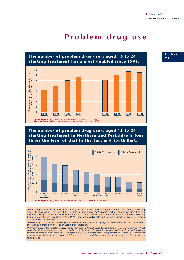## **Problem drug use**



**The number of problem drug users aged 15 to 24 starting treatment in Northern and Yorkshire is four times the level of that in the East and South East.**



The first graph shows the number of 15- to 24-year-olds in Great Britain starting an episode with any agency offering services to drug mis-users for each of the six month periods shown. An 'episode' is defined as a person presenting to a treatment agency for the first time, or after a break in contact of six months or more. Note that a new way of counting treatment episodes was introduced in April 1997. Some of the earlier data for Scotland is estimated because of 'missing data' in one of the databases.

The second graph shows, for the latest year, a breakdown of these episodes by Regional Health Authority (2001 boundaries), expressed as a proportion of 15- to 24-year-olds in that region.

*Overall adequacy of the indicator: limited. The numbers count individuals presenting for treatment in each six-month period, but do not include those in treatment who presented in an earlier six-month period. Furthermore, services such as needle-exchange schemes, outreach work and most services for those in prison are excluded. Finally, many problem drug users do not present for treatment at all. So, in summary, it is not at all clear that trends in recorded drug treatment episodes are a true reflection of trends in drug usage.*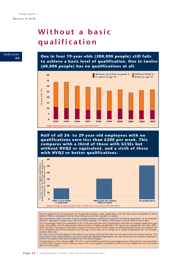# **Without a basic qualification**



**One in four 19-year-olds (200,000 people) still fails to achieve a basic level of qualification. One in twelve (60,000 people) has no qualifications at all.**



**Half of all 24- to 29-year-old employees with no qualifications earn less than £200 per week. This compares with a third of those with GCSEs but without NVQ2 or equivalent, and a sixth of those with NVQ2 or better qualifications.**



The first graph shows the proportion of 19-year-olds without a basic qualification, with the data shown separately for those without NVQ2 or equivalent, and for those without any GCSEs at grade G or above. DfES equivalence scales have been used to translate academic qualifications into their vocational equivalents. So, for example,

'NVQ2 or equivalent' includes those with five GCSEs at grade C or above, GNVQ level 2, two AS levels or one A level. The second graph shows the proportion of 24- to 29-year-olds who are in employment who have an average weekly gross pay<br>of less than £200, with the data broken down by level of highest qualification. The figures are averag students often are).

The data source for both graphs is the Labour Force Survey (LFS) and the data for each year is from the Spring Quarter. The<br>data relates to the United Kingdom and is not seasonally adjusted. Respondents who did not answer perform the analysis have been excluded from the relevant graphs.

Overall adequacy of the indicator: **high**. The LFS is a well-established, quarterly survey designed to be representative of the population<br>as whole. Note, however, that the low pay data in the second graph is considered by *data in the first graph.*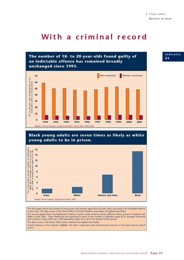## **With a criminal record**



### **Black young adults are seven times as likely as white young adults to be in prison.**



The first graph shows the number of young men and women aged 18 to 20 who were convicted of an indictable offence in each year. The data source is the Home Office's Criminal Statistics and relates to England and Wales. The second graph shows the likelihood of being in prison under sentence across different ethnic groups in England and Wales in June 2001. These likelihoods are expressed in terms of the number of offenders aged 20 or younger sentenced and in prison in June 2001 per 1,000 population aged 16 to 20 of the relevant ethnic group. The data source is the Home Office Prison Statistics for England and Wales. *Overall adequacy of the indicator: medium. The data is dependent upon administrative practices of the police and the judicial system.*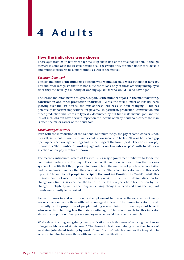# **4 Adults**

#### **How the indicators were chosen**

Those aged from 25 to retirement age make up about half of the total population. Although they are in some ways the least vulnerable of all age groups, they are often under considerable and multiple pressures to support others, as well as themselves.

#### *Exclusion from work*

The first indicator is '**the numbers of people who would like paid work but do not have it**'. This indicator recognises that it is not sufficient to look only at those officially unemployed since they are actually a minority of working age adults who would like to have a job.

The second indicator, new to this year's report, is '**the number of jobs in the manufacturing, construction and other production industries**'. While the total number of jobs has been growing over the last decade, the mix of these jobs has also been changing. This has potentially important implications for poverty. In particular, production, construction and other production industries are typically dominated by full-time male manual jobs and the loss of such jobs can have a severe impact on the income of many households where the man is often the major earner of the household.

#### *Disadvantaged at work*

Even with the introduction of the National Minimum Wage, the pay of some workers is not, by itself, sufficient to take their families out of low income. The last 20 years has seen a gap open up between average earnings and the earnings of the lowest paid. The chosen low pay indicator is '**the number of working age adults on low rates of pay**', with trends for a selection of low pay thresholds shown.

The recently introduced system of tax credits is a major government initiative to tackle the continuing problems of low pay. These tax credits are more generous than the previous system of benefits that they replaced in terms of both the numbers of people who are eligible and the amounts of money that they are eligible for. The second indicator, new to this year's report, is '**the number of people in receipt of the Working Families Tax Credit**'. While this indicator does not meet the criterion of it being obvious which is the desired direction for change over time, it is clear that the trends in the last few years have been driven by the changes in eligibility rather than any underlying changes in need and thus that upward trends are currently to be desired.

Frequent moves in and out of low paid employment has become the experience of many workers, predominantly those with below average skill levels. The chosen indicator of work insecurity is '**the proportion of people making a new claim for unemployment benefit who were last claiming less than six months ago**'. The second graph for this indicator shows the proportion of temporary employees who would like a permanent job.

Work-related training and gaining new qualifications are both means of reducing the chances of negative labour market outcomes.22 The chosen indicator on training is the '**the chance of receiving job-related training by level of qualification**', which examines the inequality in access to training between those with and without qualifications.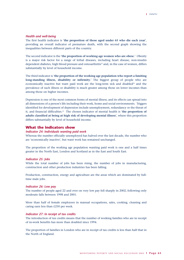#### *Health and well-being*

The first health indicator is '**the proportion of those aged under 65 who die each year**', providing an overall indicator of premature death, with the second graph showing the inequalities between different parts of the country.

The second indicator is the '**the proportion of working age women who are obese.**' Obesity is a major risk factor for a range of lethal diseases, including heart disease, non-insulin dependent diabetes, high blood pressure and osteoarthritis<sup>23</sup> and, in the case of women, differs substantially by level of household income.

The third indicator is '**the proportion of the working age population who report a limiting long-standing illness, disability or infirmity.**' The biggest group of people who are economically inactive but want paid work are the long-term sick and disabled $^{24}$  and the prevalence of such illness or disability is much greater among those on lower incomes than among those on higher incomes.

Depression is one of the most common forms of mental illness, and its effects can spread into all dimensions of a person's life including their work, home and social environments. Triggers identified for development of depression include unemployment, redundancy or the threat of it, and financial difficulties.25 The chosen indicator of mental health is '**the proportion of adults classified at being at high risk of developing mental illness**', where this proportion differs substantially by level of household income.

#### **What the indicators show**

#### *Indicator 24: Individuals wanting paid work*

Whereas the number officially unemployed has halved over the last decade, the number who are 'economically inactive', but want work has remained unchanged.

The proportion of the working age population wanting paid work is one and a half times greater in the North East, London and Scotland as in the East and South East.

#### *Indicator 25: Jobs*

While the total number of jobs has been rising, the number of jobs in manufacturing, construction and other production industries has been falling.

Production, construction, energy and agriculture are the areas which are dominated by fulltime male jobs.

#### *Indicator 26: Low pay*

The number of people aged 22 and over on very low pay fell sharply in 2002, following only moderate falls between 1998 and 2001.

More than half of female employees in manual occupations, sales, cooking, cleaning and caring earn less than £250 per week.

#### *Indicator 27: In receipt of tax credits*

The introduction of tax credits means that the number of working families who are in receipt of in-work benefits has more than doubled since 1994.

The proportion of families in London who are in receipt of tax credits is less than half that in the North of England.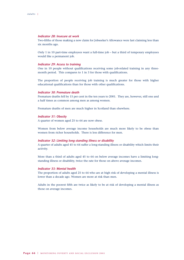#### *Indicator 28: Insecure at work*

Two-fifths of those making a new claim for Jobseeker's Allowance were last claiming less than six months ago.

Only 1 in 10 part-time employees want a full-time job – but a third of temporary employees would like a permanent job.

#### *Indicator 29: Access to training*

One in 10 people without qualifications receiving some job-related training in any threemonth period. This compares to 1 in 3 for those with qualifications.

The proportion of people receiving job training is much greater for those with higher educational qualifications than for those with other qualifications.

#### *Indicator 30: Premature death*

Premature deaths fell by 15 per cent in the ten years to 2001. They are, however, still one and a half times as common among men as among women.

Premature deaths of men are much higher in Scotland than elsewhere.

#### *Indicator 31: Obesity*

A quarter of women aged 25 to 64 are now obese.

Women from below average income households are much more likely to be obese than women from richer households. There is less difference for men.

#### *Indicator 32: Limiting long-standing iIlness or disability*

A quarter of adults aged 45 to 64 suffer a long-standing illness or disability which limits their activity.

More than a third of adults aged 45 to 64 on below average incomes have a limiting longstanding illness or disability, twice the rate for those on above average incomes.

#### *Indicator 33: Mental health*

The proportion of adults aged 25 to 64 who are at high risk of developing a mental illness is lower than a decade ago. Women are more at risk than men.

Adults in the poorest fifth are twice as likely to be at risk of developing a mental illness as those on average incomes.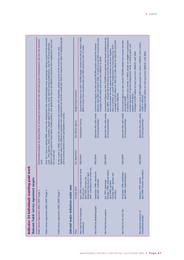| work<br>Indicator 24 Individuals wanting paid<br>Relevant Public Service Agreement targets | Demonstrate progress by Spring 2006 on increasing the employment rate and reducing the unemployment rate over the economic<br>cycle.<br>Public Service Agreement 2002, DWP, Target 3 | Over the 3 years to Spring 2006, increase the employment rates of disadvantaged areas and groups, taking account of the economic<br>districts with the poorest initial labour market position, and significantly reduce the difference between their employment rates and<br>cycle – lone parents, ethnic minorities, people aged 50 and over, those with the lowest qualifications, and the 30 local authority<br>the overall rate.<br>Public Service Agreement 2002, DWP, Target 4 | significantly reduce the difference between their employment rate and the overall rate. Work to improve the rights of disabled people<br>In the 3 years to 2006, increase the employment rate of people with disabilities, taking account of the economic cycle, and<br>and to remove barriers to their participation in society.<br>Public Service Agreement 2002, DWP, Target 7 | Selected major initiatives under way | Budget/target/comment<br>Key delivery agency<br>Key department<br>Starting dates | Government figures are that 150,000 people moved into jobs by March 2003,<br>80% of which were sustained jobs and 20% lasted less than 13 weeks.<br>Employment Service<br>DfES/DWP<br>2001, extended to the under 25s<br>une 1998: introduced for those<br>enhanced New Deal in April<br>April 2001: became the<br>25 and over | between April 2001 and March 2003, of which around 30% moved into jobs.<br>Government figures are that around 80,000 people entered the scheme<br>A budget of £20 million each year from 2000/01 to 2004.<br>Jobcentre Plus with variety<br>of local partnerships<br>DfES/DWP<br>September 1998: introduced<br>April 2001: extended | June 2003. Around half of the leavers from the scheme leave for employment<br>Government figures are that 210,000 lone parents had found employment by<br>A budget of £100 million for 2001/02, £180 million for 2002/03 and £250<br>Aims to achieve an overall 70% employment for lone parents by 2010.<br>and a third leave for other reasons but remain on Income Support.<br>million for 2003/04.<br>Jobcentre Plus with variety<br>of local partnerships<br>DfES/DWP<br>October 1998: national rollout.<br>October 2001: uprated and<br>luly 1997: prototype.<br>April 2000: uprated<br>extended | A voluntary scheme and, overall, 1 million people are eligible to participate.<br>Government figures are that around 100,000 people have moved into jobs<br>Includes payments of tax-free employment credit, a training grant, and<br>A budget of £20 million for each year from 2000/01 until 2004<br>support and advice.<br>since April 2000.<br>Jobcentre Plus with variety<br>of local partnerships<br>DfES/DWP<br>November 1999: pathfinders<br>April 2000: implementation | Aimed to move 3,000 eligible people into work in 2000/01 and a further<br>A budget of £20 million for each year from 2000/01 until 2004.<br>3,000 in 2001/02.<br>Jobcentre Plus with variety<br>of local partnerships<br>DfES/DWP<br>April 2000: became mandatory<br>February 1999: started |
|--------------------------------------------------------------------------------------------|--------------------------------------------------------------------------------------------------------------------------------------------------------------------------------------|--------------------------------------------------------------------------------------------------------------------------------------------------------------------------------------------------------------------------------------------------------------------------------------------------------------------------------------------------------------------------------------------------------------------------------------------------------------------------------------|-----------------------------------------------------------------------------------------------------------------------------------------------------------------------------------------------------------------------------------------------------------------------------------------------------------------------------------------------------------------------------------|--------------------------------------|----------------------------------------------------------------------------------|--------------------------------------------------------------------------------------------------------------------------------------------------------------------------------------------------------------------------------------------------------------------------------------------------------------------------------|-------------------------------------------------------------------------------------------------------------------------------------------------------------------------------------------------------------------------------------------------------------------------------------------------------------------------------------|-------------------------------------------------------------------------------------------------------------------------------------------------------------------------------------------------------------------------------------------------------------------------------------------------------------------------------------------------------------------------------------------------------------------------------------------------------------------------------------------------------------------------------------------------------------------------------------------------------|---------------------------------------------------------------------------------------------------------------------------------------------------------------------------------------------------------------------------------------------------------------------------------------------------------------------------------------------------------------------------------------------------------------------------------------------------------------------------------|---------------------------------------------------------------------------------------------------------------------------------------------------------------------------------------------------------------------------------------------------------------------------------------------|
|                                                                                            |                                                                                                                                                                                      |                                                                                                                                                                                                                                                                                                                                                                                                                                                                                      |                                                                                                                                                                                                                                                                                                                                                                                   |                                      | Policy                                                                           | New Deal for the long-term<br>unemployed                                                                                                                                                                                                                                                                                       | New Deal for disabled people                                                                                                                                                                                                                                                                                                        | New Deal for lone parents                                                                                                                                                                                                                                                                                                                                                                                                                                                                                                                                                                             | New Deal for the over 50s                                                                                                                                                                                                                                                                                                                                                                                                                                                       | New Deal for partners of<br>unemployed people                                                                                                                                                                                                                                               |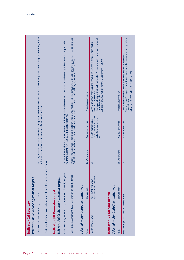|                                              | Relevant Public Service Agreement targets                                                                  |                |                                                                                     |                                                                                                                                                                                                                                                                     |
|----------------------------------------------|------------------------------------------------------------------------------------------------------------|----------------|-------------------------------------------------------------------------------------|---------------------------------------------------------------------------------------------------------------------------------------------------------------------------------------------------------------------------------------------------------------------|
| Public Service Agreement 2002, DTI, Target 9 |                                                                                                            |                |                                                                                     | By 2006, working with all departments, bring about measurable improvements in gender equality across a range of indicators, as part<br>of the government's objectives on equality and social inclusion.                                                             |
|                                              | For details of relevant major initiatives, see those listed in the income chapter.                         |                |                                                                                     |                                                                                                                                                                                                                                                                     |
| <b>Indicator 30 Premature death</b>          |                                                                                                            |                |                                                                                     |                                                                                                                                                                                                                                                                     |
|                                              | Public Service Agreement 2002, Department of Health, Target 6<br>Relevant Public Service Agreement targets |                | 75; from cancer by at least 20% in people under 75.                                 | Reduce substantially the mortality rates from the major killer diseases by 2010: from heart disease by at least 40% in people under                                                                                                                                 |
|                                              | Public Service Agreement 2002, Department of Health, Target 7                                              |                |                                                                                     | Improve life outcomes of adults and children with mental health problems through year on year improvements in access to crisis and<br>CAMHS services, and reduce the mortality rate from suicide and undetermined injury by at least 20% by 2010.                   |
|                                              | Selected major initiatives under way                                                                       |                |                                                                                     |                                                                                                                                                                                                                                                                     |
| Policy                                       | Starting dates                                                                                             | Key department | Key delivery agency                                                                 | Budget/target/comment                                                                                                                                                                                                                                               |
| Health Action Zones                          | April 1998: first wave<br>April 1999: second wave                                                          | H              | (NHS, Local authorities,<br>voluntary and private<br>Health partnerships<br>sectors | There are 26 zones that will operate for 7 years and collectively cover around<br>Aims to improve health and to modernise services in areas of high health<br>A budget of £320 million for the 3 years from 1999/00.<br>need and deprivation.<br>13 million people. |
| <b>Indicator 33 Mental health</b>            |                                                                                                            |                |                                                                                     |                                                                                                                                                                                                                                                                     |
|                                              | Selected major initiatives under way                                                                       |                |                                                                                     |                                                                                                                                                                                                                                                                     |
| Policy                                       | Starting dates                                                                                             | Key department | Key delivery agency                                                                 | Budget/target/comment                                                                                                                                                                                                                                               |
| Modernising Mental Health Services 1999      |                                                                                                            | 舌              | Health authorities                                                                  | The only specific target is on suicides: to reduce the rate of suicides by at least<br>Aims to reduce mental health problems, including depression.<br>A budget of £700 million for 1999 to 2002.<br>20% by 2010.                                                   |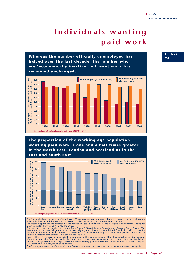# **Individuals wanting paid work**

**Whereas the number officially unemployed has halved over the last decade, the number who are 'economically inactive' but want work has remained unchanged.**



**The proportion of the working age population wanting paid work is one and a half times greater in the North East, London and Scotland as in the East and South East.**



The first graph shows the number of people aged 25 to retirement wanting work. It is divided between the unemployed (as defined by the ILO) and those counted as 'economically inactive' who, nevertheless, want paid work.<br>The second graph shows the proportion of the population aged 25 to retirement who want paid work by region. The figures<br>ar

Note that the ILO unemployment rates in these graphs are not the same as in some of the other indicators, as it is percentage

of the total population (whereas, in other indicators, it is expressed as a percentage of the economically active population). *Overall adequacy of the indicator: high. The LFS is a well-established, quarterly government survey of 60,000 households, designed to be representative of the population as a whole.* 

*A further graph showing how the proportion wanting paid work varies by ethnic group can be found at www.poverty.org.uk.*

#### **Indicator 2 4**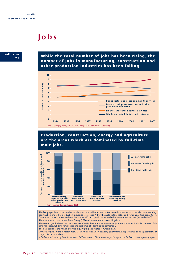# **Jobs**



**While the total number of jobs has been rising, the number of jobs in manufacturing, construction and other production industries has been falling.**



### **Production, construction, energy and agriculture are the areas which are dominated by full-time male jobs.**



The first graph shows total number of jobs over time, with the data broken down into four sectors, namely: manufacturing, construction and other production industries (sec codes A–F); wholesale, retail, hotels and restaurants (sec codes G–H); finance and other business activities (sec codes I–K); and public sector and other community services (sec codes L–Q). The data source is the Labour Force Survey (LFS) and relates to the United Kingdom. The second graph shows, for the latest year (2001), how the total number of jobs in each sector is divided between fulltime male jobs, full-time female jobs and part-time jobs (both sexes combined).

The data source is the Annual Business Inquiry (ABI) and relates to Great Britain.

*Overall adequacy of the indicator: high. LFS is a well-established, quarterly government survey, designed to be representative of the population as a whole.* 

*A further graph showing how the number of different types of jobs has changed by region can be found at www.poverty.org.uk.*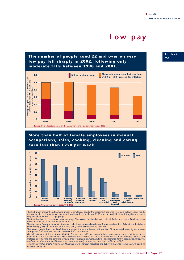### **Low pay**

### **The number of people aged 22 and over on very low pay fell sharply in 2002, following only moderate falls between 1998 and 2001. 3.0**



### **More than half of female employees in manual occupations, sales, cooking, cleaning and caring earn less than £250 per week.**



The first graph shows the estimated number of employees aged 22 to retirement age who were paid below various hourly rates of pay in each year shown. No data is available for years before 1998, and the available data distinguishes between only the  $18$  to 21 and 22+ age groups.

The first threshold is the national minimum wage. The second threshold aims to reflect inflation and rises in 10p increments from a base of £4.00 in 1998 to £4.40 in 2002.

The figures are from published ONS statistics, which were themselves derived from a combination of data from the Labour Force Survey (LFS) and New Earnings Survey (NES), with adjustments by the ONS.

The second graph shows, for 2002, how the proportion of employees paid less than £250 per week varies by occupation and gender. The data source is NES and relates to Great Britain.

Overall adequacy of the indicator: **limited**. The LFS and NES are well-established government surveys, designed to be<br>representative of the population as a whole. However, neither survey accurately measures low pay in its *methods for combining and adjusting the data are not available for public scrutiny. The underlying dataset itself is also not publicly available. In other words, outside researchers now have to rely on whatever data ONS decides to publish.*

*A variety of further graphs focusing on differences in pay between industries and between men and women can be found on www.poverty.org.uk.*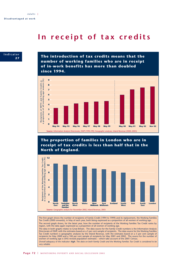## **In receipt of tax credits**



**The introduction of tax credits means that the number of working families who are in receipt of in-work benefits has more than doubled since 1994.**



### **The proportion of families in London who are in receipt of tax credits is less than half that in the North of England.**



The first graph shows the number of recipients of Family Credit (1994 to 1999) and its replacement, the Working Families Tax Credit (2000 onwards), in May of each year, both being expressed as a proportion of all women of working age. The second graph shows, for the latest year, how the number of recipients of the Working Families Tax Credit varies by region, with the data again expressed as a proportion of all women of working age. The data in both graphs relates to Great Britain. The data source for the Family Credit numbers is the Information Analysis Directorate of DWP, with the estimates based on a 5 per cent sample of recipients. The data source for the Working Families Tax Credit numbers is geographic analyses by the Inland Revenue, with the estimates based on a 5 per cent sample of recipients for May 2000 and a 100 per cent sample of recipients for May 2001 and 2002. The source for the number of women of working age is ONS revised population estimates – which take account of the 2001 Census. *Overall adequacy of the indicator: high. The data on both Family Credit and the Working Families Tax Credit is considered to be very reliable.*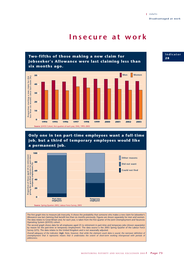# **Insecure at work**



**Only one in ten part-time employees want a full-time job, but a third of temporary employees would like a permanent job.**



The first graph tries to measure job insecurity. It shows the probability that someone who makes a new claim for Jobseeker's Allowance was last claiming that benefit less than six months previously. Figures are shown separately for men and women. The data relates to Great Britain and, for each year, is taken from the first quarter of the Joint Unemployment and Vacancies Operating System (JUVOS) cohort.

The second graph shows data for all employees aged 25 to retirement in part-time and temporary jobs (shown separately) by reason for the part-time or temporary employment. The data source is the 2003 Spring Quarter of the Labour Force Survey (LFS). The data relates to the United Kingdom and is not seasonally adjusted.

*Overall adequacy of the indicator: high. Note, however, that while the claimant count data is sound, the narrower definition of unemployment that it represents means that it understates the extent of short-term working interspersed with periods of joblessness.* 

**Indicator 2 8**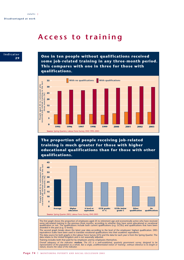# **Access to training**



**One in ten people without qualifications received some job-related training in any three-month period. This compares with one in three for those with qualifications.**



**The proportion of people receiving job-related training is much greater for those with higher educational qualifications than for those with other qualifications.**



The first graph shows the proportion of employees aged 25 to retirement age and economically active who have received<br>some job-related training in the previous three months, according to whether they have some educational

The second graph breaks down the latest year data according to the level of the employees' highest qualification. DfES equivalence scales have been used to translate vocational qualifications into their academic equivalents.

The data source for both graphs is the Labour Force Survey (LFS) and the data for each year is from the Spring Quarter. The data relates to the United Kingdom and is not seasonally adjusted.

Training includes both that paid for by employers and by employees themselves.

Overall adequacy of the indicator: **medium**. The LFS is a well-established, quarterly government survey, designed to be<br>representative of the population as a whole. But a single, undifferentiated notion of 'training', with *nature, lessens the value of the indicator.*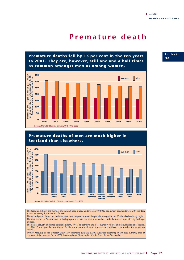# **Premature death**

**Premature deaths fell by 15 per cent in the ten years to 2001. They are, however, still one and a half times as common amongst men as among women.**



## **Premature deaths of men are much higher in Scotland than elsewhere.**



The first graph shows the number of deaths of people aged under 65 per 100,000 population aged under 65, with the data shown separately for males and females.

The second graph shows, for the latest year, how the proportion of the population aged under 65 who died varies by region. The data relates to Great Britain. In both graphs, the data has been standardised to the European population by both age and sex.

The data is actually published at local authority level. To combine the local authority figures and calculate regional figures, the 2001 Census population estimates for the numbers of males and females under 65 have been used as the weighting factors.

*Overall adequacy of the indicator: high. The underlying data are deaths organised according to the local authority area of residence of the deceased by the ONS, in England and Wales, and by the Registrar General for Scotland.* 

### **Indicator 3 0**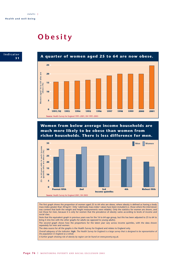# **Obesity**





**Women from below average income households are much more likely to be obese than women from richer households. There is less difference for men.**



The first graph shows the proportion of women aged 25 to 64 who are obese, where obesity is defined as having a body mass index greater than 30 kg/m². Only 'valid body mass index' values have been included (i.e. those where the interviewer was content that both the weight and height measurements were reliable). Only the statistics for women are shown, and not those for men, because it is only for women that the prevalence of obesity varies according to levels of income and social class.

Note that the equivalent graph in previous years was for the 16 to 64 age group, but this has been adjusted to 25 to 64 to bring it into line with the other graphs for adults (as opposed to young adults).

The second graph shows how the proportions for the latest year vary across income quintiles, with the data shown separately for men and women.

The data source for all the graphs is the Health Survey for England and relates to England only.

*Overall adequacy of the indicator: high. The Health Survey for England is a large survey that is designed to be representative of the population in England as a whole.* 

*A further graph showing risk of obesity by region can be found on www.poverty.org.uk.*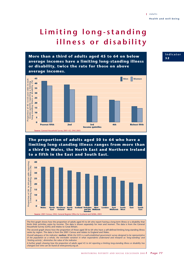# **Limiting long-standing illness or disability**

**More than a third of adults aged 45 to 64 on below average incomes have a limiting long-standing illness or disability, twice the rate for those on above average incomes.**



**The proportion of adults aged 50 to 64 who have a limiting long-standing illness ranges from more than a third in Wales, the North East and Northern Ireland to a fifth in the East and South East.**



The first graph shows how the proportion of adults aged 45 to 64 who report having a long-term illness or a disability that limits their activities varies by income. The data is shown separately for men and women. The data is from the General Household Survey (GHS) and relates to Great Britain.

The second graph shows how the proportion of those aged 50 to 64 who have a self-defined limiting long-standing illness varies by region. The data is from the 2001 Census and relates to England and Wales.

*Overall adequacy of the indicator: medium. While the GHS is a well-established government survey designed to be representative of the population as a whole, the inevitable variation in what respondents understand and interpret as 'long-standing' and 'limiting activity', diminishes the value of the indicator.*

*A further graph showing how the proportion of adults aged 45 to 64 reporting a limiting long-standing illness or disability has changed over time can be found at www.poverty.org.uk.*

## **Indicator 3 2**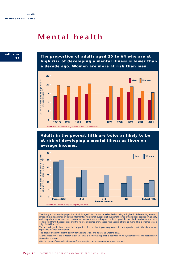# **Mental health**



**The proportion of adults aged 25 to 64 who are at high risk of developing a mental illness is lower than a decade ago. Women are more at risk than men.**



**Adults in the poorest fifth are twice as likely to be at risk of developing a mental illness as those on average incomes.**



The first graph shows the proportion of adults aged 25 to 64 who are classified as being at high risk of developing a mental illness. This is determined by asking informants a number of questions about general levels of happiness, depression, anxiety and sleep disturbance over the previous four weeks: these are designed to detect possible psychiatric morbidity. A score is constructed from the responses, and the figures published show those with a score of four or more. This is referred to as a 'high GHQ12 score'.

The second graph shows how the proportions for the latest year vary across income quintiles, with the data shown separately for men and women.

The data source is the Health Survey for England (HSE) and relates to England only.

*Overall adequacy of the indicator: high. The HSE is a large survey that is designed to be representative of the population in England as a whole.*

*A further graph showing risk of mental illness by region can be found on www.poverty.org.uk.*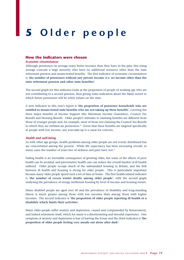# **5 Older people**

## **How the indicators were chosen**

#### *Economic circumstances*

Although pensioners on average enjoy better incomes than they have in the past, this rising average conceals a large minority who have no additional resources other than the state retirement pension and means-tested benefits. The first indicator of economic circumstances is '**the number of pensioners without any private income (i.e. no income other than the state retirement pension and other state benefits)**'.

The second graph for this indicator looks at the proportion of people of working age who are not contributing to a second pension, thus giving some indication about the likely extent to which future pensioners will be solely reliant on the state.

A new indicator in this year's report is '**the proportion of pensioner households who are entitled to means-tested state benefits who are not taking up these benefits**', covering the three major benefits of Income Support (the Minimum Income Guarantee), Council Tax Benefit and Housing Benefit. Older people's attitudes to claiming benefits are different from those of younger people and, for example, most of those not claiming the Council Tax Benefit to which they are entitled are pensioners.<sup>26</sup> Given that these benefits are targeted specifically at people with low income, any non-take-up is a cause for concern.

### *Health and well-being*

As with other age groups, health problems among older people are not evenly distributed but are concentrated among the poorest. While life expectancy has been increasing overall, in many cases the number of years free of sickness and pain have not.<sup>27</sup>

Failing health is an inevitable consequence of growing older, but some of the effects of poor health can be avoided, and preventative health care can reduce the overall burden of ill health suffered. Older people occupy much of the substandard housing in Britain, and the link between ill health and housing is strong for older people. This is particularly important because many older people spend such a lot of time at home. The first health-related indicator is '**the number of excess winter deaths among older people**', with the second graph analysing the prevalence of energy inefficient housing by level of income and housing tenure.

Many disabled people are aged over 60 and the prevalence of disability and long-standing illness is much greater among those with low incomes than among those with higher incomes. The second indicator is '**the proportion of older people reporting ill health or a disability which limits their activities**'.

Many older people suffer anxiety and depression, caused and compounded by bereavement, and indeed retirement itself, which for many is a disorientating and stressful experience. One symptom of anxiety and depression is fear of leaving the house and the third indicator is '**the proportion of older people feeling very unsafe out alone after dark**'.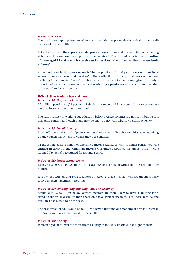#### *Access to services*

The quality and appropriateness of services that older people receive is critical to their wellbeing and quality of life.

Both the quality of the experience older people have at home and the feasibility of remaining at home will depend on the support that they receive.28 The first indicator is '**the proportion of those aged 75 and over who receive social services to help them to live independently at home**'.

A new indicator in this year's report is '**the proportion of rural pensioners without local access to selected essential services**'. The availability of many rural services has been declining for a number of years<sup>29</sup> and is a particular concern for pensioners given that only a minority of pensioner households – particularly single pensioners – have a car and can thus easily travel to distant services.

### **What the indicators show**

### *Indicator 34: No private income*

1.3 million pensioners (21 per cent of single pensioners and 8 per cent of pensioner couples) have no income other than state benefits.

The vast majority of working age adults on below average incomes are not contributing to a non-state pension (although many may belong to a non-contributory pension scheme).

### *Indicator 35: Benefit take-up*

In 2000/01, around a third of pensioner households (11/4 million households) were not taking up the council tax benefit to which they were entitled.

Of the estimated  $£1.4$  billion of unclaimed income-related benefits to which pensioners were entitled in 2000/01, the Minimum Income Guarantee accounted for almost a half, while Council Tax Benefit accounted for around a third.

### *Indicator 36: Excess winter deaths*

Each year 20,000 to 45,000 more people aged 65 or over die in winter months than in other months.

It is owner-occupiers and private renters on below average incomes who are the most likely to live in energy inefficient housing.

#### *Indicator 37: Limiting long-standing iIlness or disability*

Adults aged 65 to 74 on below average incomes are more likely to have a limiting longstanding illness or disability than those on above average incomes. For those aged 75 and over, this has ceased to be the case.

The proportion of adults aged 65 to 74 who have a limiting long-standing illness is highest in the North and Wales and lowest in the South.

### *Indicator 38: Anxiety*

Women aged 60 or over are three times as likely to feel very unsafe out at night as men.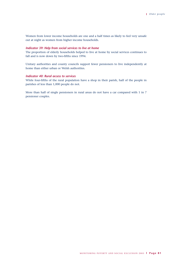Women from lower income households are one and a half times as likely to feel very unsafe out at night as women from higher income households.

### *Indicator 39: Help from social services to live at home*

The proportion of elderly households helped to live at home by social services continues to fall and is now down by two-fifths since 1994.

Unitary authorities and county councils support fewer pensioners to live independently at home than either urban or Welsh authorities.

## *Indicator 40: Rural access to services*

While four-fifths of the rural population have a shop in their parish, half of the people in parishes of less than 1,000 people do not.

More than half of single pensioners in rural areas do not have a car compared with 1 in 7 pensioner couples.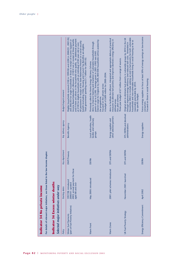|                                |                                                                                        |                                                                           | Budget/target/comment | Eligible households received £100 in 1999/00 and £200 in 2000/01, 2001/02,<br>and if there are others in the household who qualify. An additional payment<br>Income Based Jobseeker's Allowance. £100 if not in receipt of these benefits<br>and 2002/03 for single households or those in receipt of Income Support or<br>All pensioners in receipt of the State Retirement Pension or a social security<br>of £100 for eligible households with an individual of 80 years old or over.<br>benefit (excluding Child, Housing and Council Tax Benefits) are eligible.<br>Total government spending was £1.7 billion for 2001/02. | Interim target for England: by 2004, 800 000 households will be assisted by<br>Aims to improve heating and insulation of vulnerable households through<br>grants of up to £2,500. Average grant in 2001-2002 was £445.<br>Previously called the Home Energy Efficiency Scheme.<br>A budget of £600 million for 2000-2004.<br>Focused on the private sector.<br>the programme. | Aims to facilitate the efficient, integrated and appropriate delivery of practical<br>measures to alleviate fuel poverty and improve domestic energy efficiency in<br>Three-year budget of £7 million from a range of sources.<br>Five pilot schemes.<br>defined areas. | November 2002 to include seeking an end to fuel poverty for both vulnerable<br>households and non-vulnerable households living in social housing as far as<br>reasonably practicable by 2010.<br>Original aim to eliminate fuel poverty in vulnerable groups by 2010 in the UK<br>through improved energy efficiency and reduced fuel costs. Amended in<br>No specific budget. | Forces energy suppliers to focus at least 50% of energy savings on low-income<br>consumers. |
|--------------------------------|----------------------------------------------------------------------------------------|---------------------------------------------------------------------------|-----------------------|----------------------------------------------------------------------------------------------------------------------------------------------------------------------------------------------------------------------------------------------------------------------------------------------------------------------------------------------------------------------------------------------------------------------------------------------------------------------------------------------------------------------------------------------------------------------------------------------------------------------------------|-------------------------------------------------------------------------------------------------------------------------------------------------------------------------------------------------------------------------------------------------------------------------------------------------------------------------------------------------------------------------------|-------------------------------------------------------------------------------------------------------------------------------------------------------------------------------------------------------------------------------------------------------------------------|--------------------------------------------------------------------------------------------------------------------------------------------------------------------------------------------------------------------------------------------------------------------------------------------------------------------------------------------------------------------------------|---------------------------------------------------------------------------------------------|
|                                |                                                                                        |                                                                           | Key delivery agency   | Benefits Agency                                                                                                                                                                                                                                                                                                                                                                                                                                                                                                                                                                                                                  | Local authorities, health<br>bodies and voluntary<br>groups                                                                                                                                                                                                                                                                                                                   | other selected partners<br>Energy suppliers and                                                                                                                                                                                                                         | DTI, DEFRA and devolved<br>administrations                                                                                                                                                                                                                                                                                                                                     | Energy suppliers                                                                            |
|                                |                                                                                        |                                                                           | Key department        | DWP/Treasury                                                                                                                                                                                                                                                                                                                                                                                                                                                                                                                                                                                                                     | <b>DEFRA</b>                                                                                                                                                                                                                                                                                                                                                                  | DTI and DEFRA                                                                                                                                                                                                                                                           | DTI and DEFRA                                                                                                                                                                                                                                                                                                                                                                  | <b>DEFRA</b>                                                                                |
|                                | For details of relevant major initiatives, see those listed in the low income chapter. |                                                                           | Starting dates        | those<br>2003: annual payment for<br>1997/98: introduced<br>2000/01: uprated<br>aged 80 and over                                                                                                                                                                                                                                                                                                                                                                                                                                                                                                                                 | May 2000: introduced                                                                                                                                                                                                                                                                                                                                                          | 2001: pilot schemes introduced                                                                                                                                                                                                                                          | November 2001: launched                                                                                                                                                                                                                                                                                                                                                        | April 2002                                                                                  |
| Indicator 34 No private income |                                                                                        | Indicator 36 Excess winter deaths<br>Selected major initiatives under way | Policy                | (part of Fuel Poverty Initiative)<br>Winter Fuel Payments                                                                                                                                                                                                                                                                                                                                                                                                                                                                                                                                                                        | Warm Front                                                                                                                                                                                                                                                                                                                                                                    | Warm Zones                                                                                                                                                                                                                                                              | UK Fuel Poverty Strategy                                                                                                                                                                                                                                                                                                                                                       | Energy Efficiency Commitment                                                                |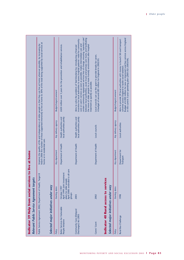| Relevant Public Service Agreement targets                     | Indicator 39 Help from social services to live at home                                                                  |                              |                                                     |                                                                                                                                                                                                                                                                                                                                                                                                                                                                                                                            |
|---------------------------------------------------------------|-------------------------------------------------------------------------------------------------------------------------|------------------------------|-----------------------------------------------------|----------------------------------------------------------------------------------------------------------------------------------------------------------------------------------------------------------------------------------------------------------------------------------------------------------------------------------------------------------------------------------------------------------------------------------------------------------------------------------------------------------------------------|
| Public Service Agreement 2002, Department of Health, Target 8 |                                                                                                                         | home or in residential care. |                                                     | March 2006 the number of those supported intensively to live at home to 30% of the total being supported by social services at<br>Improve the quality of life and independence of older people so that they can live at home wherever possible, by increasing by                                                                                                                                                                                                                                                           |
| Selected major initiatives under way                          |                                                                                                                         |                              |                                                     |                                                                                                                                                                                                                                                                                                                                                                                                                                                                                                                            |
| Policy                                                        | Starting dates                                                                                                          | Key department               | Key delivery agency                                 | Budget/target/comment                                                                                                                                                                                                                                                                                                                                                                                                                                                                                                      |
| Better Services for Vulnerable<br>People Initiative           | care<br>April 1999: Joint investment<br>April 2000: extended to all<br>plans for older people<br>October 1997<br>groups | Department of Health         | local authorities jointly<br>Health authorities and | £650 million over 3 years for the prevention and rehabilitation services.                                                                                                                                                                                                                                                                                                                                                                                                                                                  |
| Community Care (Delayed<br>Discharges) Act 2003               | 2003                                                                                                                    | Department of Health         | local authorities jointly<br>Health authorities and | certain community equipment services free of charge; ensuring 'seamless care'<br>between local authorities, acute trusts and primary care trusts; and facilitating<br>incentive for local authorities to assess hospital patients' need for community<br>care or carer's services as soon as possible; makes intermediate care and<br>the move of older people to a more homely environment after hospital<br>Aims to solve the problem of 'bed blocking' by: introducing a financial<br>treatment as quickly as possible. |
| Carers' Grant                                                 | 2002                                                                                                                    | Department of Health         | Local councils                                      | Local councils can use the grant to provide breaks for carers.<br>A budget of around £85 million for England in 2002/03.                                                                                                                                                                                                                                                                                                                                                                                                   |
| Indicator 40 Rural access to services                         |                                                                                                                         |                              |                                                     |                                                                                                                                                                                                                                                                                                                                                                                                                                                                                                                            |
| Selected major initiatives under way                          |                                                                                                                         |                              |                                                     |                                                                                                                                                                                                                                                                                                                                                                                                                                                                                                                            |
| Policy                                                        | Starting dates                                                                                                          | Key department               | Key delivery agency                                 | Budget/target/comment                                                                                                                                                                                                                                                                                                                                                                                                                                                                                                      |
| Rural Bus Challenge                                           | 1998                                                                                                                    | Department for<br>Transport  | Local authorities                                   | Budget of £200 million for new or improved rural bus services across England<br>Aims to provide 39 local authorities with money to launch 58 rural transport<br>in the current 3-year spending plan (2001/02-2003/04).<br>schemes across England to tackle social isolation.                                                                                                                                                                                                                                               |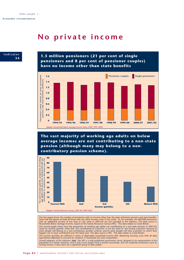# **No private income**



**1.3 million pensioners (21 per cent of single pensioners and 8 per cent of pensioner couples) have no income other than state benefits**



**The vast majority of working age adults on below average incomes are not contributing to a non-state pension (although many may belong to a noncontributory pension scheme).**



The first graph shows the number of pensioners with no income other than the state retirement pension and state benefits.<br>Note that the figures exclude all those with any other income, even if very small. So, for example, The second graph shows how the proportion of working age adults not contributing to a non-state pension in 2001/02<br>varies by income quintile. Note that 'not contributing to a pension' is not the same as 'not having a pensi The income quintiles are defined in terms of disposable household income after deducting housing costs with all data equivalised (adjusted) to account for variation in household size and composition. Overall adequacy of the indicator: **high**. The FRS is a well-established government survey designed to be representative of the<br>population as a whole. However, since it only covers people living in private households, and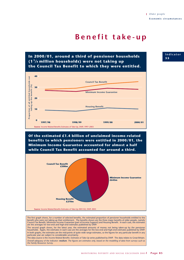# **Benefit take-up**

# **In 2000/01, around a third of pensioner households (1 <sup>1</sup> /4 million households) were not taking up the Council Tax Benefit to which they were entitled.**



**Of the estimated £1.4 billion of unclaimed income-related benefits to which pensioners were entitled in 2000/01, the Minimum Income Guarantee accounted for almost a half while Council Tax Benefit accounted for around a third.**



The first graph shows, for a number of selected benefits, the estimated proportion of pensioner households entitled to the benefit who were not taking up their entitlement. The benefits shown are the three major benefits of older people, namely Council Tax Benefit, Minimum Income Guarantee (part of Income Support) and Housing Benefit. In each case, the estimates are the averages for low-end and high-end estimates published by DWP.

The second graph shows, for the latest year, the estimated amounts of money not being taken-up by the pensioner<br>households. Again, the estimates in each case are the averages for the low-end and high-end estimates publishe In both graphs, the estimates are the mid-points of quite wide range estimates, so the figures for any particular benefit in any particular year are subject to considerable uncertainty.

The data source is the *Income Related Benefits: Estimates of Take-Up* series published by DWP. The data relates to Great Britain. *Overall adequacy of the indicator: medium. The figures are estimates only, based on the modelling of data from surveys such as the Family Resources Survey.*

### **Indicator 3 5**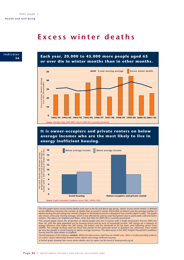# **Excess winter deaths**



**Each year, 20,000 to 45,000 more people aged 65 or over die in winter months than in other months.**



**It is owner-occupiers and private renters on below average incomes who are the most likely to live in energy inefficient housing.**



The first graph shows excess winter deaths each year in the 65 and above age group, where 'excess winter deaths' is defined as the difference between the number of deaths that occurred in winter (December to March) and the average number of<br>deaths during the preceding four months (August to November) and the subsequent four months (April to Jul

The second graph shows the proportion of retired people who live in homes with a Single Assessment Process (SAP) less than 30, with the data separated out by housing tenure and by level of household income. SAP ratings are a measure of<br>energy efficiency (the higher the SAP rating, the better) and the threshold of 30 has been used followin

*Overall adequacy of the indicator: medium. Whilst the data sources used here are reliable ones, there is no data providing evidence of a direct causal relationship between winter deaths and energy inefficient housing.* 

*A further graph showing how excess winter deaths vary by region can be found at www.poverty.org.uk.*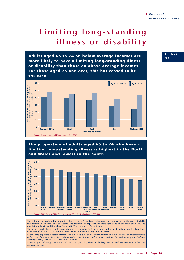# **Limiting long-standing illness or disability**

**Adults aged 65 to 74 on below average incomes are more likely to have a limiting long-standing illness or disability than those on above average incomes. For those aged 75 and over, this has ceased to be the case.**



# **The proportion of adults aged 65 to 74 who have a limiting long-standing illness is highest in the North and Wales and lowest in the South.**



The first graph shows how the proportion of people aged 65 and over, who report having a long-term illness or a disability that limits their activities, varies by income. The data is shown separately for those aged 65 to 74 and those aged 75+. The data is from the General Household Survey (GHS) and relates to Great Britain.

The second graph shows how the proportion of those aged 65 to 74 who have a self-defined limiting long-standing illness varies by region. The data is from the 2001 Census and relates to England and Wales.

*Overall adequacy of the indicator: medium. While the GHS is a well-established government survey designed to be representative of the population as a whole, the inevitable variation in what respondents understand and interpret as 'long-standing' and 'limiting activity', diminishes the value of the indicator.* 

*A further graph showing how the risk of limiting longstanding illness or disability has changed over time can be found at www.poverty.co.uk.*

*Older people* **Health and well-being**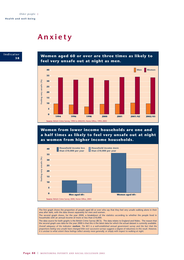# **Anxiety**

**Indicator 3 8**

**Women aged 60 or over are three times as likely to feel very unsafe out at night as men.**



**Women from lower income households are one and a half times as likely to feel very unsafe out at night as women from higher income households.**



The first graph shows the proportion of people aged 60 or over who say that they feel very unsafe walking alone in their area after dark, with the data shown separately for men and women.

The second graph shows, for the year 2000, a breakdown of the statistics according to whether the people lived in households with an annual income of more or less than £10,000.

The data source for both graphs is the British Crime Survey (BCS). The data relates to England and Wales. The reason that the second graph uses data for the year 2000 is that this is the latest data for which the actual dataset is currently available. *Overall adequacy of the indicator: medium. The BCS is a well-established annual government survey and the fact that the proportions feeling very unsafe have changed little over successive surveys suggests a degree of robustness to this result. However, it is unclear to what extent these feelings reflect anxiety more generally, or simply with respect to walking at night.*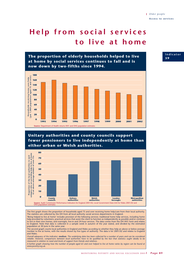# **Help from social services to live at home**



## **Unitary authorities and county councils support fewer pensioners to live independently at home than either urban or Welsh authorities.**



The first graph shows the proportion of households aged 75 and over receiving home help/care from their local authority. The statistics are collected by the DH from all local authority social services departments in England. 'Being helped to live at home' includes provision of the following services: traditional home help services, including home help provided by volunteers; practical services that assist the client to function as independently as possible and/or continue to live in their own homes; and overnight, live-in and 24-hour services. The data comes from the DH HH1 form and relates to England. Note that data is collected in a sample week in autumn of the year stated, and divided by the estimated population at 30 June in the same year.

The second graph counts local authorities in England and Wales according to whether they help an above or below average number to live at home, with the results shown by five types of authority. The data is for 2001/02 and relates to England and Wales.

*Overall adequacy of the indicator: medium. The underlying data has been collected for a number of years and can be considered reliable. However, comparisons between local authorities have to be qualified by the fact that statistics ought ideally to be measured in relation to need and levels of support from friends and relatives.* 

*A further graph showing how the number of people aged 65 and over helped to live at home varies by region can be found at www.poverty.org.uk.*

## **Indicator 3 9**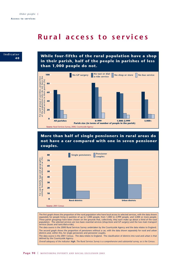# **Rural access to services**



**While four-fifths of the rural population have a shop in their parish, half of the people in parishes of less than 1,000 people do not.**



## **More than half of single pensioners in rural areas do not have a car compared with one in seven pensioner couples.**



The first graph shows the proportion of the rural population who have local access to selected services, with the data shown separately for people living in parishes of up to 1,000 people, from 1,000 to 2,999 people, and 3,000 or more people. These parish groupings have been chosen on the grounds that, collectively, they each make up about a third of the rural population. The selected services are two basic essential services (shop/store and GP surgery) and the two main transport services (buses and taxis/dial-a-ride).

The data source is the 2000 Rural Services Survey undertaken by the Countryside Agency and the data relates to England. The second graph shows the proportion of pensioners without a car, with the data shown separately for rural and urban districts and, within this, for single pensioners and pensioner couples.

The data source is the 2001 Census. The data relates to England. The classification of districts into rural and urban is that defined by the Countryside Agency.

*Overall adequacy of the indicator: high. The Rural Services Survey is a comprehensive and substantial survey, as is the Census.*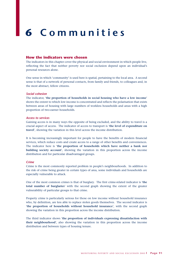# **6 Communities**

## **How the indicators were chosen**

The indicators in this chapter cover the physical and social environment in which people live, reflecting the fact that neither poverty nor social exclusion depend upon an individual's personal resources alone.

One sense in which 'community' is used here is spatial, pertaining to the local area. A second sense is that of a network of personal contacts, from family and friends, to colleagues and, in the most abstract, fellow citizens.

#### *Social cohesion*

The indicator, '**the proportion of households in social housing who have a low income**' shows the extent to which low income is concentrated and reflects the polarisation that exists between areas of housing with large numbers of workless households and areas with a high proportion of two-earner households.

#### *Access to services*

Gaining access is in many ways the opposite of being excluded, and the ability to travel is a crucial aspect of access. The indicator of access to transport is '**the level of expenditure on travel**', showing the variation in this level across the income distribution.

It is becoming increasingly important for people to have the benefits of modern financial services, which reduce costs and create access to a range of other benefits and conveniences. The indicator here is '**the proportion of households which have neither a bank nor building society account**', showing the variation in this proportion across the income distribution and for particular disadvantaged groups.

### *Crime*

Crime is the most commonly reported problem in people's neighbourhoods. In addition to the risk of crime being greater in certain types of area, some individuals and households are especially vulnerable to attack.

One of the most common crimes is that of burglary. The first crime-related indicator is '**the total number of burglaries**' with the second graph showing the extent of the greater vulnerability of particular groups to that crime.

Property crime is particularly serious for those on low income without household insurance who, by definition, are less able to replace stolen goods themselves. The second indicator is '**the proportion of households without household insurance**', with the second graph showing the variation in this proportion across the income distribution.

The third indicator shows '**the proportion of individuals expressing dissatisfaction with their neighbourhood**', also showing the variation in this proportion across the income distribution and between types of housing tenure.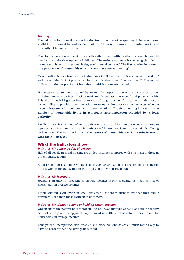#### *Housing*

The indicators in this section cover housing from a number of perspectives: living conditions, availability of amenities and modernisation of housing, pressure on housing stock, and insecurity of house occupation.

The physical conditions in which people live affect their health, relations between household members, and the development of children. The main reason for a home being classified as 'non-decent' is lack of a reasonable degree of thermal comfort.<sup>30</sup> The first housing indicator is '**the proportion of households which do not have central heating**'.

Overcrowding is associated with a higher rate of child accidents;<sup>31</sup> it encourages infection;<sup>32</sup> and the resulting lack of privacy can be a considerable cause of mental stress.33 The second indicator is '**the proportion of households which are over-crowded**'.

Homelessness causes, and is caused by, many other aspects of poverty and social exclusion, including financial problems, lack of work and deterioration in mental and physical health. It is also a much bigger problem than that of rough sleeping. $34$  Local authorities have a responsibility to provide accommodation for many of those accepted as homeless, who are given at least some form of temporary accommodation. The third housing indicator is '**the number of households living in temporary accommodation provided by a local authority**'.

Finally, although much less of an issue than in the early 1990s, mortgage debts continue to represent a problem for many people, with powerful detrimental effects on standards of living and on stress. The fourth indicator is '**the number of households over 12 months in arrears with their mortgage**'.

### **What the indicators show**

#### *Indicator 41: Concentration of poverty*

Half of all people in social housing are on low incomes compared with one in six of those in other housing tenures.

Almost half of heads of households aged between 25 and 54 in social rented housing are not in paid work compared with 1 in 10 of those in other housing tenures.

#### *Indicator 42: Transport*

Spending on travel by households on low incomes is only a quarter as much as that of households on average incomes.

People without a car living in small settlements are more likely to say that their public transport is bad than those living in major towns.

### *Indicator 43: Without a bank or building society account*

One in six of the poorest households still do not have any type of bank or building society account, even given the apparent improvement in 2001/02. This is four times the rate for households on average incomes.

Lone parent, unemployed, sick, disabled and black households are all much more likely to have no account than the average household.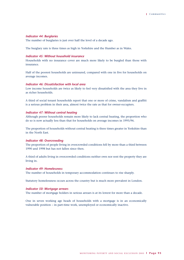### *Indicator 44: Burglaries*

The number of burglaries is just over half the level of a decade ago.

The burglary rate is three times as high in Yorkshire and the Humber as in Wales.

### *Indicator 45: Without household insurance*

Households with no insurance cover are much more likely to be burgled than those with insurance.

Half of the poorest households are uninsured, compared with one in five for households on average incomes.

#### *Indicator 46: Dissatisfaction with local area*

Low income households are twice as likely to feel very dissatisfied with the area they live in as richer households.

A third of social tenant households report that one or more of crime, vandalism and graffiti is a serious problem in their area, almost twice the rate as that for owner-occupiers.

#### *Indicator 47: Without central heating*

Although poorer households remain more likely to lack central heating, the proportion who do so is now actually less than that for households on average incomes in 1995/96.

The proportion of households without central heating is three times greater in Yorkshire than in the North East.

### *Indicator 48: Overcrowding*

The proportion of people living in overcrowded conditions fell by more than a third between 1990 and 1998 but has not fallen since then.

A third of adults living in overcrowded conditions neither own nor rent the property they are living in.

### *Indicator 49: Homelessness*

The number of households in temporary accommodation continues to rise sharply.

Statutory homelessness occurs across the country but is much more prevalent in London.

#### *Indicator 50: Mortgage arrears*

The number of mortgage holders in serious arrears is at its lowest for more than a decade.

One in seven working age heads of households with a mortgage is in an economically vulnerable position – in part-time work, unemployed or economically inactive.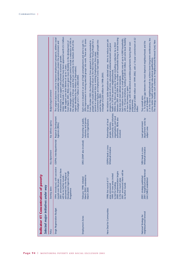| Under SRB rounds 1-6, 1,000 schemes have been approved worth £5.5 billion<br>The original objectives were to improve employment prospects, address social<br>their strategies within 11 overall targets (which include a reduction of 10% in<br>the deprivation of those wards that are currently in the bottom 20% of the<br>From March 2001, RDAs were given more flexibility in the development of<br>exclusion, promote sustainable regeneration, protect the environment and<br>infrastructure, and support and promote economic growth.<br>n SRB support over their lifetime of up to 7 years.<br>regions identified by the Indices of Deprivation).<br>A budget of £1.7 billion in 2003/2004.<br>Budget/target/comment<br>Regional Development<br>Key delivery agency<br>Agencies (RDAs)<br>ODPM; interdepartmental<br>Key department<br>1994: introduced, with successive<br>there<br>Development Agencies Single<br>subsumed into the Regional<br>2001: announcement that<br>will be no further rounds -<br>rounds over the years<br>Selected major initiatives under way<br><b>Starting dates</b><br>Programme<br>Single Regeneration Budget | 20% improvement in moving selected groups into work. There are 15 zones<br>people who would otherwise return to the New Deal for Young People for a<br>Each zone is situated in an area of high unemployment and aims to get 15-<br>second or subsequent time in existing Employment Zone areas.<br>Government figures are Employment Zones had helped 37,000 people into<br>From October 2003, the Employment Zone approach is being extended to<br>A budget of £250 million for 1998-2003.<br>work by May 2003.<br>in total<br>voluntary and private<br>Partnership of public,<br>sector organisations<br>DfES (DWP also involved)<br>March 2002: extended to<br>February 1998: initiated<br>March 2004<br>Employment Zones | between 2001 and 2004 in the number of households living in social housing<br>with a 10-year timeframe, funding of £20-50 million, and some local flexibility<br>A budget of £800 million over 1999-2002, with a 10-year commitment of £2<br>Each initiative focuses on a small geographic area of up to 4,000 households,<br>An initiative to tackle deprivation in selected areas. Aims to reduce poor job<br>England only, with the devolved assemblies/parliaments having their own<br>Within this, there are a variety of targets including a reduction by a third<br>prospects, high levels of crime, educational underachievement and poor<br>health in 39 of the poorest neighbourhoods.<br>that does not meet defined standards.<br>in how the money is spent.<br>programmes.<br>billion.<br>community and voluntary<br>organisations and local<br>authorities. RDAs also<br>Partnerships of local<br>people, business,<br>involved<br><b>ODPM</b> leads a cross-<br>Whitehall initiative<br><u>be</u><br>ms<br>2000: implementation begi<br>2001: announced there will<br>1999: 22 new areas invited<br>1998: first round of 17<br>in the first round areas<br>to bid for funding<br>no further rounds<br>areas announced<br>New Deal for Communities |
|--------------------------------------------------------------------------------------------------------------------------------------------------------------------------------------------------------------------------------------------------------------------------------------------------------------------------------------------------------------------------------------------------------------------------------------------------------------------------------------------------------------------------------------------------------------------------------------------------------------------------------------------------------------------------------------------------------------------------------------------------------------------------------------------------------------------------------------------------------------------------------------------------------------------------------------------------------------------------------------------------------------------------------------------------------------------------------------------------------------------------------------------------------|-------------------------------------------------------------------------------------------------------------------------------------------------------------------------------------------------------------------------------------------------------------------------------------------------------------------------------------------------------------------------------------------------------------------------------------------------------------------------------------------------------------------------------------------------------------------------------------------------------------------------------------------------------------------------------------------------------------------------------|-----------------------------------------------------------------------------------------------------------------------------------------------------------------------------------------------------------------------------------------------------------------------------------------------------------------------------------------------------------------------------------------------------------------------------------------------------------------------------------------------------------------------------------------------------------------------------------------------------------------------------------------------------------------------------------------------------------------------------------------------------------------------------------------------------------------------------------------------------------------------------------------------------------------------------------------------------------------------------------------------------------------------------------------------------------------------------------------------------------------------------------------------------------------------------------------------------------------------------------------------------------------|
|                                                                                                                                                                                                                                                                                                                                                                                                                                                                                                                                                                                                                                                                                                                                                                                                                                                                                                                                                                                                                                                                                                                                                        |                                                                                                                                                                                                                                                                                                                                                                                                                                                                                                                                                                                                                                                                                                                               |                                                                                                                                                                                                                                                                                                                                                                                                                                                                                                                                                                                                                                                                                                                                                                                                                                                                                                                                                                                                                                                                                                                                                                                                                                                                 |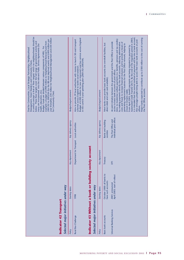| A central concept is that of 'floor targets' which no neighbourhoods should be<br>year thereafter, £45 million for Neighbourhood Management and £50 million<br>2001/02 to 2003/04 (for the 88 most deprived wards) and £400 million per<br>example: a budget of £900 million to Neighbourhood Renewal Fund from<br>below. These floor targets cover the full range of government activity and<br>many are incorporated into the relevant Public Service Agreements (for<br>Budget: funds are divided between various components of NRU. For<br>Deal for Communities, Local Strategic Partnerships, Neighbourhood<br>Management, Street Wardens and Community Chests.<br>health, education, etc).<br>for Community Chest. | <b>Budget/target/comment</b> | Budget of £200 million for new or improved rural bus services across England<br>Aims to provide 39 local authorities with money to launch 58 rural transport<br>in the current 3-year spending plan (2001/02-2003/04).<br>schemes across England to tackle social isolation. | <b>Budget/target/comment</b> | Most banks now provide basic bank accounts (no overdraft facilities, but<br>direct debit and cash card available). | it is intended that the normal method of payment will be into a bank account.<br>Automated Credit Transfer (ACT). By the end of the migration period in 2005,<br>Major banks expected to contribute up to £180 million to the cost of running<br>Aims: to modernise welfare payments (i.e. benefits, pensions and tax credits)<br>Also envisages people being able to access their basic bank accounts at post<br>An joint initiative between the government and the Post Office to provide<br>by making payments directly into bank accounts, reducing administrative<br>costs and fraud; to increase financial inclusion; and to provide a means of<br>generating replacement business for the Post Office network, helping to<br>From April 2003, benefit payments are being migrated to payment by<br>access to basic bank accounts at post offices.<br>the Post Office accounts.<br>ensure it remains viable.<br>offices. |
|--------------------------------------------------------------------------------------------------------------------------------------------------------------------------------------------------------------------------------------------------------------------------------------------------------------------------------------------------------------------------------------------------------------------------------------------------------------------------------------------------------------------------------------------------------------------------------------------------------------------------------------------------------------------------------------------------------------------------|------------------------------|------------------------------------------------------------------------------------------------------------------------------------------------------------------------------------------------------------------------------------------------------------------------------|------------------------------|--------------------------------------------------------------------------------------------------------------------|--------------------------------------------------------------------------------------------------------------------------------------------------------------------------------------------------------------------------------------------------------------------------------------------------------------------------------------------------------------------------------------------------------------------------------------------------------------------------------------------------------------------------------------------------------------------------------------------------------------------------------------------------------------------------------------------------------------------------------------------------------------------------------------------------------------------------------------------------------------------------------------------------------------------------------|
|                                                                                                                                                                                                                                                                                                                                                                                                                                                                                                                                                                                                                                                                                                                          | Key delivery agency          |                                                                                                                                                                                                                                                                              | Key delivery agency          | Banks and building<br>societies                                                                                    | individual post offices<br>The Post Office and                                                                                                                                                                                                                                                                                                                                                                                                                                                                                                                                                                                                                                                                                                                                                                                                                                                                                 |
|                                                                                                                                                                                                                                                                                                                                                                                                                                                                                                                                                                                                                                                                                                                          | Key department               | Department for Transport Local authorities                                                                                                                                                                                                                                   | Key department               | Treasury                                                                                                           | $\overline{5}$                                                                                                                                                                                                                                                                                                                                                                                                                                                                                                                                                                                                                                                                                                                                                                                                                                                                                                                 |
|                                                                                                                                                                                                                                                                                                                                                                                                                                                                                                                                                                                                                                                                                                                          | Starting dates               | Indicator 43 Without a bank or building society account<br>1998                                                                                                                                                                                                              | Starting dates               | October 2000: all banks to<br>have such accounts                                                                   | April 2003: start of rollout<br>2001: announced                                                                                                                                                                                                                                                                                                                                                                                                                                                                                                                                                                                                                                                                                                                                                                                                                                                                                |
| Selected major initiatives under way<br>Indicator 42 Transport                                                                                                                                                                                                                                                                                                                                                                                                                                                                                                                                                                                                                                                           | Policy                       | Selected major initiatives under way<br>Rural Bus Challenge                                                                                                                                                                                                                  | Policy                       | Basic bank accounts                                                                                                | Universal Banking Services                                                                                                                                                                                                                                                                                                                                                                                                                                                                                                                                                                                                                                                                                                                                                                                                                                                                                                     |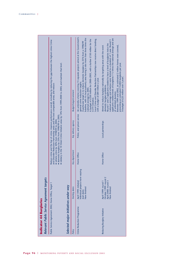| Reduce crime and the fear of crime; improve performance overall, including by reducing the gap between the highest crime Crime<br>Relevant Public Service Agreement targets<br>Public Service Agreement 2002, Home Office, Target 1<br>Indicator 44 Burglaries | robbery in the 10 Street Crime Initiative areas by 14% from 1999-2000 to 2005; and maintain that level.<br>and Disorder Reduction Partnership areas and the best comparable areas; and reduce:<br>· domestic burglary by 25% from 1998/99 to 2005;<br>· vehicle crime by 30% from 1998/99 to 2004;<br>Selected major initiatives under way | <b>Budget/target/comment</b><br>Key delivery agency<br>Key department<br>Starting dates<br>Policy | An umbrella scheme covering 15 separate projects aimed at the Government's<br>baseline, with no local authority area having a rate more than three times the<br>Local Crime and Disorder Reduction Partnerships now receive direct funding,<br>A budget of £250 million for 2000-2003, with a further £150 million for the<br>A particular target is to reduce domestic burglary by 25% from a 1998/99<br>with a budget of £84 million a year.<br>general crime reduction targets.<br>national average by 2005.<br>CCTV initiative.<br>Police, and prison service<br>Home Office<br>ndividual projects have varying<br>April 1999: initiated<br>Now finished<br>start dates<br>Crime Reduction Programme | applicants needed levels of burglaries 11/2 times the national average and are<br>national average and schemes were limited to a duration of 1 year. Round 3<br>Round 1 and 2 applicants needed to have a level of burglaries twice the<br>Between 1999 and 2002, an estimated 2 million homes were covered,<br>Aimed to reduce burglary nationally by targeting areas with the worst<br>preventing an estimated 15,000 burglaries per year.<br>domestic burglary problems.<br>of unlimited duration.<br>Local partnerships<br>Home Office<br>October 1999: round 2<br>April 2000: round 3<br>April 1999: round 1<br>Now finished<br>Reducing Burglary Initiative |  |  |  |  |  |
|----------------------------------------------------------------------------------------------------------------------------------------------------------------------------------------------------------------------------------------------------------------|--------------------------------------------------------------------------------------------------------------------------------------------------------------------------------------------------------------------------------------------------------------------------------------------------------------------------------------------|---------------------------------------------------------------------------------------------------|----------------------------------------------------------------------------------------------------------------------------------------------------------------------------------------------------------------------------------------------------------------------------------------------------------------------------------------------------------------------------------------------------------------------------------------------------------------------------------------------------------------------------------------------------------------------------------------------------------------------------------------------------------------------------------------------------------|-------------------------------------------------------------------------------------------------------------------------------------------------------------------------------------------------------------------------------------------------------------------------------------------------------------------------------------------------------------------------------------------------------------------------------------------------------------------------------------------------------------------------------------------------------------------------------------------------------------------------------------------------------------------|--|--|--|--|--|
|----------------------------------------------------------------------------------------------------------------------------------------------------------------------------------------------------------------------------------------------------------------|--------------------------------------------------------------------------------------------------------------------------------------------------------------------------------------------------------------------------------------------------------------------------------------------------------------------------------------------|---------------------------------------------------------------------------------------------------|----------------------------------------------------------------------------------------------------------------------------------------------------------------------------------------------------------------------------------------------------------------------------------------------------------------------------------------------------------------------------------------------------------------------------------------------------------------------------------------------------------------------------------------------------------------------------------------------------------------------------------------------------------------------------------------------------------|-------------------------------------------------------------------------------------------------------------------------------------------------------------------------------------------------------------------------------------------------------------------------------------------------------------------------------------------------------------------------------------------------------------------------------------------------------------------------------------------------------------------------------------------------------------------------------------------------------------------------------------------------------------------|--|--|--|--|--|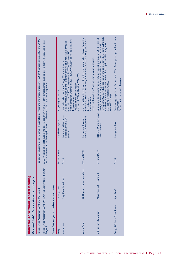| Indicator 47 Without central heating<br>Relevant Public Service Agreement targets |                                |                |                                                             |                                                                                                                                                                                                                                                                                                                                                                               |
|-----------------------------------------------------------------------------------|--------------------------------|----------------|-------------------------------------------------------------|-------------------------------------------------------------------------------------------------------------------------------------------------------------------------------------------------------------------------------------------------------------------------------------------------------------------------------------------------------------------------------|
| Public Service Agreement 2002, DEFRA, Target 6                                    |                                |                |                                                             | Reduce fuel poverty among vulnerable households by improving the energy efficiency of 600,000 homes between 2001 and 2004.                                                                                                                                                                                                                                                    |
| Public Service Agreement 2002, Office Of The Deputy Prime Minister,<br>Target 6   |                                |                |                                                             | By 2010, bring all social housing into decent condition with most of this improvement taking place in deprived areas, and increase<br>the proportion of private housing in decent condition occupied by vulnerable groups.                                                                                                                                                    |
| Selected major initiatives under way                                              |                                |                |                                                             |                                                                                                                                                                                                                                                                                                                                                                               |
| Policy                                                                            | Starting dates                 | Key department | Key delivery agency                                         | Budget/target/comment                                                                                                                                                                                                                                                                                                                                                         |
| Warm Front                                                                        | May 2000: introduced           | <b>DEFRA</b>   | Local authorities, health<br>bodies and voluntary<br>groups | Interim target for England: by 2004, 800,000 households will be assisted by<br>Aims to improve heating and insulation of vulnerable households through<br>grants of up to £2,500. Average grant in 2001-2002 was £445.<br>Previously called the Home Energy Efficiency Scheme.<br>A budget of £600 million for 2000-2004.<br>Focused on the private sector.<br>the programme. |
| Warm Zones                                                                        | 2001: pilot schemes introduced | DTI and DEFRA  | other selected partners<br>Energy suppliers and             | Aims to facilitate the efficient, integrated and appropriate delivery of practical<br>measures to alleviate fuel poverty and improve domestic energy efficiency in<br>Three-year budget of £7 million from a range of sources.<br>5 pilot schemes.<br>defined areas.                                                                                                          |
| UK Fuel Poverty Strategy                                                          | November 2001: launched        | DTI and DEFRA  | DTI, DEFRA and devolved<br>administrations                  | November 2002 to include seeking an end to fuel poverty for both vulnerable<br>Original aim to eliminate fuel poverty in vulnerable groups by 2010 in the UK<br>households and non-vulnerable households living in social housing as far as<br>through improved energy efficiency and reduced fuel costs. Amended in<br>reasonably practicable by 2010.<br>No specific budget |
| Energy Efficiency Commitment                                                      | April 2002                     | <b>DEFRA</b>   | Energy suppliers                                            | Forces energy suppliers to focus at least 50% of energy savings on low-income<br>Focused on those in social housing.<br>consumers.                                                                                                                                                                                                                                            |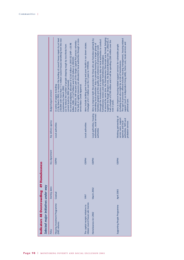| Indicators 48 Overcrowding; 49 Homelessness<br>Selected major initiatives under way |                |                |                                                                                                                      |                                                                                                                                                                                                                                                                                                                                                                                                                                                                                                                                                                                                                                                                                         |
|-------------------------------------------------------------------------------------|----------------|----------------|----------------------------------------------------------------------------------------------------------------------|-----------------------------------------------------------------------------------------------------------------------------------------------------------------------------------------------------------------------------------------------------------------------------------------------------------------------------------------------------------------------------------------------------------------------------------------------------------------------------------------------------------------------------------------------------------------------------------------------------------------------------------------------------------------------------------------|
| Policy                                                                              | Starting dates | Key department | Key delivery agency                                                                                                  | Budget/target/comment                                                                                                                                                                                                                                                                                                                                                                                                                                                                                                                                                                                                                                                                   |
| Housing Investment Programme<br>(HIP) reforms                                       | Gradual        | <b>ODPM</b>    | Local authorities                                                                                                    | (1) By March 2002, to reduce the backlog of council house repairs by at least<br>250,000 with more than 11/2 million council houses benefiting from the new<br>the bulk of capital resources are allocated to local authorities through a cross-<br>From 2002/03, HIP became part of the Single Capital Pot process whereby<br>An overall budgetary allocation of £2.65 billion in 2001/02 (HIP = £0.98<br>(2) To reduce the number of people sleeping rough by two-thirds from<br>billion, MRA = $£1.67$ billion) and £2.55 billion in 2002/03.<br>current levels by 2002 (achieved).<br>A variety of targets including:<br>service Basic Credit Approval.<br>nvestment by March 2002. |
| elease council house sale monies<br>The capital receipts initiative to              | 997            | <b>ODPM</b>    | Local authorities                                                                                                    | Aims include tackling poor housing and poor health in run down estates.<br>A budget of £1.3 billion over the 3 years to 1999/00.                                                                                                                                                                                                                                                                                                                                                                                                                                                                                                                                                        |
| Homelessness Act 2002                                                               | March 2002     | <b>ODPM</b>    | Local authorities, housing<br>authorities, social services<br>authorities                                            | At around the same time, the Homelessness Directorate was formed, bringing<br>together the Rough Sleepers Unit, the Bed-and-Breakfast Unit. In 2002/03, it<br>Aims to improve both the provision for those who are homeless (primarily by<br>(through the introduction of a statutory duty on local authorities to conduct<br>had a budget of £100 million and it will be spending £260 million over the<br>extending local authorities' duty to provide housing to a larger group of<br>homeless people) and the quality and coherence of preventative work<br>nomelessness reviews and compile homelessness strategies).<br>next 3 years.                                             |
| Supporting People Programme                                                         | April 2003     | <b>ODPM</b>    | Working partnership of<br>service users, support<br>authorities, NHS and<br>agencies and local<br>probation services | The type of provision offered includes housing management, housing-related<br>support (such as independent living skills), home care, meals services and<br>Aims to improve housing-related support services for vulnerable people<br>including those who might be at risk of homelessness.<br>personal care.                                                                                                                                                                                                                                                                                                                                                                           |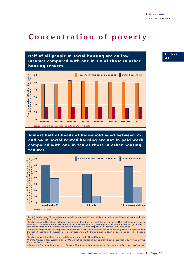# **Concentration of poverty**

**Half of all people in social housing are on low incomes compared with one in six of those in other housing tenures.** income,  $(%)$ **Proportions below 60% of median income, after deducting housing costs (%) Households who are social renting Other households 60** Proportions below 60% of median i<br>after deducting housing costs ( **50 40 30 20 10 0 1994/95 1995/96 1996/97 1997/98 1998/99 2000/01 2001/02 1999/00 Source**: Households Below Average Income Series, DWP, 1995–2003

**Almost half of heads of household aged between 25 and 54 in social rented housing are not in paid work compared with one in ten of those in other housing tenures.**



The first graph shows the proportion of people in low income households for people in social housing compared with people in other housing tenures.

The data source is Households Below Average Income, based on the Family Resources Survey (FRS) and the data relates to<br>Great Britain. Income is disposable household income after deducting housing costs. All data is equiva account for variation in household size and composition. The self-employed are included in the calculations. The second graph shows the proportion of households where the 'household reference person' (which is the person with the highest income in the household) is not in paid work, with the data broken down by age group as well as housing tenure.

The data source is the 2001 Census and the data relates to the United Kingdom.

*Overall adequacy of the indicator: high. The FRS is a well-established annual government survey, designed to be representative of the population as a whole.* 

*A further graph showing how proportion of households without paid work varies by region can be found at www.poverty.org.uk.*

**Indicator 4 1**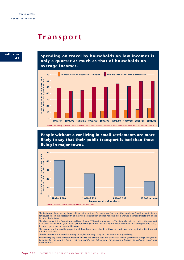# **Transport**



**Spending on travel by households on low incomes is only a quarter as much as that of households on average incomes.**



**People without a car living in small settlements are more likely to say that their public transport is bad than those living in major towns.**



The first graph shows weekly household spending on travel (on motoring, fares and other travel costs), with separate figures for households in the poorest fifth of the income distribution and for households on average incomes (middle fifth of the income distribution).

The data source is the Expenditure and Food Survey (EFS) and is unweighted. The data relates to the United Kingdom and is at prices for the latest year shown (with previous years' data inflated by the Retail Price Index excluding housing costs). Income is gross weekly household income.

The second graph shows the proportion of those households who do not have access to a car who say that public transport is bad in their area.

The data source is the 2000/01 Survey of English Housing (SEH) and the data is for England only.

*Overall adequacy of the indicator: medium. The EFS and SEH are both well-established annual government surveys, designed to be nationally representative, but it is not clear that the data fully captures the problems of transport in relation to poverty and social exclusion.*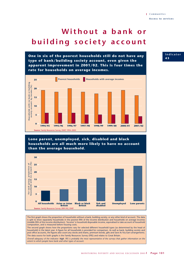# **Without a bank or building society account**

**One in six of the poorest households still do not have any type of bank/building society account, even given the apparent improvement in 2001/02. This is four times the rate for households on average incomes.**



## **Lone parent, unemployed, sick, disabled and black households are all much more likely to have no account than the average household.**



The first graph shows the proportion of households without a bank, building society, or any other kind of account. The data is split to show separately households in the poorest fifth of the income distribution and households on average incomes (middle fifth of the income distribution). 'Income' is household disposable income, equivalised to take account of household composition, and is measured before housing costs.

The second graph shows how the proportions vary for selected different household types (as determined by the head of household) in the latest year. A figure for all households is provided for comparison. As well as bank, building society and post office accounts, the figures also count any stocks and shares, premium bonds, gilts and Save As You Earn arrangements. The data source for both graphs is the Family Resources Survey (FRS) and relates to Great Britain.

*Overall adequacy of the indicator: high. FRS is probably the most representative of the surveys that gather information on the extent to which people have bank and other types of account.* 

### **Indicator 4 3**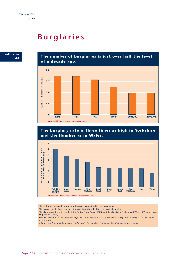# **Burglaries**



**The number of burglaries is just over half the level of a decade ago.**







The first graph shows the number of burglaries committed in each year shown.

The second graph shows, for the latest year, how the risk of burglary varies by region.

The data source for both graphs is the British Crime Survey (BCS) and the data is for England and Wales (BCS only covers England and Wales).

*Overall adequacy of the indicator: high. BCS is a well-established government survey that is designed to be nationally representative.* 

*A further graph showing how risk of burglary varies by household type can be found at www.poverty.org.uk.*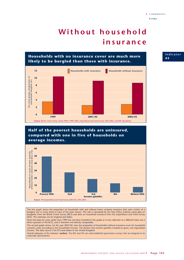# **Without household insurance**



## **Half of the poorest households are uninsured, compared with one in five of households on average incomes.**



The first graph shows the proportion of households with and without home contents insurance that were victims of a burglary one or more times in each of the years shown. The rate is calculated by the New Policy Institute using data on burglaries from the British Crime Survey (BCS) and data on household insurance from the Expenditure and Food Survey (EFS). The estimates are for England and Wales.

Note that data for years earlier than 1999 has not been included in the graph as it was collected on a different basis (via a direct question in the BCS), and is therefore not directly comparable.

The second graph shows, for the year 2001/02, how the proportion of households without insurance cover for household contents varies according to the household's income. The division into income quintiles is based on gross, non-equivalised income. The data source is the EFS and relates to the United Kingdom.

*Overall adequacy of the indicator: medium. The BCS and EFS are well-established government surveys that are designed to be nationally representative.*

**Indicator 4 5**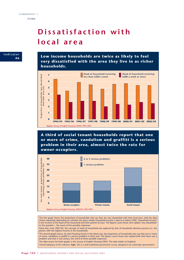# **Dissatisfaction with local area**

**Indicator Low income households are twice as likely to feel 4 6 very dissatisfied with the area they live in as richer households. Head of household receiving Head of household receiving** Proportion of households very dissatisfied<br>with their area (%) **7 Proportion of households very dissatisfied with their area (%) less than £200 a week £200 a week or more 6 5 4 3 2 1 0**

**Source**: Survey of English Housing, ODPM 1994–2003

**1994/95**

**A third of social tenant households report that one or more of crime, vandalism and graffiti is a serious problem in their area, almost twice the rate for owner-occupiers.**

**1995/96 1996/97 1997/98 2002/03 1998/99 1999/00 2000/01 2001/02**



The first graph shows the proportion of households who say they are very dissatisfied with their local area, with the data shown separately depending on whether the gross weekly household income is above or below £200. 'Household income' is the income of the head of the household and their partner (if any). The figures count those who replied 'very dissatisfied' to the question – the worst of five possible responses.

Note that, from 2001/02, the concept of head of household was replaced by that of household reference person (i.e. the person with the highest income in the household).

The second graph shows, for each housing tenure in the latest year, the proportion of households who say that one or more of crime, vandalism or graffiti is a serious problem in their area. The figures count those who replied both that there was a problem and that it was serious, the worst of three possible responses.

The data source for both graphs is the Survey of English Housing (SEH). The data relates to England.

*Overall adequacy of the indicator: high. SEH is a well-established government survey, designed to be nationally representative.*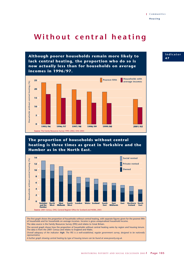# Without central heating

**Although poorer households remain more likely to lack central heating, the proportion who do so is now actually less than for households on average incomes in 1996/97.**



# **The proportion of households without central heating is three times as great in Yorkshire and the Humber as in the North East.**



The first graph shows the proportion of households without central heating, with separate figures given for the poorest fifth of households and for households on average incomes. Income is gross unequivalised household income. The data source is the Family Resources Survey (FRS) and relates to Great Britain.

The second graph shows how the proportion of households without central heating varies by region and housing tenure. The data is from the 2001 Census and relates to England and Wales.

*Overall adequacy of the indicator: high. The FRS is a well-established, regular government survey, designed to be nationally representative.*

*A further graph showing central heating by type of housing tenure can be found at www.poverty.org.uk.*

**Indicator 4 7**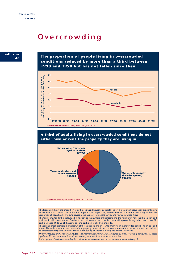# **Overcrowding**



**The proportion of people living in overcrowded conditions reduced by more than a third between 1990 and 1998 but has not fallen since then.**



**A third of adults living in overcrowded conditions do not either own or rent the property they are living in.**



The first graph shows the proportion of both people and households that fall below a measure of occupation density known as the 'bedroom standard'. Note that the proportion of people living in overcrowded conditions is much higher than the proportion of households. The data source is the General Household Survey and relates to Great Britain. The 'bedroom standard' is calculated in relation to the number of bedrooms and the number of household members and their relationship to each other. One bedroom is allocated to each married or cohabiting couple, any other person over 21, each pair aged 10 to 20 of the same sex and each pair of children under 10. The second graph provides a breakdown of those aged 16 and over who are living in overcrowded conditions, by age and status. The various statuses are owner of the property, renter of the property, spouse of the owner or renter, and neither owner/renter nor spouse. The data source is the Survey of English Housing and relates to England. *Overall adequacy of the indicator: limited. The bedroom standard itself is considered by many to be low, particularly for those aged over 10, and the overall level of overcrowding shown by it may therefore be too low. Further graphs showing overcrowding by region and by housing tenure can be found at www.poverty.org.uk.*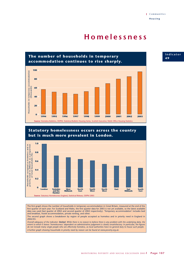# **Homelessness**







The first graph shows the number of households in temporary accommodation in Great Britain, measured at the end of the first quarter of each year. For Scotland and Wales, the first quarter data for 2003 is not yet available, so the latest available data was used (last quarter of 2002 and second quarter of 2002 respectively). 'Temporary accommodation' includes bed and breakfast, hostel accommodation, private renting, and other.

The second graph shows a breakdown by region of people accepted as homeless and in priority need in England in 2002/03.

*Overall adequacy of the indicator: limited. While there is no reason to believe there is any problem with the underlying data, the extent to which it leaves 'homelessness' dependent on administrative judgement is clearly unsatisfactory. In particular, the figures do not include many single people who are effectively homeless, as local authorities have no general duty to house such people. A further graph showing households in priority need by reason can be found at www.poverty.org.uk.*

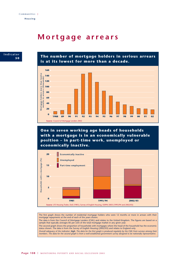# **Mortgage arrears**



**The number of mortgage holders in serious arrears is at its lowest for more than a decade.**



**One in seven working age heads of households with a mortgage is in an economically vulnerable position – in part-time work, unemployed or economically inactive.**



The first graph shows the number of residential mortgage holders who were 12 months or more in arrears with their mortgage repayments at the end of each of the years shown. The data is from the Council of Mortgage Lenders (CML) and relates to the United Kingdom. The figures are based on a sample that typically averages 85 per cent of the total mortgage market in any given year. The second graph shows the proportion of households with mortgages where the head of the household has the economic status shown. The data is from the Survey of English Housing (2002/03) and relates to England only. *Overall adequacy of the indicator: high. The data for the first graph is produced regularly by the CML from surveys among their members. The data for the second graph is from a well-established government survey designed to be nationally representative.*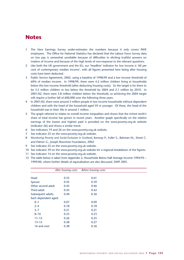## **Notes**

- 1 The New Earnings Survey under-estimates the numbers because it only covers PAYE employees. The Office for National Statistics has declared that the Labour Force Survey data on low pay is somewhat unreliable because of difficulties in eliciting truthful answers on matters of income and because of the high levels of non-response to the relevant questions.
- 2 Like both the UK government and the EU, our 'headline' indicator for low income is '60 per cent of contemporary median income', with all figures presented here being after housing costs have been deducted.
- 3 Public Service Agreement, 2002, using a baseline of 1998/99 and a low income threshold of 60% of median income. In 1998/99, there were 4.2 million children living in households below this low income threshold (after deducting housing costs). So the target is for there to be 3.2 million children or less below the threshold by 2004 and 2.1 million by 2010. In 2001/02, there were 3.8 million children below the threshold, so achieving the 2004 target will require a further fall of 600,000 over the following three years.
- 4 In 2001/02, there were around 3 million people in low income households without dependent children and with the head of the household aged 59 or younger. Of these, the head of the household was in their 50s in around 1 million.
- 5 The graph referred to relates to overall income inequalities and shows that the richest tenth's share of total income has grown in recent years. Another graph specifically on the relative earnings of the lowest and highest paid is provided on the www.poverty.org.uk website (indicator 26) and shows a similar trend.
- 6 See indicators 19 and 26 on the www.poverty.org.uk website.
- 7 See indicator 25 on the www.poverty.org.uk website.
- 8 *Monitoring Poverty and Social Exclusion in Scotland*, Kenway P., Fuller S., Rahman M., Street C. and Palmer G., Joseph Rowntree Foundation, 2002.
- 9 See indicator 25 on the www.poverty.org.uk website.
- 10 See indicator 39 on the www.poverty.org.uk website for a regional breakdown of the figures.
- 11 See indicator 14 on the www.poverty.org.uk website.
- 12 The table below is taken from Appendix 2, Households Below Half Average Income 1994/95 1999/00, where further details of equivalisation are also discussed. DWP 2001.

|                      | After housing costs | Before housing costs |  |
|----------------------|---------------------|----------------------|--|
|                      |                     |                      |  |
| Head                 | 0.55                | 0.61                 |  |
| Spouse               | 0.45                | 0.39                 |  |
| Other second adult   | 0.45                | 0.46                 |  |
| Third adult          | 0.45                | 0.42                 |  |
| Subsequent adults    | 0.40                | 0.36                 |  |
| Each dependant aged: |                     |                      |  |
| $0 - 1$              | 0.07                | 0.09                 |  |
| $2 - 4$              | 0.18                | 0.18                 |  |
| $5 - 7$              | 0.21                | 0.21                 |  |
| $8 - 10$             | 0.23                | 0.23                 |  |
| $11 - 12$            | 0.26                | 0.25                 |  |
| $13 - 15$            | 0.28                | 0.27                 |  |
| 16 and over          | 0.38                | 0.36                 |  |